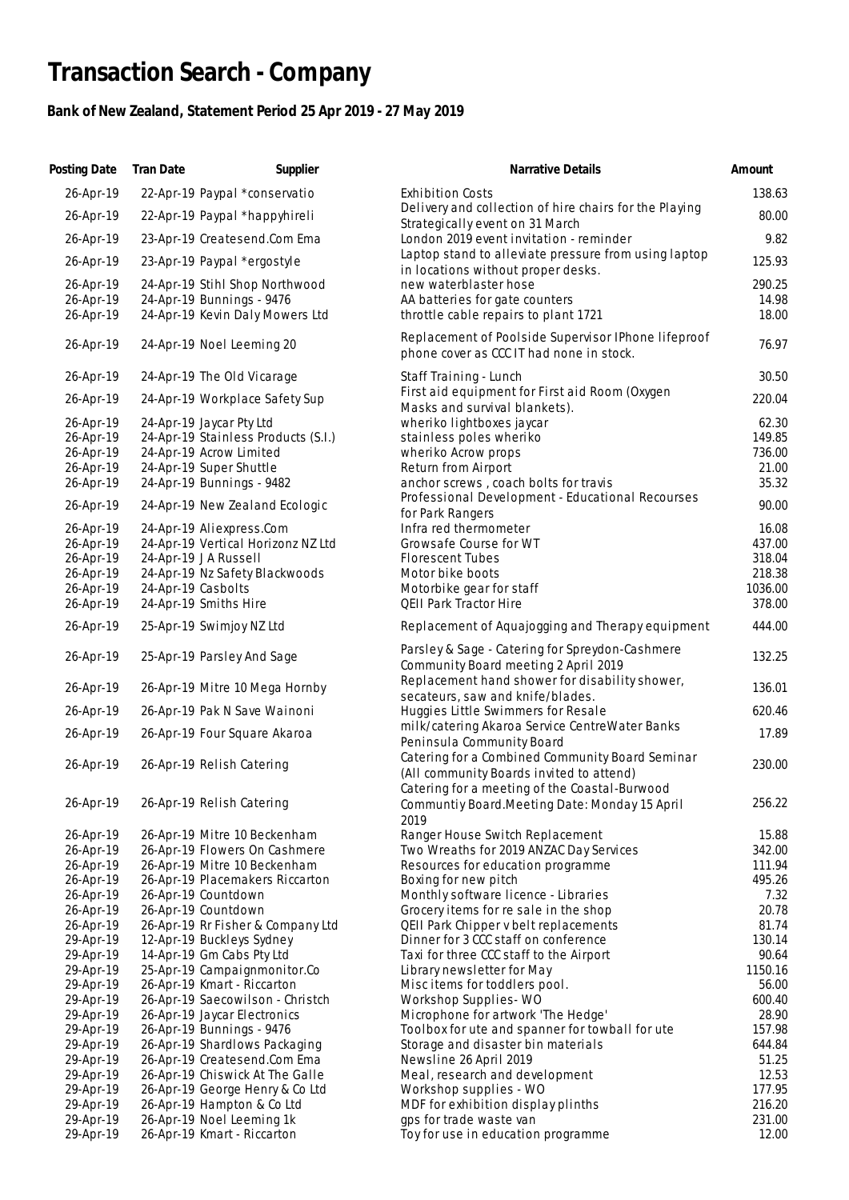## **Transaction Search - Company**

## **Bank of New Zealand, Statement Period 25 Apr 2019 - 27 May 2019**

| Posting Date           | <b>Tran Date</b>   | Supplier                                                  | Narrative Details                                                                               | Amount          |
|------------------------|--------------------|-----------------------------------------------------------|-------------------------------------------------------------------------------------------------|-----------------|
| 26-Apr-19              |                    | 22-Apr-19 Paypal *conservatio                             | <b>Exhibition Costs</b>                                                                         | 138.63          |
| 26-Apr-19              |                    | 22-Apr-19 Paypal *happyhireli                             | Delivery and collection of hire chairs for the Playing                                          | 80.00           |
| 26-Apr-19              |                    | 23-Apr-19 Createsend.Com Ema                              | Strategically event on 31 March<br>London 2019 event invitation - reminder                      | 9.82            |
| 26-Apr-19              |                    | 23-Apr-19 Paypal *ergostyle                               | Laptop stand to alleviate pressure from using laptop                                            | 125.93          |
| 26-Apr-19              |                    | 24-Apr-19 Stihl Shop Northwood                            | in locations without proper desks.<br>new waterblaster hose                                     | 290.25          |
| 26-Apr-19              |                    | 24-Apr-19 Bunnings - 9476                                 | AA batteries for gate counters                                                                  | 14.98           |
| 26-Apr-19              |                    | 24-Apr-19 Kevin Daly Mowers Ltd                           | throttle cable repairs to plant 1721                                                            | 18.00           |
| 26-Apr-19              |                    | 24-Apr-19 Noel Leeming 20                                 | Replacement of Poolside Supervisor IPhone lifeproof<br>phone cover as CCC IT had none in stock. | 76.97           |
| 26-Apr-19              |                    | 24-Apr-19 The Old Vicarage                                | Staff Training - Lunch                                                                          | 30.50           |
| 26-Apr-19              |                    | 24-Apr-19 Workplace Safety Sup                            | First aid equipment for First aid Room (Oxygen<br>Masks and survival blankets).                 | 220.04          |
| 26-Apr-19              |                    | 24-Apr-19 Jaycar Pty Ltd                                  | wheriko lightboxes jaycar                                                                       | 62.30           |
| 26-Apr-19              |                    | 24-Apr-19 Stainless Products (S.I.)                       | stainless poles wheriko                                                                         | 149.85          |
| 26-Apr-19              |                    | 24-Apr-19 Acrow Limited                                   | wheriko Acrow props                                                                             | 736.00          |
| 26-Apr-19              |                    | 24-Apr-19 Super Shuttle                                   | Return from Airport                                                                             | 21.00           |
| 26-Apr-19              |                    | 24-Apr-19 Bunnings - 9482                                 | anchor screws, coach bolts for travis                                                           | 35.32           |
| 26-Apr-19              |                    | 24-Apr-19 New Zealand Ecologic                            | Professional Development - Educational Recourses<br>for Park Rangers                            | 90.00           |
| 26-Apr-19              |                    | 24-Apr-19 Aliexpress.Com                                  | Infra red thermometer                                                                           | 16.08           |
| 26-Apr-19              |                    | 24-Apr-19 Vertical Horizonz NZ Ltd                        | Growsafe Course for WT                                                                          | 437.00          |
| 26-Apr-19              |                    | 24-Apr-19 JA Russell                                      | <b>Florescent Tubes</b>                                                                         | 318.04          |
| 26-Apr-19              |                    | 24-Apr-19 Nz Safety Blackwoods                            | Motor bike boots                                                                                | 218.38          |
| 26-Apr-19              | 24-Apr-19 Casbolts |                                                           | Motorbike gear for staff                                                                        | 1036.00         |
| 26-Apr-19              |                    | 24-Apr-19 Smiths Hire                                     | QEII Park Tractor Hire                                                                          | 378.00          |
| 26-Apr-19              |                    | 25-Apr-19 Swimjoy NZ Ltd                                  | Replacement of Aquajogging and Therapy equipment                                                | 444.00          |
| 26-Apr-19              |                    | 25-Apr-19 Parsley And Sage                                | Parsley & Sage - Catering for Spreydon-Cashmere<br>Community Board meeting 2 April 2019         | 132.25          |
|                        |                    |                                                           | Replacement hand shower for disability shower,                                                  |                 |
| 26-Apr-19              |                    | 26-Apr-19 Mitre 10 Mega Hornby                            | secateurs, saw and knife/blades.                                                                | 136.01          |
| 26-Apr-19              |                    | 26-Apr-19 Pak N Save Wainoni                              | Huggies Little Swimmers for Resale                                                              | 620.46          |
| 26-Apr-19              |                    | 26-Apr-19 Four Square Akaroa                              | milk/catering Akaroa Service CentreWater Banks                                                  | 17.89           |
|                        |                    |                                                           | Peninsula Community Board                                                                       |                 |
| 26-Apr-19              |                    | 26-Apr-19 Relish Catering                                 | Catering for a Combined Community Board Seminar<br>(All community Boards invited to attend)     | 230.00          |
|                        |                    |                                                           | Catering for a meeting of the Coastal-Burwood                                                   |                 |
| 26-Apr-19              |                    | 26-Apr-19 Relish Catering                                 | Communtiy Board. Meeting Date: Monday 15 April                                                  | 256.22          |
|                        |                    |                                                           | 2019                                                                                            |                 |
| 26-Apr-19              |                    | 26-Apr-19 Mitre 10 Beckenham                              | Ranger House Switch Replacement                                                                 | 15.88           |
| 26-Apr-19              |                    | 26-Apr-19 Flowers On Cashmere                             | Two Wreaths for 2019 ANZAC Day Services                                                         | 342.00          |
| 26-Apr-19              |                    | 26-Apr-19 Mitre 10 Beckenham                              | Resources for education programme                                                               | 111.94          |
| 26-Apr-19              |                    | 26-Apr-19 Placemakers Riccarton                           | Boxing for new pitch                                                                            | 495.26          |
| 26-Apr-19              |                    | 26-Apr-19 Countdown                                       | Monthly software licence - Libraries                                                            | 7.32            |
| 26-Apr-19              |                    | 26-Apr-19 Countdown                                       | Grocery items for re sale in the shop                                                           | 20.78           |
| 26-Apr-19              |                    | 26-Apr-19 Rr Fisher & Company Ltd                         | QEII Park Chipper v belt replacements                                                           | 81.74           |
| 29-Apr-19              |                    | 12-Apr-19 Buckleys Sydney                                 | Dinner for 3 CCC staff on conference                                                            | 130.14<br>90.64 |
| 29-Apr-19<br>29-Apr-19 |                    | 14-Apr-19 Gm Cabs Pty Ltd<br>25-Apr-19 Campaignmonitor.Co | Taxi for three CCC staff to the Airport<br>Library newsletter for May                           | 1150.16         |
| 29-Apr-19              |                    | 26-Apr-19 Kmart - Riccarton                               | Miscitems for toddlers pool.                                                                    | 56.00           |
| 29-Apr-19              |                    | 26-Apr-19 Saecowilson - Christch                          | Workshop Supplies - WO                                                                          | 600.40          |
| 29-Apr-19              |                    | 26-Apr-19 Jaycar Electronics                              | Microphone for artwork 'The Hedge'                                                              | 28.90           |
| 29-Apr-19              |                    | 26-Apr-19 Bunnings - 9476                                 | Toolbox for ute and spanner for towball for ute                                                 | 157.98          |
| 29-Apr-19              |                    | 26-Apr-19 Shardlows Packaging                             | Storage and disaster bin materials                                                              | 644.84          |
| 29-Apr-19              |                    | 26-Apr-19 Createsend.Com Ema                              | Newsline 26 April 2019                                                                          | 51.25           |
| 29-Apr-19              |                    | 26-Apr-19 Chiswick At The Galle                           | Meal, research and development                                                                  | 12.53           |
| 29-Apr-19              |                    | 26-Apr-19 George Henry & Co Ltd                           | Workshop supplies - WO                                                                          | 177.95          |
| 29-Apr-19              |                    | 26-Apr-19 Hampton & Co Ltd                                | MDF for exhibition display plinths                                                              | 216.20          |
| 29-Apr-19              |                    | 26-Apr-19 Noel Leeming 1k                                 | gps for trade waste van                                                                         | 231.00          |
| 29-Apr-19              |                    | 26-Apr-19 Kmart - Riccarton                               | Toy for use in education programme                                                              | 12.00           |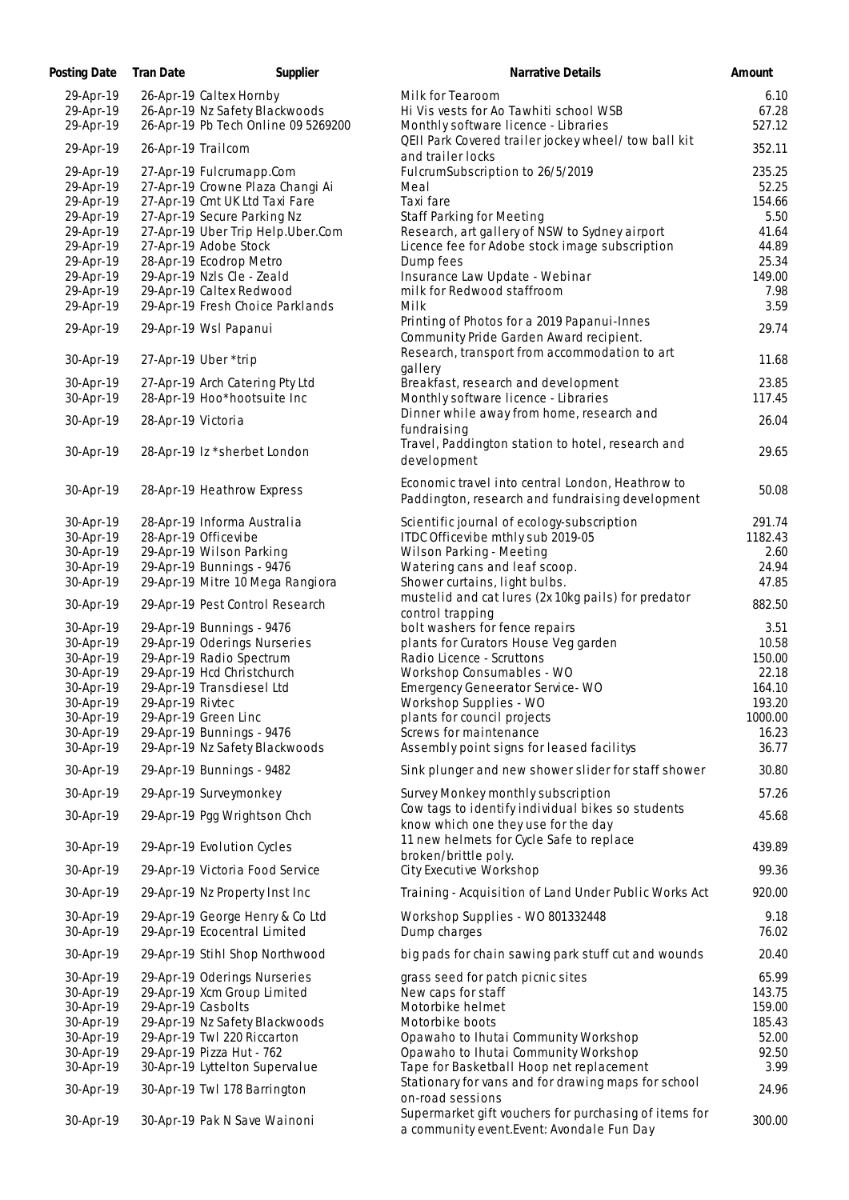| Posting Date           | Tran Date<br>Supplier                    | Narrative Details                                                                                    | Amount            |
|------------------------|------------------------------------------|------------------------------------------------------------------------------------------------------|-------------------|
| 29-Apr-19              | 26-Apr-19 Caltex Hornby                  | Milk for Tearoom                                                                                     | 6.10              |
| 29-Apr-19              | 26-Apr-19 Nz Safety Blackwoods           | Hi Vis vests for Ao Tawhiti school WSB                                                               | 67.28             |
| 29-Apr-19              | 26-Apr-19 Pb Tech Online 09 5269200      | Monthly software licence - Libraries                                                                 | 527.12            |
| 29-Apr-19              | 26-Apr-19 Trailcom                       | QEII Park Covered trailer jockey wheel/ tow ball kit<br>and trailer locks                            | 352.11            |
| 29-Apr-19              | 27-Apr-19 Fulcrumapp.Com                 | FulcrumSubscription to 26/5/2019                                                                     | 235.25            |
| 29-Apr-19              | 27-Apr-19 Crowne Plaza Changi Ai         | Meal                                                                                                 | 52.25             |
| 29-Apr-19              | 27-Apr-19 Cmt UK Ltd Taxi Fare           | Taxi fare                                                                                            | 154.66            |
| 29-Apr-19              | 27-Apr-19 Secure Parking Nz              | <b>Staff Parking for Meeting</b>                                                                     | 5.50              |
| 29-Apr-19              | 27-Apr-19 Uber Trip Help.Uber.Com        | Research, art gallery of NSW to Sydney airport                                                       | 41.64             |
| 29-Apr-19              | 27-Apr-19 Adobe Stock                    | Licence fee for Adobe stock image subscription                                                       | 44.89             |
| 29-Apr-19              | 28-Apr-19 Ecodrop Metro                  | Dump fees                                                                                            | 25.34             |
| 29-Apr-19              | 29-Apr-19 Nzls Cle - Zeald               | Insurance Law Update - Webinar                                                                       | 149.00            |
| 29-Apr-19              | 29-Apr-19 Caltex Redwood                 | milk for Redwood staffroom<br>Milk                                                                   | 7.98              |
| 29-Apr-19              | 29-Apr-19 Fresh Choice Parklands         | Printing of Photos for a 2019 Papanui-Innes                                                          | 3.59              |
| 29-Apr-19              | 29-Apr-19 Wsl Papanui                    | Community Pride Garden Award recipient.                                                              | 29.74             |
| 30-Apr-19              | 27-Apr-19 Uber *trip                     | Research, transport from accommodation to art<br>gallery                                             | 11.68             |
| 30-Apr-19              | 27-Apr-19 Arch Catering Pty Ltd          | Breakfast, research and development                                                                  | 23.85             |
| 30-Apr-19              | 28-Apr-19 Hoo*hootsuite Inc              | Monthly software licence - Libraries                                                                 | 117.45            |
| 30-Apr-19              |                                          | Dinner while away from home, research and                                                            | 26.04             |
|                        | 28-Apr-19 Victoria                       | fundraising                                                                                          |                   |
| 30-Apr-19              | 28-Apr-19 Iz *sherbet London             | Travel, Paddington station to hotel, research and                                                    | 29.65             |
|                        |                                          | development                                                                                          |                   |
| 30-Apr-19              | 28-Apr-19 Heathrow Express               | Economic travel into central London, Heathrow to<br>Paddington, research and fundraising development | 50.08             |
| 30-Apr-19              | 28-Apr-19 Informa Australia              | Scientific journal of ecology-subscription                                                           | 291.74            |
| 30-Apr-19              | 28-Apr-19 Officevibe                     | ITDC Officevibe mthly sub 2019-05                                                                    | 1182.43           |
| 30-Apr-19              | 29-Apr-19 Wilson Parking                 | Wilson Parking - Meeting                                                                             | 2.60              |
| 30-Apr-19              | 29-Apr-19 Bunnings - 9476                | Watering cans and leaf scoop.                                                                        | 24.94             |
| 30-Apr-19              | 29-Apr-19 Mitre 10 Mega Rangiora         | Shower curtains, light bulbs.                                                                        | 47.85             |
| 30-Apr-19              | 29-Apr-19 Pest Control Research          | mustelid and cat lures (2x 10kg pails) for predator<br>control trapping                              | 882.50            |
| 30-Apr-19              | 29-Apr-19 Bunnings - 9476                | bolt washers for fence repairs                                                                       | 3.51              |
| 30-Apr-19              | 29-Apr-19 Oderings Nurseries             | plants for Curators House Veg garden                                                                 | 10.58             |
| 30-Apr-19              | 29-Apr-19 Radio Spectrum                 | Radio Licence - Scruttons                                                                            | 150.00            |
| 30-Apr-19              | 29-Apr-19 Hcd Christchurch               | Workshop Consumables - WO                                                                            | 22.18             |
| 30-Apr-19              | 29-Apr-19 Transdiesel Ltd                | <b>Emergency Geneerator Service-WO</b>                                                               | 164.10            |
| 30-Apr-19<br>30-Apr-19 | 29-Apr-19 Rivtec<br>29-Apr-19 Green Linc | Workshop Supplies - WO<br>plants for council projects                                                | 193.20<br>1000.00 |
| 30-Apr-19              | 29-Apr-19 Bunnings - 9476                | Screws for maintenance                                                                               | 16.23             |
| 30-Apr-19              | 29-Apr-19 Nz Safety Blackwoods           | Assembly point signs for leased facilitys                                                            | 36.77             |
| 30-Apr-19              | 29-Apr-19 Bunnings - 9482                | Sink plunger and new shower slider for staff shower                                                  | 30.80             |
| 30-Apr-19              | 29-Apr-19 Surveymonkey                   | Survey Monkey monthly subscription                                                                   | 57.26             |
| 30-Apr-19              | 29-Apr-19 Pgg Wrightson Chch             | Cow tags to identify individual bikes so students                                                    | 45.68             |
|                        |                                          | know which one they use for the day                                                                  |                   |
| 30-Apr-19              | 29-Apr-19 Evolution Cycles               | 11 new helmets for Cycle Safe to replace<br>broken/brittle poly.                                     | 439.89            |
| 30-Apr-19              | 29-Apr-19 Victoria Food Service          | City Executive Workshop                                                                              | 99.36             |
| 30-Apr-19              | 29-Apr-19 Nz Property Inst Inc           | Training - Acquisition of Land Under Public Works Act                                                | 920.00            |
| 30-Apr-19              | 29-Apr-19 George Henry & Co Ltd          | Workshop Supplies - WO 801332448                                                                     | 9.18              |
| 30-Apr-19              | 29-Apr-19 Ecocentral Limited             | Dump charges                                                                                         | 76.02             |
| 30-Apr-19              | 29-Apr-19 Stihl Shop Northwood           | big pads for chain sawing park stuff cut and wounds                                                  | 20.40             |
| 30-Apr-19              | 29-Apr-19 Oderings Nurseries             | grass seed for patch picnic sites                                                                    | 65.99             |
| 30-Apr-19              | 29-Apr-19 Xcm Group Limited              | New caps for staff                                                                                   | 143.75            |
| 30-Apr-19              | 29-Apr-19 Casbolts                       | Motorbike helmet                                                                                     | 159.00            |
| 30-Apr-19              | 29-Apr-19 Nz Safety Blackwoods           | Motorbike boots                                                                                      | 185.43            |
| 30-Apr-19              | 29-Apr-19 Twl 220 Riccarton              | Opawaho to Ihutai Community Workshop                                                                 | 52.00             |
| 30-Apr-19              | 29-Apr-19 Pizza Hut - 762                | Opawaho to Ihutai Community Workshop                                                                 | 92.50             |
| 30-Apr-19              | 30-Apr-19 Lyttelton Supervalue           | Tape for Basketball Hoop net replacement<br>Stationary for vans and for drawing maps for school      | 3.99              |
| 30-Apr-19              | 30-Apr-19 Twl 178 Barrington             | on-road sessions                                                                                     | 24.96             |
| 30-Apr-19              | 30-Apr-19 Pak N Save Wainoni             | Supermarket gift vouchers for purchasing of items for<br>a community event. Event: Avondale Fun Day  | 300.00            |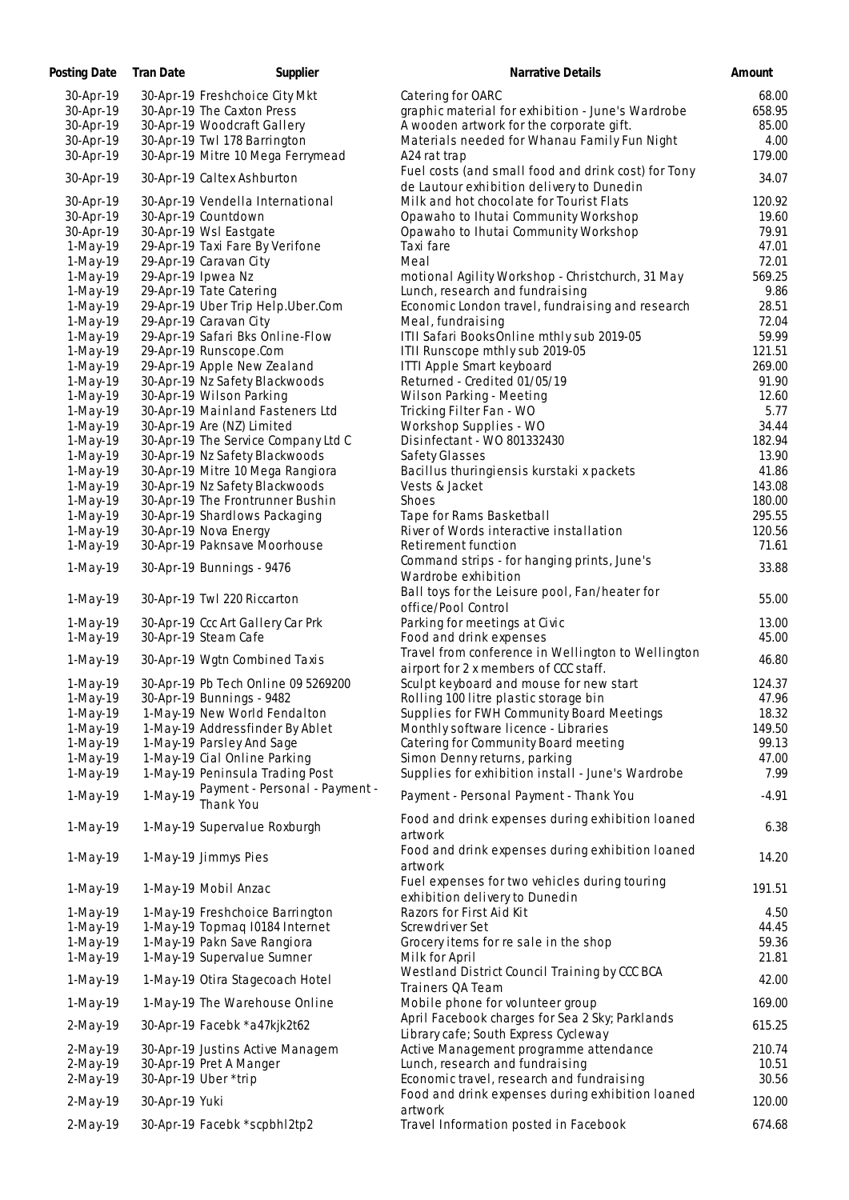| Posting Date | Tran Date<br>Supplier                                | Narrative Details                                                                                | Amount        |
|--------------|------------------------------------------------------|--------------------------------------------------------------------------------------------------|---------------|
| 30-Apr-19    | 30-Apr-19 Freshchoice City Mkt                       | Catering for OARC                                                                                | 68.00         |
| 30-Apr-19    | 30-Apr-19 The Caxton Press                           | graphic material for exhibition - June's Wardrobe                                                | 658.95        |
| 30-Apr-19    | 30-Apr-19 Woodcraft Gallery                          | A wooden artwork for the corporate gift.                                                         | 85.00         |
| 30-Apr-19    | 30-Apr-19 Twl 178 Barrington                         | Materials needed for Whanau Family Fun Night                                                     | 4.00          |
| 30-Apr-19    | 30-Apr-19 Mitre 10 Mega Ferrymead                    | A24 rat trap                                                                                     | 179.00        |
| 30-Apr-19    | 30-Apr-19 Caltex Ashburton                           | Fuel costs (and small food and drink cost) for Tony<br>de Lautour exhibition delivery to Dunedin | 34.07         |
| 30-Apr-19    | 30-Apr-19 Vendella International                     | Milk and hot chocolate for Tourist Flats                                                         | 120.92        |
| 30-Apr-19    | 30-Apr-19 Countdown                                  | Opawaho to Ihutai Community Workshop                                                             | 19.60         |
| 30-Apr-19    | 30-Apr-19 Wsl Eastgate                               | Opawaho to Ihutai Community Workshop                                                             | 79.91         |
| 1-May-19     | 29-Apr-19 Taxi Fare By Verifone                      | Taxi fare                                                                                        | 47.01         |
| $1-May-19$   | 29-Apr-19 Caravan City                               | Meal                                                                                             | 72.01         |
| $1-May-19$   | 29-Apr-19 Ipwea Nz                                   | motional Agility Workshop - Christchurch, 31 May                                                 | 569.25        |
| 1-May-19     | 29-Apr-19 Tate Catering                              | Lunch, research and fundraising                                                                  | 9.86          |
| 1-May-19     | 29-Apr-19 Uber Trip Help.Uber.Com                    | Economic London travel, fundraising and research                                                 | 28.51         |
| 1-May-19     | 29-Apr-19 Caravan City                               | Meal, fundraising                                                                                | 72.04         |
| $1-May-19$   | 29-Apr-19 Safari Bks Online-Flow                     | ITII Safari BooksOnline mthly sub 2019-05                                                        | 59.99         |
| 1-May-19     | 29-Apr-19 Runscope.Com                               | ITII Runscope mthly sub 2019-05                                                                  | 121.51        |
| 1-May-19     | 29-Apr-19 Apple New Zealand                          | ITTI Apple Smart keyboard                                                                        | 269.00        |
| 1-May-19     | 30-Apr-19 Nz Safety Blackwoods                       | Returned - Credited 01/05/19                                                                     | 91.90         |
| $1-May-19$   | 30-Apr-19 Wilson Parking                             | Wilson Parking - Meeting                                                                         | 12.60         |
| 1-May-19     | 30-Apr-19 Mainland Fasteners Ltd                     | Tricking Filter Fan - WO                                                                         | 5.77          |
| $1-May-19$   | 30-Apr-19 Are (NZ) Limited                           | Workshop Supplies - WO                                                                           | 34.44         |
| 1-May-19     | 30-Apr-19 The Service Company Ltd C                  | Disinfectant - WO 801332430                                                                      | 182.94        |
| $1-May-19$   | 30-Apr-19 Nz Safety Blackwoods                       | Safety Glasses                                                                                   | 13.90         |
| 1-May-19     | 30-Apr-19 Mitre 10 Mega Rangiora                     | Bacillus thuringiensis kurstaki x packets                                                        | 41.86         |
| 1-May-19     | 30-Apr-19 Nz Safety Blackwoods                       | Vests & Jacket                                                                                   | 143.08        |
| 1-May-19     | 30-Apr-19 The Frontrunner Bushin                     | Shoes                                                                                            | 180.00        |
| $1-May-19$   | 30-Apr-19 Shardlows Packaging                        | Tape for Rams Basketball                                                                         | 295.55        |
| 1-May-19     | 30-Apr-19 Nova Energy                                | River of Words interactive installation                                                          | 120.56        |
| 1-May-19     | 30-Apr-19 Paknsave Moorhouse                         | Retirement function                                                                              | 71.61         |
|              |                                                      | Command strips - for hanging prints, June's                                                      |               |
| 1-May-19     | 30-Apr-19 Bunnings - 9476                            | Wardrobe exhibition                                                                              | 33.88         |
| 1-May-19     | 30-Apr-19 Twl 220 Riccarton                          | Ball toys for the Leisure pool, Fan/heater for<br>office/Pool Control                            | 55.00         |
| 1-May-19     | 30-Apr-19 Ccc Art Gallery Car Prk                    | Parking for meetings at Civic                                                                    | 13.00         |
| 1-May-19     | 30-Apr-19 Steam Cafe                                 | Food and drink expenses                                                                          | 45.00         |
| 1-May-19     | 30-Apr-19 Wgtn Combined Taxis                        | Travel from conference in Wellington to Wellington<br>airport for 2 x members of CCC staff.      | 46.80         |
| 1-May-19     | 30-Apr-19 Pb Tech Online 09 5269200                  | Sculpt keyboard and mouse for new start                                                          | 124.37        |
| 1-May-19     | 30-Apr-19 Bunnings - 9482                            | Rolling 100 litre plastic storage bin                                                            | 47.96         |
| 1-May-19     | 1-May-19 New World Fendalton                         | Supplies for FWH Community Board Meetings                                                        | 18.32         |
| $1-May-19$   | 1-May-19 Addressfinder By Ablet                      | Monthly software licence - Libraries                                                             | 149.50        |
| $1-May-19$   | 1-May-19 Parsley And Sage                            | Catering for Community Board meeting                                                             | 99.13         |
| $1-May-19$   | 1-May-19 Cial Online Parking                         | Simon Denny returns, parking                                                                     | 47.00         |
| 1-May-19     | 1-May-19 Peninsula Trading Post                      | Supplies for exhibition install - June's Wardrobe                                                | 7.99          |
| 1-May-19     | 1-May-19 Payment - Personal - Payment -<br>Thank You | Payment - Personal Payment - Thank You                                                           | $-4.91$       |
| 1-May-19     | 1-May-19 Supervalue Roxburgh                         | Food and drink expenses during exhibition loaned                                                 | 6.38          |
| 1-May-19     | 1-May-19 Jimmys Pies                                 | artwork<br>Food and drink expenses during exhibition loaned                                      | 14.20         |
|              |                                                      | artwork<br>Fuel expenses for two vehicles during touring                                         |               |
| 1-May-19     | 1-May-19 Mobil Anzac                                 | exhibition delivery to Dunedin<br>Razors for First Aid Kit                                       | 191.51        |
| $1-May-19$   | 1-May-19 Freshchoice Barrington                      | Screwdriver Set                                                                                  | 4.50<br>44.45 |
| 1-May-19     | 1-May-19 Topmag 10184 Internet                       |                                                                                                  |               |
| $1-May-19$   | 1-May-19 Pakn Save Rangiora                          | Grocery items for re sale in the shop                                                            | 59.36         |
| 1-May-19     | 1-May-19 Supervalue Sumner                           | Milk for April<br>Westland District Council Training by CCC BCA                                  | 21.81         |
| 1-May-19     | 1-May-19 Otira Stagecoach Hotel                      | Trainers QA Team                                                                                 | 42.00         |
| 1-May-19     | 1-May-19 The Warehouse Online                        | Mobile phone for volunteer group                                                                 | 169.00        |
| 2-May-19     | 30-Apr-19 Facebk *a47kjk2t62                         | April Facebook charges for Sea 2 Sky; Parklands<br>Library cafe; South Express Cycleway          | 615.25        |
| $2-May-19$   | 30-Apr-19 Justins Active Managem                     | Active Management programme attendance                                                           | 210.74        |
| $2-May-19$   | 30-Apr-19 Pret A Manger                              | Lunch, research and fundraising                                                                  | 10.51         |
| 2-May-19     | 30-Apr-19 Uber *trip                                 | Economic travel, research and fundraising                                                        | 30.56         |
| 2-May-19     | 30-Apr-19 Yuki                                       | Food and drink expenses during exhibition loaned<br>artwork                                      | 120.00        |
| 2-May-19     | 30-Apr-19 Facebk *scpbhl2tp2                         | Travel Information posted in Facebook                                                            | 674.68        |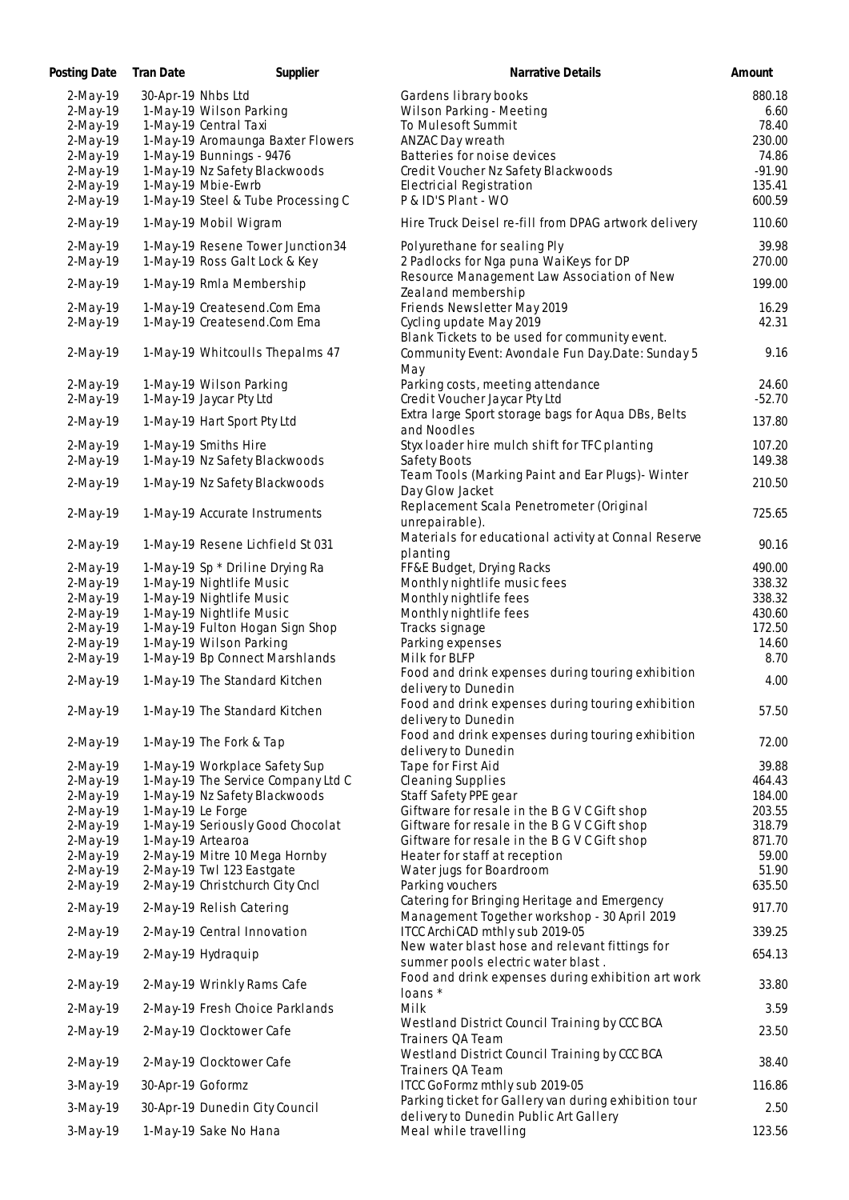| Posting Date | <b>Tran Date</b>   | Supplier                           | Narrative Details                                                               | Amount   |
|--------------|--------------------|------------------------------------|---------------------------------------------------------------------------------|----------|
| $2-May-19$   | 30-Apr-19 Nhbs Ltd |                                    | Gardens library books                                                           | 880.18   |
| $2-May-19$   |                    | 1-May-19 Wilson Parking            | Wilson Parking - Meeting                                                        | 6.60     |
| $2-May-19$   |                    | 1-May-19 Central Taxi              | To Mulesoft Summit                                                              | 78.40    |
| 2-May-19     |                    | 1-May-19 Aromaunga Baxter Flowers  | ANZAC Day wreath                                                                | 230.00   |
| 2-May-19     |                    | 1-May-19 Bunnings - 9476           | Batteries for noise devices                                                     | 74.86    |
| 2-May-19     |                    | 1-May-19 Nz Safety Blackwoods      | Credit Voucher Nz Safety Blackwoods                                             | $-91.90$ |
| $2-May-19$   |                    | 1-May-19 Mbie-Ewrb                 | Electricial Registration                                                        | 135.41   |
| 2-May-19     |                    | 1-May-19 Steel & Tube Processing C | P & ID'S Plant - WO                                                             | 600.59   |
| 2-May-19     |                    | 1-May-19 Mobil Wigram              | Hire Truck Deisel re-fill from DPAG artwork delivery                            | 110.60   |
| 2-May-19     |                    | 1-May-19 Resene Tower Junction34   | Polyurethane for sealing Ply                                                    | 39.98    |
| 2-May-19     |                    | 1-May-19 Ross Galt Lock & Key      | 2 Padlocks for Nga puna WaiKeys for DP                                          | 270.00   |
|              |                    |                                    | Resource Management Law Association of New                                      |          |
| 2-May-19     |                    | 1-May-19 Rmla Membership           | Zealand membership                                                              | 199.00   |
| $2-May-19$   |                    | 1-May-19 Createsend.Com Ema        | Friends Newsletter May 2019                                                     | 16.29    |
| $2-May-19$   |                    | 1-May-19 Createsend.Com Ema        | Cycling update May 2019                                                         | 42.31    |
|              |                    |                                    | Blank Tickets to be used for community event.                                   |          |
| $2-May-19$   |                    | 1-May-19 Whitcoulls Thepalms 47    | Community Event: Avondale Fun Day.Date: Sunday 5                                | 9.16     |
|              |                    |                                    | May                                                                             |          |
| 2-May-19     |                    | 1-May-19 Wilson Parking            | Parking costs, meeting attendance                                               | 24.60    |
| $2-May-19$   |                    | 1-May-19 Jaycar Pty Ltd            | Credit Voucher Jaycar Pty Ltd                                                   | $-52.70$ |
|              |                    |                                    | Extra large Sport storage bags for Aqua DBs, Belts                              |          |
| 2-May-19     |                    | 1-May-19 Hart Sport Pty Ltd        | and Noodles                                                                     | 137.80   |
|              |                    |                                    |                                                                                 |          |
| $2-May-19$   |                    | 1-May-19 Smiths Hire               | Styx loader hire mulch shift for TFC planting                                   | 107.20   |
| 2-May-19     |                    | 1-May-19 Nz Safety Blackwoods      | Safety Boots                                                                    | 149.38   |
| 2-May-19     |                    | 1-May-19 Nz Safety Blackwoods      | Team Tools (Marking Paint and Ear Plugs) - Winter                               | 210.50   |
|              |                    |                                    | Day Glow Jacket                                                                 |          |
| 2-May-19     |                    | 1-May-19 Accurate Instruments      | Replacement Scala Penetrometer (Original                                        | 725.65   |
|              |                    |                                    | unrepairable).                                                                  |          |
| 2-May-19     |                    | 1-May-19 Resene Lichfield St 031   | Materials for educational activity at Connal Reserve                            | 90.16    |
|              |                    |                                    | planting                                                                        |          |
| 2-May-19     |                    | 1-May-19 Sp * Driline Drying Ra    | FF&E Budget, Drying Racks                                                       | 490.00   |
| 2-May-19     |                    | 1-May-19 Nightlife Music           | Monthly nightlife music fees                                                    | 338.32   |
| 2-May-19     |                    | 1-May-19 Nightlife Music           | Monthly nightlife fees                                                          | 338.32   |
| $2-May-19$   |                    | 1-May-19 Nightlife Music           | Monthly nightlife fees                                                          | 430.60   |
| 2-May-19     |                    | 1-May-19 Fulton Hogan Sign Shop    | Tracks signage                                                                  | 172.50   |
| $2-May-19$   |                    | 1-May-19 Wilson Parking            | Parking expenses                                                                | 14.60    |
| $2-May-19$   |                    | 1-May-19 Bp Connect Marshlands     | Milk for BLFP                                                                   | 8.70     |
|              |                    |                                    | Food and drink expenses during touring exhibition                               |          |
| 2-May-19     |                    | 1-May-19 The Standard Kitchen      | delivery to Dunedin                                                             | 4.00     |
|              |                    |                                    | Food and drink expenses during touring exhibition                               |          |
| 2-May-19     |                    | 1-May-19 The Standard Kitchen      | delivery to Dunedin                                                             | 57.50    |
|              |                    |                                    | Food and drink expenses during touring exhibition                               |          |
| 2-May-19     |                    | 1-May-19 The Fork & Tap            | delivery to Dunedin                                                             | 72.00    |
| $2-May-19$   |                    | 1-May-19 Workplace Safety Sup      | Tape for First Aid                                                              | 39.88    |
|              |                    | 1-May-19 The Service Company Ltd C | <b>Cleaning Supplies</b>                                                        | 464.43   |
| $2-May-19$   |                    | 1-May-19 Nz Safety Blackwoods      | Staff Safety PPE gear                                                           | 184.00   |
| $2-May-19$   |                    |                                    |                                                                                 |          |
| 2-May-19     | 1-May-19 Le Forge  |                                    | Giftware for resale in the B G V C Gift shop                                    | 203.55   |
| 2-May-19     |                    | 1-May-19 Seriously Good Chocolat   | Giftware for resale in the B G V C Gift shop                                    | 318.79   |
| 2-May-19     | 1-May-19 Artearoa  |                                    | Giftware for resale in the B G V C Gift shop                                    | 871.70   |
| 2-May-19     |                    | 2-May-19 Mitre 10 Mega Hornby      | Heater for staff at reception                                                   | 59.00    |
| 2-May-19     |                    | 2-May-19 Twl 123 Eastgate          | Water jugs for Boardroom                                                        | 51.90    |
| 2-May-19     |                    | 2-May-19 Christchurch City Cncl    | Parking vouchers                                                                | 635.50   |
| 2-May-19     |                    | 2-May-19 Relish Catering           | Catering for Bringing Heritage and Emergency                                    | 917.70   |
| 2-May-19     |                    | 2-May-19 Central Innovation        | Management Together workshop - 30 April 2019<br>ITCC ArchiCAD mthly sub 2019-05 | 339.25   |
|              |                    |                                    | New water blast hose and relevant fittings for                                  |          |
| 2-May-19     |                    | 2-May-19 Hydraquip                 | summer pools electric water blast.                                              | 654.13   |
|              |                    |                                    | Food and drink expenses during exhibition art work                              |          |
| 2-May-19     |                    | 2-May-19 Wrinkly Rams Cafe         | loans *                                                                         | 33.80    |
| 2-May-19     |                    | 2-May-19 Fresh Choice Parklands    | Milk                                                                            | 3.59     |
|              |                    |                                    | Westland District Council Training by CCC BCA                                   |          |
| 2-May-19     |                    | 2-May-19 Clocktower Cafe           | Trainers QA Team                                                                | 23.50    |
|              |                    |                                    | Westland District Council Training by CCC BCA                                   |          |
| 2-May-19     |                    | 2-May-19 Clocktower Cafe           | Trainers QA Team                                                                | 38.40    |
| $3-May-19$   | 30-Apr-19 Goformz  |                                    | ITCC GoFormz mthly sub 2019-05                                                  | 116.86   |
|              |                    |                                    | Parking ticket for Gallery van during exhibition tour                           |          |
| 3-May-19     |                    | 30-Apr-19 Dunedin City Council     | delivery to Dunedin Public Art Gallery                                          | 2.50     |
| $3-May-19$   |                    | 1-May-19 Sake No Hana              | Meal while travelling                                                           | 123.56   |
|              |                    |                                    |                                                                                 |          |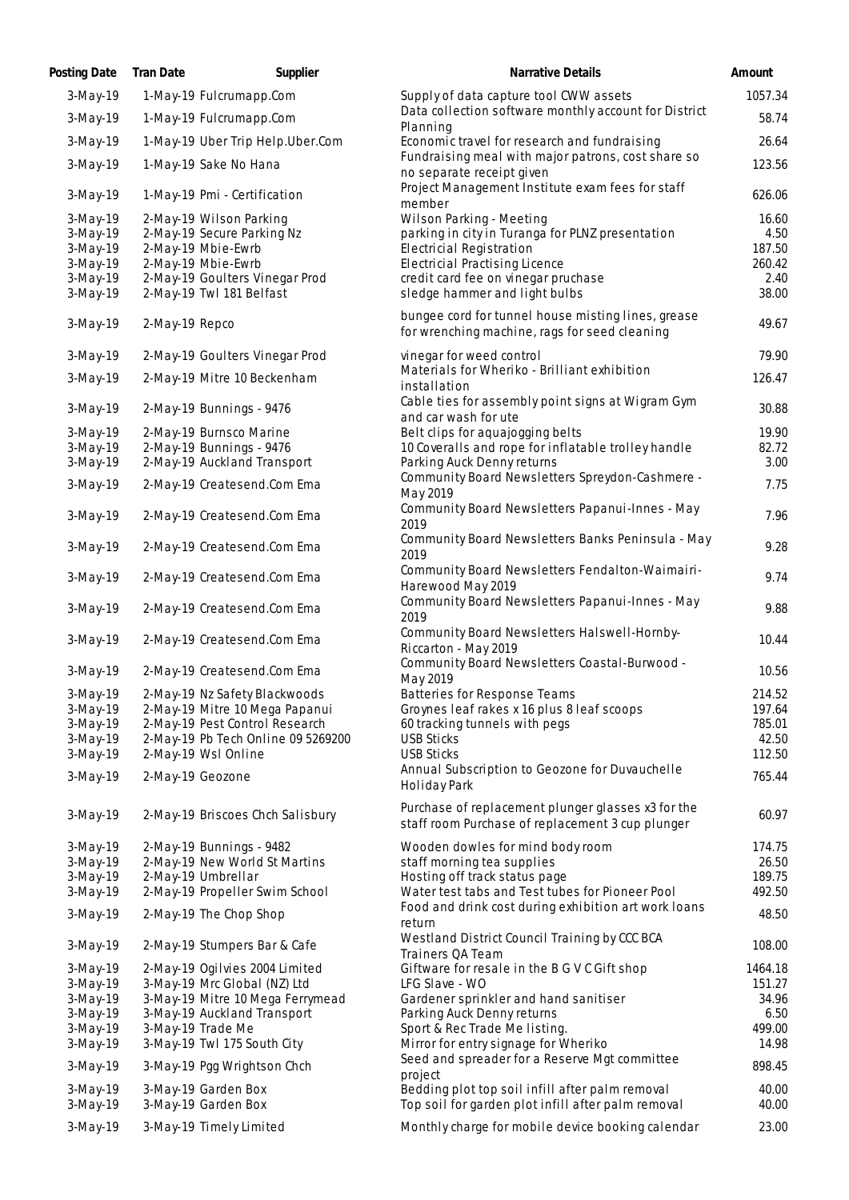| Posting Date           | <b>Tran Date</b> | Supplier                                   | Narrative Details                                                                                      | Amount         |
|------------------------|------------------|--------------------------------------------|--------------------------------------------------------------------------------------------------------|----------------|
| $3-May-19$             |                  | 1-May-19 Fulcrumapp.Com                    | Supply of data capture tool CWW assets                                                                 | 1057.34        |
| 3-May-19               |                  | 1-May-19 Fulcrumapp.Com                    | Data collection software monthly account for District<br>Planning                                      | 58.74          |
| 3-May-19               |                  | 1-May-19 Uber Trip Help.Uber.Com           | Economic travel for research and fundraising                                                           | 26.64          |
| 3-May-19               |                  | 1-May-19 Sake No Hana                      | Fundraising meal with major patrons, cost share so<br>no separate receipt given                        | 123.56         |
| 3-May-19               |                  | 1-May-19 Pmi - Certification               | Project Management Institute exam fees for staff<br>member                                             | 626.06         |
| $3-May-19$             |                  | 2-May-19 Wilson Parking                    | Wilson Parking - Meeting                                                                               | 16.60          |
| 3-May-19               |                  | 2-May-19 Secure Parking Nz                 | parking in city in Turanga for PLNZ presentation                                                       | 4.50           |
| $3-May-19$             |                  | 2-May-19 Mbie-Ewrb                         | <b>Electricial Registration</b>                                                                        | 187.50         |
| 3-May-19               |                  | 2-May-19 Mbie-Ewrb                         | <b>Electricial Practising Licence</b>                                                                  | 260.42         |
| 3-May-19               |                  | 2-May-19 Goulters Vinegar Prod             | credit card fee on vinegar pruchase                                                                    | 2.40           |
| 3-May-19               |                  | 2-May-19 Twl 181 Belfast                   | sledge hammer and light bulbs                                                                          | 38.00          |
| 3-May-19               | 2-May-19 Repco   |                                            | bungee cord for tunnel house misting lines, grease<br>for wrenching machine, rags for seed cleaning    | 49.67          |
| 3-May-19               |                  | 2-May-19 Goulters Vinegar Prod             | vinegar for weed control                                                                               | 79.90          |
| 3-May-19               |                  | 2-May-19 Mitre 10 Beckenham                | Materials for Wheriko - Brilliant exhibition                                                           | 126.47         |
|                        |                  |                                            | installation                                                                                           |                |
| $3-May-19$             |                  | 2-May-19 Bunnings - 9476                   | Cable ties for assembly point signs at Wigram Gym                                                      | 30.88          |
| 3-May-19               |                  | 2-May-19 Burnsco Marine                    | and car wash for ute<br>Belt clips for aquajogging belts                                               | 19.90          |
| $3-May-19$             |                  | 2-May-19 Bunnings - 9476                   | 10 Coveralls and rope for inflatable trolley handle                                                    | 82.72          |
| 3-May-19               |                  | 2-May-19 Auckland Transport                | Parking Auck Denny returns                                                                             | 3.00           |
|                        |                  |                                            | Community Board Newsletters Spreydon-Cashmere -                                                        |                |
| $3-May-19$             |                  | 2-May-19 Createsend.Com Ema                | May 2019                                                                                               | 7.75           |
| 3-May-19               |                  | 2-May-19 Createsend.Com Ema                | Community Board Newsletters Papanui-Innes - May<br>2019                                                | 7.96           |
| 3-May-19               |                  | 2-May-19 Createsend.Com Ema                | Community Board Newsletters Banks Peninsula - May<br>2019                                              | 9.28           |
| 3-May-19               |                  | 2-May-19 Createsend.Com Ema                | Community Board Newsletters Fendalton-Waimairi-<br>Harewood May 2019                                   | 9.74           |
| 3-May-19               |                  | 2-May-19 Createsend.Com Ema                | Community Board Newsletters Papanui-Innes - May<br>2019                                                | 9.88           |
| 3-May-19               |                  | 2-May-19 Createsend.Com Ema                | Community Board Newsletters Halswell-Hornby-<br>Riccarton - May 2019                                   | 10.44          |
| 3-May-19               |                  | 2-May-19 Createsend.Com Ema                | Community Board Newsletters Coastal-Burwood -<br>May 2019                                              | 10.56          |
| $3-May-19$             |                  | 2-May-19 Nz Safety Blackwoods              | Batteries for Response Teams                                                                           | 214.52         |
| 3-May-19               |                  | 2-May-19 Mitre 10 Mega Papanui             | Groynes leaf rakes x 16 plus 8 leaf scoops                                                             | 197.64         |
| 3-May-19               |                  | 2-May-19 Pest Control Research             | 60 tracking tunnels with pegs                                                                          | 785.01         |
| $3-May-19$             |                  | 2-May-19 Pb Tech Online 09 5269200         | <b>USB Sticks</b>                                                                                      | 42.50          |
| 3-May-19               |                  | 2-May-19 Wsl Online                        | <b>USB Sticks</b><br>Annual Subscription to Geozone for Duvauchelle                                    | 112.50         |
| 3-May-19               | 2-May-19 Geozone |                                            | Holiday Park                                                                                           | 765.44         |
| 3-May-19               |                  | 2-May-19 Briscoes Chch Salisbury           | Purchase of replacement plunger glasses x3 for the<br>staff room Purchase of replacement 3 cup plunger | 60.97          |
| $3-May-19$             |                  | 2-May-19 Bunnings - 9482                   | Wooden dowles for mind body room                                                                       | 174.75         |
| $3-May-19$             |                  | 2-May-19 New World St Martins              | staff morning tea supplies                                                                             | 26.50          |
| $3-May-19$             |                  | 2-May-19 Umbrellar                         | Hosting off track status page                                                                          | 189.75         |
| 3-May-19               |                  | 2-May-19 Propeller Swim School             | Water test tabs and Test tubes for Pioneer Pool                                                        | 492.50         |
| 3-May-19               |                  | 2-May-19 The Chop Shop                     | Food and drink cost during exhibition art work loans<br>return                                         | 48.50          |
| 3-May-19               |                  | 2-May-19 Stumpers Bar & Cafe               | Westland District Council Training by CCC BCA<br>Trainers QA Team                                      | 108.00         |
| $3-May-19$             |                  | 2-May-19 Ogilvies 2004 Limited             | Giftware for resale in the B G V C Gift shop                                                           | 1464.18        |
| $3-May-19$             |                  | 3-May-19 Mrc Global (NZ) Ltd               | LFG Slave - WO                                                                                         | 151.27         |
| $3-May-19$             |                  | 3-May-19 Mitre 10 Mega Ferrymead           | Gardener sprinkler and hand sanitiser                                                                  | 34.96          |
| $3-May-19$             |                  | 3-May-19 Auckland Transport                | Parking Auck Denny returns                                                                             | 6.50           |
| 3-May-19               |                  | 3-May-19 Trade Me                          | Sport & Rec Trade Me listing.                                                                          | 499.00         |
| 3-May-19               |                  | 3-May-19 Twl 175 South City                | Mirror for entry signage for Wheriko                                                                   | 14.98          |
| 3-May-19               |                  | 3-May-19 Pgg Wrightson Chch                | Seed and spreader for a Reserve Mgt committee<br>project                                               | 898.45         |
| $3-May-19$<br>3-May-19 |                  | 3-May-19 Garden Box<br>3-May-19 Garden Box | Bedding plot top soil infill after palm removal<br>Top soil for garden plot infill after palm removal  | 40.00<br>40.00 |
| $3-May-19$             |                  | 3-May-19 Timely Limited                    | Monthly charge for mobile device booking calendar                                                      | 23.00          |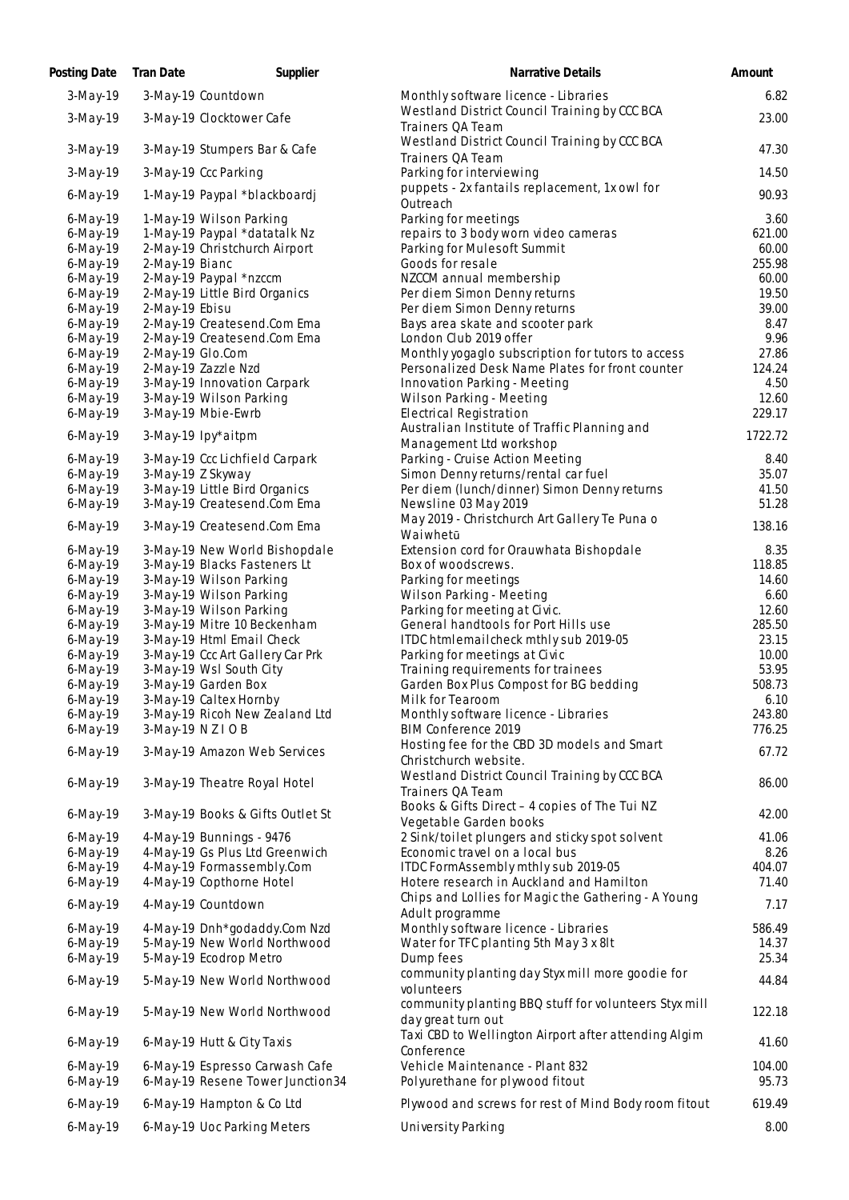| Posting Date               | <b>Tran Date</b> | Supplier                                                           | Narrative Details                                                          | Amount          |
|----------------------------|------------------|--------------------------------------------------------------------|----------------------------------------------------------------------------|-----------------|
| $3-May-19$                 |                  | 3-May-19 Countdown                                                 | Monthly software licence - Libraries                                       | 6.82            |
| 3-May-19                   |                  | 3-May-19 Clocktower Cafe                                           | Westland District Council Training by CCC BCA<br>Trainers QA Team          | 23.00           |
| 3-May-19                   |                  | 3-May-19 Stumpers Bar & Cafe                                       | Westland District Council Training by CCC BCA<br>Trainers QA Team          | 47.30           |
| $3-May-19$                 |                  | 3-May-19 Ccc Parking                                               | Parking for interviewing<br>puppets - 2x fantails replacement, 1x owl for  | 14.50           |
| 6-May-19                   |                  | 1-May-19 Paypal *blackboardj                                       | Outreach                                                                   | 90.93           |
| $6$ -May-19                |                  | 1-May-19 Wilson Parking                                            | Parking for meetings                                                       | 3.60            |
| $6$ -May-19                |                  | 1-May-19 Paypal *datatalk Nz                                       | repairs to 3 body worn video cameras                                       | 621.00          |
| $6$ -May-19                |                  | 2-May-19 Christchurch Airport                                      | Parking for Mulesoft Summit                                                | 60.00           |
| $6$ -May-19                | 2-May-19 Bianc   |                                                                    | Goods for resale                                                           | 255.98          |
| $6$ -May-19                |                  | 2-May-19 Paypal *nzccm                                             | NZCCM annual membership                                                    | 60.00           |
| $6$ -May-19                |                  | 2-May-19 Little Bird Organics                                      | Per diem Simon Denny returns                                               | 19.50           |
| $6$ -May-19                | 2-May-19 Ebisu   |                                                                    | Per diem Simon Denny returns                                               | 39.00           |
| $6$ -May-19                |                  | 2-May-19 Createsend.Com Ema                                        | Bays area skate and scooter park                                           | 8.47            |
| $6$ -May-19                |                  | 2-May-19 Createsend.Com Ema                                        | London Club 2019 offer                                                     | 9.96            |
| 6-May-19                   | 2-May-19 Glo.Com |                                                                    | Monthly yogaglo subscription for tutors to access                          | 27.86           |
| $6$ -May-19                |                  | 2-May-19 Zazzle Nzd                                                | Personalized Desk Name Plates for front counter                            | 124.24          |
| 6-May-19                   |                  | 3-May-19 Innovation Carpark<br>3-May-19 Wilson Parking             | Innovation Parking - Meeting<br>Wilson Parking - Meeting                   | 4.50<br>12.60   |
| $6$ -May-19                |                  |                                                                    | <b>Electrical Registration</b>                                             | 229.17          |
| $6$ -May-19                |                  | 3-May-19 Mbie-Ewrb                                                 |                                                                            |                 |
| 6-May-19                   |                  | 3-May-19 Ipy*aitpm                                                 | Australian Institute of Traffic Planning and                               | 1722.72         |
|                            |                  | 3-May-19 Ccc Lichfield Carpark                                     | Management Ltd workshop<br>Parking - Cruise Action Meeting                 | 8.40            |
| $6$ -May-19<br>$6$ -May-19 |                  | 3-May-19 Z Skyway                                                  | Simon Denny returns/rental car fuel                                        | 35.07           |
| $6$ -May-19                |                  | 3-May-19 Little Bird Organics                                      | Per diem (lunch/dinner) Simon Denny returns                                | 41.50           |
| $6$ -May-19                |                  | 3-May-19 Createsend.Com Ema                                        | Newsline 03 May 2019                                                       | 51.28           |
| 6-May-19                   |                  | 3-May-19 Createsend.Com Ema                                        | May 2019 - Christchurch Art Gallery Te Puna o                              | 138.16          |
| $6$ -May-19                |                  | 3-May-19 New World Bishopdale                                      | Waiwhetū<br>Extension cord for Orauwhata Bishopdale                        | 8.35            |
| $6$ -May-19                |                  | 3-May-19 Blacks Fasteners Lt                                       | Box of woodscrews.                                                         | 118.85          |
| $6$ -May-19                |                  | 3-May-19 Wilson Parking                                            | Parking for meetings                                                       | 14.60           |
| $6$ -May-19                |                  | 3-May-19 Wilson Parking                                            | Wilson Parking - Meeting                                                   | 6.60            |
| 6-May-19                   |                  | 3-May-19 Wilson Parking                                            | Parking for meeting at Civic.                                              | 12.60           |
| $6$ -May-19                |                  | 3-May-19 Mitre 10 Beckenham                                        | General handtools for Port Hills use                                       | 285.50          |
| $6$ -May-19                |                  | 3-May-19 Html Email Check                                          | ITDC htmlemailcheck mthly sub 2019-05                                      | 23.15           |
| $6$ -May-19                |                  | 3-May-19 Ccc Art Gallery Car Prk                                   | Parking for meetings at Civic                                              | 10.00           |
| $6$ -May-19                |                  | 3-May-19 Wsl South City                                            | Training requirements for trainees                                         | 53.95           |
| $6$ -May-19                |                  | 3-May-19 Garden Box                                                | Garden Box Plus Compost for BG bedding                                     | 508.73          |
| 6-May-19                   |                  | 3-May-19 Caltex Hornby                                             | Milk for Tearoom                                                           | 6.10            |
| 6-May-19                   |                  | 3-May-19 Ricoh New Zealand Ltd                                     | Monthly software licence - Libraries                                       | 243.80          |
| $6$ -May-19                | 3-May-19 NZIOB   |                                                                    | BIM Conference 2019                                                        | 776.25          |
| $6$ -May-19                |                  | 3-May-19 Amazon Web Services                                       | Hosting fee for the CBD 3D models and Smart<br>Christchurch website.       | 67.72           |
|                            |                  |                                                                    | Westland District Council Training by CCC BCA                              |                 |
| 6-May-19                   |                  | 3-May-19 Theatre Royal Hotel                                       | Trainers QA Team                                                           | 86.00           |
| 6-May-19                   |                  | 3-May-19 Books & Gifts Outlet St                                   | Books & Gifts Direct - 4 copies of The Tui NZ                              | 42.00           |
|                            |                  |                                                                    | Vegetable Garden books                                                     |                 |
| $6$ -May-19                |                  | 4-May-19 Bunnings - 9476                                           | 2 Sink/toilet plungers and sticky spot solvent                             | 41.06           |
| $6$ -May-19                |                  | 4-May-19 Gs Plus Ltd Greenwich                                     | Economic travel on a local bus                                             | 8.26            |
| $6$ -May-19                |                  | 4-May-19 Formassembly.Com                                          | ITDC FormAssembly mthly sub 2019-05                                        | 404.07          |
| $6$ -May-19                |                  | 4-May-19 Copthorne Hotel                                           | Hotere research in Auckland and Hamilton                                   | 71.40           |
| 6-May-19                   |                  | 4-May-19 Countdown                                                 | Chips and Lollies for Magic the Gathering - A Young<br>Adult programme     | 7.17            |
| $6$ -May-19                |                  | 4-May-19 Dnh*godaddy.Com Nzd                                       | Monthly software licence - Libraries                                       | 586.49          |
| $6$ -May-19                |                  | 5-May-19 New World Northwood                                       | Water for TFC planting 5th May 3 x 8lt                                     | 14.37           |
| 6-May-19                   |                  | 5-May-19 Ecodrop Metro                                             | Dump fees                                                                  | 25.34           |
| 6-May-19                   |                  | 5-May-19 New World Northwood                                       | community planting day Styx mill more goodie for<br>volunteers             | 44.84           |
| 6-May-19                   |                  | 5-May-19 New World Northwood                                       | community planting BBQ stuff for volunteers Styx mill                      | 122.18          |
|                            |                  |                                                                    | day great turn out<br>Taxi CBD to Wellington Airport after attending Algim |                 |
| 6-May-19                   |                  | 6-May-19 Hutt & City Taxis                                         | Conference                                                                 | 41.60           |
| $6$ -May-19<br>6-May-19    |                  | 6-May-19 Espresso Carwash Cafe<br>6-May-19 Resene Tower Junction34 | Vehicle Maintenance - Plant 832<br>Polyurethane for plywood fitout         | 104.00<br>95.73 |
|                            |                  |                                                                    |                                                                            |                 |
| 6-May-19                   |                  | 6-May-19 Hampton & Co Ltd                                          | Plywood and screws for rest of Mind Body room fitout                       | 619.49          |
| $6$ -May-19                |                  | 6-May-19 Uoc Parking Meters                                        | University Parking                                                         | 8.00            |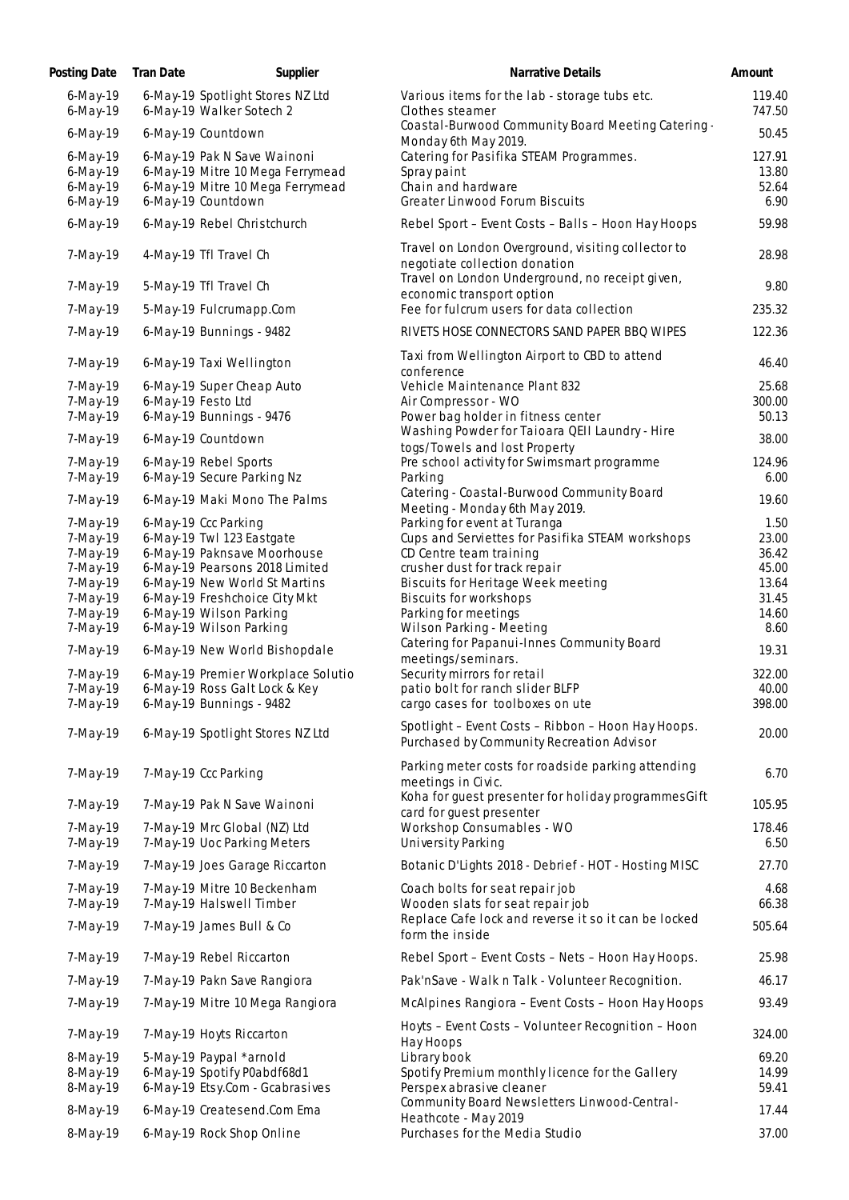| Posting Date                                          | Tran Date | Supplier                                                                                                                  | Narrative Details                                                                                              | Amount                           |
|-------------------------------------------------------|-----------|---------------------------------------------------------------------------------------------------------------------------|----------------------------------------------------------------------------------------------------------------|----------------------------------|
| $6$ -May-19<br>$6$ -May-19                            |           | 6-May-19 Spotlight Stores NZ Ltd<br>6-May-19 Walker Sotech 2                                                              | Various items for the lab - storage tubs etc.<br>Clothes steamer                                               | 119.40<br>747.50                 |
| 6-May-19                                              |           | 6-May-19 Countdown                                                                                                        | Coastal-Burwood Community Board Meeting Catering -<br>Monday 6th May 2019.                                     | 50.45                            |
| $6$ -May-19<br>$6$ -May-19<br>$6$ -May-19<br>6-May-19 |           | 6-May-19 Pak N Save Wainoni<br>6-May-19 Mitre 10 Mega Ferrymead<br>6-May-19 Mitre 10 Mega Ferrymead<br>6-May-19 Countdown | Catering for Pasifika STEAM Programmes.<br>Spray paint<br>Chain and hardware<br>Greater Linwood Forum Biscuits | 127.91<br>13.80<br>52.64<br>6.90 |
| $6$ -May-19                                           |           | 6-May-19 Rebel Christchurch                                                                                               | Rebel Sport - Event Costs - Balls - Hoon Hay Hoops                                                             | 59.98                            |
| 7-May-19                                              |           | 4-May-19 Tfl Travel Ch                                                                                                    | Travel on London Overground, visiting collector to<br>negotiate collection donation                            | 28.98                            |
| 7-May-19                                              |           | 5-May-19 Tfl Travel Ch                                                                                                    | Travel on London Underground, no receipt given,<br>economic transport option                                   | 9.80                             |
| 7-May-19                                              |           | 5-May-19 Fulcrumapp.Com                                                                                                   | Fee for fulcrum users for data collection                                                                      | 235.32                           |
| 7-May-19                                              |           | 6-May-19 Bunnings - 9482                                                                                                  | RIVETS HOSE CONNECTORS SAND PAPER BBQ WIPES                                                                    | 122.36                           |
| 7-May-19                                              |           | 6-May-19 Taxi Wellington                                                                                                  | Taxi from Wellington Airport to CBD to attend<br>conference                                                    | 46.40                            |
| 7-May-19                                              |           | 6-May-19 Super Cheap Auto                                                                                                 | Vehicle Maintenance Plant 832                                                                                  | 25.68                            |
| 7-May-19                                              |           | 6-May-19 Festo Ltd<br>6-May-19 Bunnings - 9476                                                                            | Air Compressor - WO<br>Power bag holder in fitness center                                                      | 300.00                           |
| 7-May-19                                              |           |                                                                                                                           | Washing Powder for Taioara QEII Laundry - Hire                                                                 | 50.13                            |
| 7-May-19                                              |           | 6-May-19 Countdown                                                                                                        | togs/Towels and lost Property                                                                                  | 38.00                            |
| 7-May-19                                              |           | 6-May-19 Rebel Sports<br>6-May-19 Secure Parking Nz                                                                       | Pre school activity for Swimsmart programme                                                                    | 124.96                           |
| 7-May-19<br>7-May-19                                  |           | 6-May-19 Maki Mono The Palms                                                                                              | Parking<br>Catering - Coastal-Burwood Community Board                                                          | 6.00<br>19.60                    |
|                                                       |           |                                                                                                                           | Meeting - Monday 6th May 2019.                                                                                 |                                  |
| 7-May-19                                              |           | 6-May-19 Ccc Parking<br>6-May-19 Twl 123 Eastgate                                                                         | Parking for event at Turanga                                                                                   | 1.50<br>23.00                    |
| 7-May-19<br>7-May-19                                  |           | 6-May-19 Paknsave Moorhouse                                                                                               | Cups and Serviettes for Pasifika STEAM workshops<br>CD Centre team training                                    | 36.42                            |
| 7-May-19                                              |           | 6-May-19 Pearsons 2018 Limited                                                                                            | crusher dust for track repair                                                                                  | 45.00                            |
| 7-May-19                                              |           | 6-May-19 New World St Martins                                                                                             | Biscuits for Heritage Week meeting                                                                             | 13.64                            |
| 7-May-19                                              |           | 6-May-19 Freshchoice City Mkt                                                                                             | Biscuits for workshops                                                                                         | 31.45                            |
| 7-May-19                                              |           | 6-May-19 Wilson Parking                                                                                                   | Parking for meetings                                                                                           | 14.60                            |
| 7-May-19                                              |           | 6-May-19 Wilson Parking                                                                                                   | Wilson Parking - Meeting                                                                                       | 8.60                             |
| 7-May-19                                              |           | 6-May-19 New World Bishopdale                                                                                             | Catering for Papanui-Innes Community Board<br>meetings/seminars.                                               | 19.31                            |
| 7-May-19                                              |           | 6-May-19 Premier Workplace Solutio                                                                                        | Security mirrors for retail                                                                                    | 322.00                           |
| 7-May-19                                              |           | 6-May-19 Ross Galt Lock & Key                                                                                             | patio bolt for ranch slider BLFP                                                                               | 40.00                            |
| 7-May-19                                              |           | 6-May-19 Bunnings - 9482                                                                                                  | cargo cases for toolboxes on ute                                                                               | 398.00                           |
| 7-May-19                                              |           | 6-May-19 Spotlight Stores NZ Ltd                                                                                          | Spotlight - Event Costs - Ribbon - Hoon Hay Hoops.<br>Purchased by Community Recreation Advisor                | 20.00                            |
| 7-May-19                                              |           | 7-May-19 Ccc Parking                                                                                                      | Parking meter costs for roadside parking attending<br>meetings in Civic.                                       | 6.70                             |
| 7-May-19                                              |           | 7-May-19 Pak N Save Wainoni                                                                                               | Koha for guest presenter for holiday programmes Gift<br>card for guest presenter                               | 105.95                           |
| 7-May-19<br>7-May-19                                  |           | 7-May-19 Mrc Global (NZ) Ltd<br>7-May-19 Uoc Parking Meters                                                               | Workshop Consumables - WO<br>University Parking                                                                | 178.46<br>6.50                   |
| 7-May-19                                              |           | 7-May-19 Joes Garage Riccarton                                                                                            | Botanic D'Lights 2018 - Debrief - HOT - Hosting MISC                                                           | 27.70                            |
|                                                       |           |                                                                                                                           |                                                                                                                |                                  |
| 7-May-19<br>7-May-19                                  |           | 7-May-19 Mitre 10 Beckenham<br>7-May-19 Halswell Timber                                                                   | Coach bolts for seat repair job<br>Wooden slats for seat repair job                                            | 4.68<br>66.38                    |
| 7-May-19                                              |           | 7-May-19 James Bull & Co                                                                                                  | Replace Cafe lock and reverse it so it can be locked<br>form the inside                                        | 505.64                           |
| 7-May-19                                              |           | 7-May-19 Rebel Riccarton                                                                                                  | Rebel Sport - Event Costs - Nets - Hoon Hay Hoops.                                                             | 25.98                            |
| 7-May-19                                              |           | 7-May-19 Pakn Save Rangiora                                                                                               | Pak'nSave - Walk n Talk - Volunteer Recognition.                                                               | 46.17                            |
| 7-May-19                                              |           | 7-May-19 Mitre 10 Mega Rangiora                                                                                           | McAlpines Rangiora - Event Costs - Hoon Hay Hoops                                                              | 93.49                            |
| 7-May-19                                              |           | 7-May-19 Hoyts Riccarton                                                                                                  | Hoyts - Event Costs - Volunteer Recognition - Hoon<br>Hay Hoops                                                | 324.00                           |
| 8-May-19                                              |           | 5-May-19 Paypal *arnold                                                                                                   | Library book                                                                                                   | 69.20                            |
| 8-May-19                                              |           | 6-May-19 Spotify P0abdf68d1                                                                                               | Spotify Premium monthly licence for the Gallery                                                                | 14.99                            |
| 8-May-19                                              |           | 6-May-19 Etsy.Com - Gcabrasives                                                                                           | Perspex abrasive cleaner                                                                                       | 59.41                            |
| 8-May-19                                              |           | 6-May-19 Createsend.Com Ema                                                                                               | Community Board Newsletters Linwood-Central-                                                                   | 17.44                            |
| 8-May-19                                              |           | 6-May-19 Rock Shop Online                                                                                                 | Heathcote - May 2019<br>Purchases for the Media Studio                                                         | 37.00                            |
|                                                       |           |                                                                                                                           |                                                                                                                |                                  |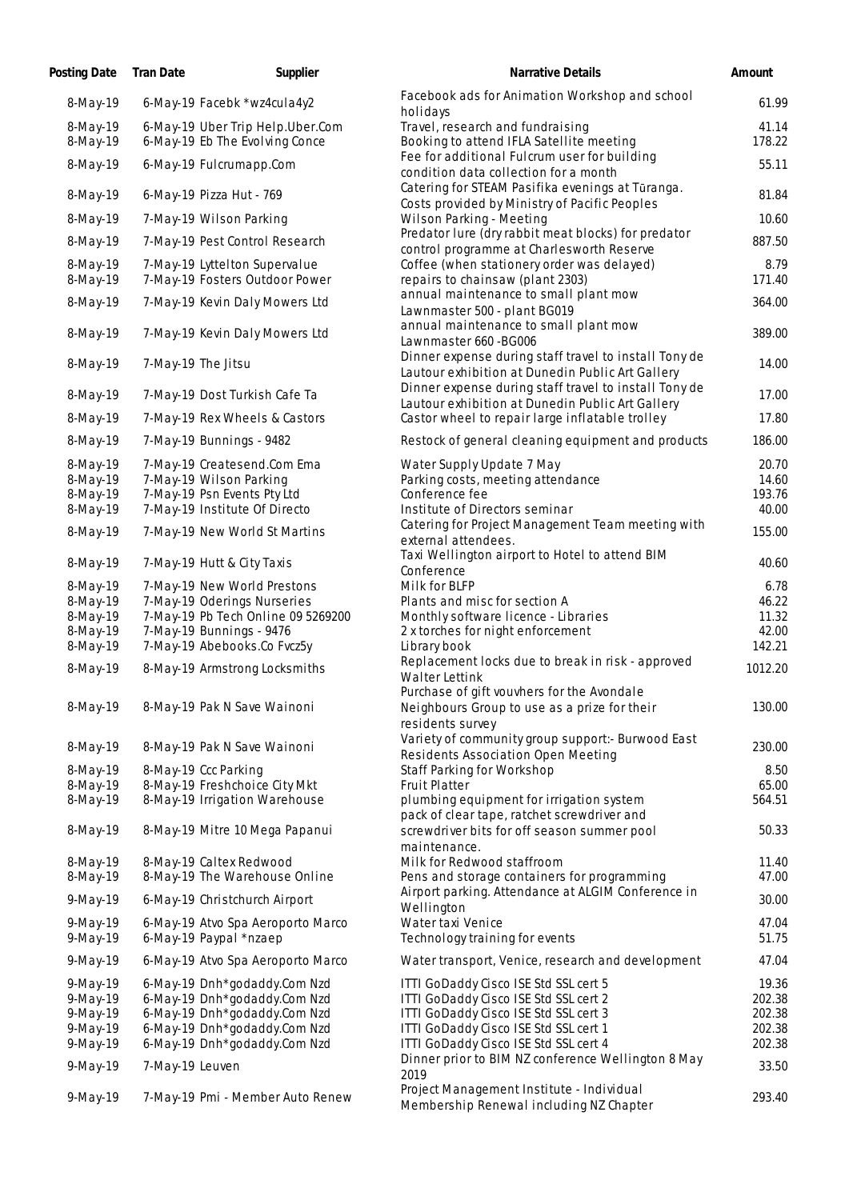| Posting Date         | Tran Date          | Supplier                                                           | Narrative Details                                                                                         | Amount           |
|----------------------|--------------------|--------------------------------------------------------------------|-----------------------------------------------------------------------------------------------------------|------------------|
| 8-May-19             |                    | 6-May-19 Facebk *wz4cula4y2                                        | Facebook ads for Animation Workshop and school<br>holidays                                                | 61.99            |
| 8-May-19<br>8-May-19 |                    | 6-May-19 Uber Trip Help.Uber.Com<br>6-May-19 Eb The Evolving Conce | Travel, research and fundraising<br>Booking to attend IFLA Satellite meeting                              | 41.14<br>178.22  |
| 8-May-19             |                    | 6-May-19 Fulcrumapp.Com                                            | Fee for additional Fulcrum user for building<br>condition data collection for a month                     | 55.11            |
| 8-May-19             |                    | 6-May-19 Pizza Hut - 769                                           | Catering for STEAM Pasifika evenings at Tūranga.<br>Costs provided by Ministry of Pacific Peoples         | 81.84            |
| 8-May-19             |                    | 7-May-19 Wilson Parking                                            | Wilson Parking - Meeting                                                                                  | 10.60            |
| 8-May-19             |                    | 7-May-19 Pest Control Research                                     | Predator lure (dry rabbit meat blocks) for predator<br>control programme at Charlesworth Reserve          | 887.50           |
| 8-May-19<br>8-May-19 |                    | 7-May-19 Lyttelton Supervalue<br>7-May-19 Fosters Outdoor Power    | Coffee (when stationery order was delayed)<br>repairs to chainsaw (plant 2303)                            | 8.79<br>171.40   |
| 8-May-19             |                    | 7-May-19 Kevin Daly Mowers Ltd                                     | annual maintenance to small plant mow<br>Lawnmaster 500 - plant BG019                                     | 364.00           |
| 8-May-19             |                    | 7-May-19 Kevin Daly Mowers Ltd                                     | annual maintenance to small plant mow<br>Lawnmaster 660 - BG006                                           | 389.00           |
| 8-May-19             | 7-May-19 The Jitsu |                                                                    | Dinner expense during staff travel to install Tony de<br>Lautour exhibition at Dunedin Public Art Gallery | 14.00            |
| 8-May-19             |                    | 7-May-19 Dost Turkish Cafe Ta                                      | Dinner expense during staff travel to install Tony de<br>Lautour exhibition at Dunedin Public Art Gallery | 17.00            |
| 8-May-19             |                    | 7-May-19 Rex Wheels & Castors                                      | Castor wheel to repair large inflatable trolley                                                           | 17.80            |
| 8-May-19             |                    | 7-May-19 Bunnings - 9482                                           | Restock of general cleaning equipment and products                                                        | 186.00           |
| 8-May-19             |                    | 7-May-19 Createsend.Com Ema                                        | Water Supply Update 7 May                                                                                 | 20.70            |
| 8-May-19             |                    | 7-May-19 Wilson Parking                                            | Parking costs, meeting attendance                                                                         | 14.60            |
| 8-May-19             |                    | 7-May-19 Psn Events Pty Ltd                                        | Conference fee                                                                                            | 193.76           |
| 8-May-19<br>8-May-19 |                    | 7-May-19 Institute Of Directo<br>7-May-19 New World St Martins     | Institute of Directors seminar<br>Catering for Project Management Team meeting with                       | 40.00<br>155.00  |
| 8-May-19             |                    | 7-May-19 Hutt & City Taxis                                         | external attendees.<br>Taxi Wellington airport to Hotel to attend BIM                                     | 40.60            |
| 8-May-19             |                    | 7-May-19 New World Prestons                                        | Conference<br>Milk for BLFP                                                                               | 6.78             |
| 8-May-19             |                    | 7-May-19 Oderings Nurseries                                        | Plants and misc for section A                                                                             | 46.22            |
| 8-May-19             |                    | 7-May-19 Pb Tech Online 09 5269200                                 | Monthly software licence - Libraries                                                                      | 11.32            |
| 8-May-19             |                    | 7-May-19 Bunnings - 9476                                           | 2 x torches for night enforcement                                                                         | 42.00            |
| 8-May-19             |                    | 7-May-19 Abebooks.Co Fvcz5y                                        | Library book                                                                                              | 142.21           |
| 8-May-19             |                    | 8-May-19 Armstrong Locksmiths                                      | Replacement locks due to break in risk - approved<br>Walter Lettink                                       | 1012.20          |
| 8-May-19             |                    | 8-May-19 Pak N Save Wainoni                                        | Purchase of gift vouvhers for the Avondale<br>Neighbours Group to use as a prize for their                | 130.00           |
| 8-May-19             |                    | 8-May-19 Pak N Save Wainoni                                        | residents survey<br>Variety of community group support:- Burwood East                                     | 230.00           |
|                      |                    |                                                                    | Residents Association Open Meeting                                                                        |                  |
| 8-May-19             |                    | 8-May-19 Ccc Parking                                               | Staff Parking for Workshop                                                                                | 8.50             |
| 8-May-19<br>8-May-19 |                    | 8-May-19 Freshchoice City Mkt<br>8-May-19 Irrigation Warehouse     | Fruit Platter<br>plumbing equipment for irrigation system                                                 | 65.00<br>564.51  |
| 8-May-19             |                    | 8-May-19 Mitre 10 Mega Papanui                                     | pack of clear tape, ratchet screwdriver and<br>screwdriver bits for off season summer pool                | 50.33            |
|                      |                    |                                                                    | maintenance.                                                                                              |                  |
| 8-May-19<br>8-May-19 |                    | 8-May-19 Caltex Redwood<br>8-May-19 The Warehouse Online           | Milk for Redwood staffroom<br>Pens and storage containers for programming                                 | 11.40<br>47.00   |
| 9-May-19             |                    | 6-May-19 Christchurch Airport                                      | Airport parking. Attendance at ALGIM Conference in<br>Wellington                                          | 30.00            |
| $9$ -May-19          |                    | 6-May-19 Atvo Spa Aeroporto Marco                                  | Water taxi Venice                                                                                         | 47.04            |
| 9-May-19             |                    | 6-May-19 Paypal *nzaep                                             | Technology training for events                                                                            | 51.75            |
| 9-May-19             |                    | 6-May-19 Atvo Spa Aeroporto Marco                                  | Water transport, Venice, research and development                                                         | 47.04            |
| 9-May-19             |                    | 6-May-19 Dnh*godaddy.Com Nzd                                       | ITTI GoDaddy Cisco ISE Std SSL cert 5                                                                     | 19.36            |
| 9-May-19             |                    | 6-May-19 Dnh*godaddy.Com Nzd                                       | ITTI GoDaddy Cisco ISE Std SSL cert 2                                                                     | 202.38           |
| 9-May-19             |                    | 6-May-19 Dnh*godaddy.Com Nzd                                       | ITTI GoDaddy Cisco ISE Std SSL cert 3                                                                     | 202.38           |
| 9-May-19<br>9-May-19 |                    | 6-May-19 Dnh*godaddy.Com Nzd<br>6-May-19 Dnh*godaddy.Com Nzd       | ITTI GoDaddy Cisco ISE Std SSL cert 1<br>ITTI GoDaddy Cisco ISE Std SSL cert 4                            | 202.38<br>202.38 |
| 9-May-19             | 7-May-19 Leuven    |                                                                    | Dinner prior to BIM NZ conference Wellington 8 May                                                        | 33.50            |
| 9-May-19             |                    | 7-May-19 Pmi - Member Auto Renew                                   | 2019<br>Project Management Institute - Individual<br>Membership Renewal including NZ Chapter              | 293.40           |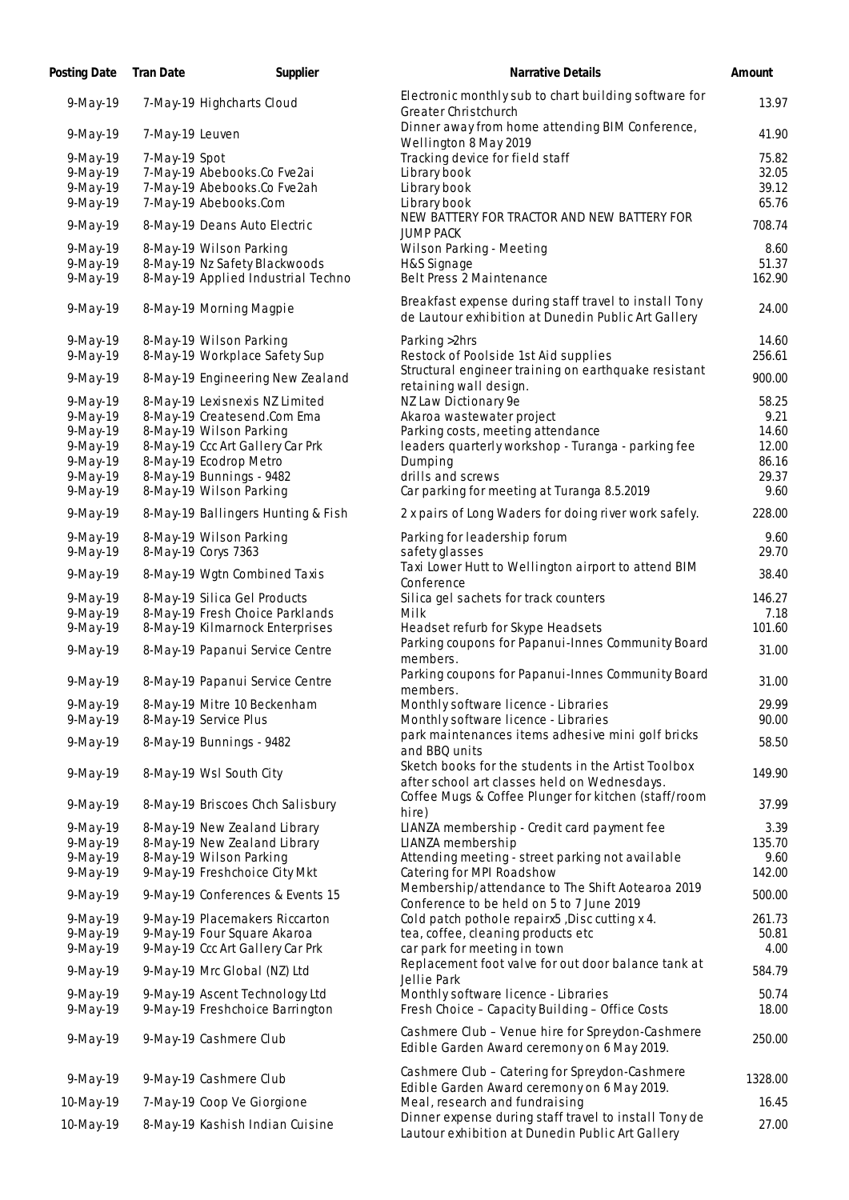| Posting Date Tran Date  |                 | Supplier                                                          | Narrative Details                                                                                            | Amount         |
|-------------------------|-----------------|-------------------------------------------------------------------|--------------------------------------------------------------------------------------------------------------|----------------|
| 9-May-19                |                 | 7-May-19 Highcharts Cloud                                         | Electronic monthly sub to chart building software for<br>Greater Christchurch                                | 13.97          |
| 9-May-19                | 7-May-19 Leuven |                                                                   | Dinner away from home attending BIM Conference,<br>Wellington 8 May 2019                                     | 41.90          |
| $9$ -May-19             | 7-May-19 Spot   |                                                                   | Tracking device for field staff                                                                              | 75.82          |
| 9-May-19                |                 | 7-May-19 Abebooks.Co Fve2ai                                       | Library book                                                                                                 | 32.05          |
| 9-May-19                |                 | 7-May-19 Abebooks.Co Fve2ah                                       | Library book                                                                                                 | 39.12          |
| 9-May-19                |                 | 7-May-19 Abebooks.Com                                             | Library book                                                                                                 | 65.76          |
| 9-May-19                |                 | 8-May-19 Deans Auto Electric                                      | NEW BATTERY FOR TRACTOR AND NEW BATTERY FOR<br><b>JUMP PACK</b>                                              | 708.74         |
| $9-May-19$              |                 | 8-May-19 Wilson Parking                                           | Wilson Parking - Meeting                                                                                     | 8.60           |
| $9$ -May-19             |                 | 8-May-19 Nz Safety Blackwoods                                     | H&S Signage                                                                                                  | 51.37          |
| 9-May-19                |                 | 8-May-19 Applied Industrial Techno                                | Belt Press 2 Maintenance                                                                                     | 162.90         |
| 9-May-19                |                 | 8-May-19 Morning Magpie                                           | Breakfast expense during staff travel to install Tony<br>de Lautour exhibition at Dunedin Public Art Gallery | 24.00          |
| 9-May-19                |                 | 8-May-19 Wilson Parking                                           | Parking > 2hrs                                                                                               | 14.60          |
| $9$ -May-19             |                 | 8-May-19 Workplace Safety Sup                                     | Restock of Poolside 1st Aid supplies                                                                         | 256.61         |
|                         |                 |                                                                   | Structural engineer training on earthquake resistant                                                         | 900.00         |
| 9-May-19                |                 | 8-May-19 Engineering New Zealand                                  | retaining wall design.                                                                                       |                |
| 9-May-19                |                 | 8-May-19 Lexisnexis NZ Limited                                    | NZ Law Dictionary 9e                                                                                         | 58.25          |
| 9-May-19                |                 | 8-May-19 Createsend.Com Ema                                       | Akaroa wastewater project                                                                                    | 9.21           |
| 9-May-19                |                 | 8-May-19 Wilson Parking                                           | Parking costs, meeting attendance                                                                            | 14.60          |
| 9-May-19                |                 | 8-May-19 Ccc Art Gallery Car Prk                                  | leaders quarterly workshop - Turanga - parking fee                                                           | 12.00          |
| 9-May-19                |                 | 8-May-19 Ecodrop Metro                                            | Dumping                                                                                                      | 86.16          |
| $9-May-19$              |                 | 8-May-19 Bunnings - 9482                                          | drills and screws                                                                                            | 29.37          |
| $9$ -May-19             |                 | 8-May-19 Wilson Parking                                           | Car parking for meeting at Turanga 8.5.2019                                                                  | 9.60           |
| $9$ -May-19             |                 | 8-May-19 Ballingers Hunting & Fish                                | 2 x pairs of Long Waders for doing river work safely.                                                        | 228.00         |
| 9-May-19                |                 | 8-May-19 Wilson Parking                                           | Parking for leadership forum                                                                                 | 9.60           |
| $9$ -May-19             |                 | 8-May-19 Corys 7363                                               | safety glasses                                                                                               | 29.70          |
| 9-May-19                |                 | 8-May-19 Wgtn Combined Taxis                                      | Taxi Lower Hutt to Wellington airport to attend BIM<br>Conference                                            | 38.40          |
| 9-May-19                |                 | 8-May-19 Silica Gel Products                                      | Silica gel sachets for track counters                                                                        | 146.27         |
| 9-May-19                |                 | 8-May-19 Fresh Choice Parklands                                   | Milk                                                                                                         | 7.18           |
| $9-May-19$              |                 | 8-May-19 Kilmarnock Enterprises                                   | Headset refurb for Skype Headsets                                                                            | 101.60         |
| $9-May-19$              |                 | 8-May-19 Papanui Service Centre                                   | Parking coupons for Papanui-Innes Community Board<br>members.                                                | 31.00          |
| 9-May-19                |                 | 8-May-19 Papanui Service Centre                                   | Parking coupons for Papanui-Innes Community Board<br>members.                                                | 31.00          |
| 9-May-19                |                 | 8-May-19 Mitre 10 Beckenham                                       | Monthly software licence - Libraries                                                                         | 29.99          |
| $9-May-19$              |                 | 8-May-19 Service Plus                                             | Monthly software licence - Libraries                                                                         | 90.00          |
|                         |                 |                                                                   | park maintenances items adhesive mini golf bricks                                                            |                |
| $9-May-19$              |                 | 8-May-19 Bunnings - 9482                                          | and BBQ units                                                                                                | 58.50          |
|                         |                 |                                                                   | Sketch books for the students in the Artist Toolbox                                                          |                |
| 9-May-19                |                 | 8-May-19 Wsl South City                                           | after school art classes held on Wednesdays.                                                                 | 149.90         |
| 9-May-19                |                 | 8-May-19 Briscoes Chch Salisbury                                  | Coffee Mugs & Coffee Plunger for kitchen (staff/room<br>hire)                                                | 37.99          |
| 9-May-19                |                 | 8-May-19 New Zealand Library                                      | LIANZA membership - Credit card payment fee                                                                  | 3.39           |
| $9$ -May-19             |                 | 8-May-19 New Zealand Library                                      | LIANZA membership                                                                                            | 135.70         |
| $9$ -May-19             |                 | 8-May-19 Wilson Parking                                           | Attending meeting - street parking not available                                                             | 9.60           |
| $9$ -May-19             |                 | 9-May-19 Freshchoice City Mkt                                     | Catering for MPI Roadshow                                                                                    | 142.00         |
| 9-May-19                |                 | 9-May-19 Conferences & Events 15                                  | Membership/attendance to The Shift Aotearoa 2019                                                             | 500.00         |
| $9$ -May-19             |                 | 9-May-19 Placemakers Riccarton                                    | Conference to be held on 5 to 7 June 2019<br>Cold patch pothole repairx5, Disc cutting x 4.                  | 261.73         |
|                         |                 | 9-May-19 Four Square Akaroa                                       |                                                                                                              | 50.81          |
| 9-May-19                |                 |                                                                   | tea, coffee, cleaning products etc                                                                           | 4.00           |
| $9$ -May-19             |                 | 9-May-19 Ccc Art Gallery Car Prk                                  | car park for meeting in town<br>Replacement foot valve for out door balance tank at                          |                |
| 9-May-19                |                 | 9-May-19 Mrc Global (NZ) Ltd                                      | Jellie Park                                                                                                  | 584.79         |
| 9-May-19<br>$9$ -May-19 |                 | 9-May-19 Ascent Technology Ltd<br>9-May-19 Freshchoice Barrington | Monthly software licence - Libraries<br>Fresh Choice - Capacity Building - Office Costs                      | 50.74<br>18.00 |
| 9-May-19                |                 | 9-May-19 Cashmere Club                                            | Cashmere Club - Venue hire for Spreydon-Cashmere<br>Edible Garden Award ceremony on 6 May 2019.              | 250.00         |
| 9-May-19                |                 | 9-May-19 Cashmere Club                                            | Cashmere Club - Catering for Spreydon-Cashmere<br>Edible Garden Award ceremony on 6 May 2019.                | 1328.00        |
| 10-May-19               |                 | 7-May-19 Coop Ve Giorgione                                        | Meal, research and fundraising                                                                               | 16.45          |
|                         |                 |                                                                   | Dinner expense during staff travel to install Tony de                                                        |                |
| 10-May-19               |                 | 8-May-19 Kashish Indian Cuisine                                   | Lautour exhibition at Dunedin Public Art Gallery                                                             | 27.00          |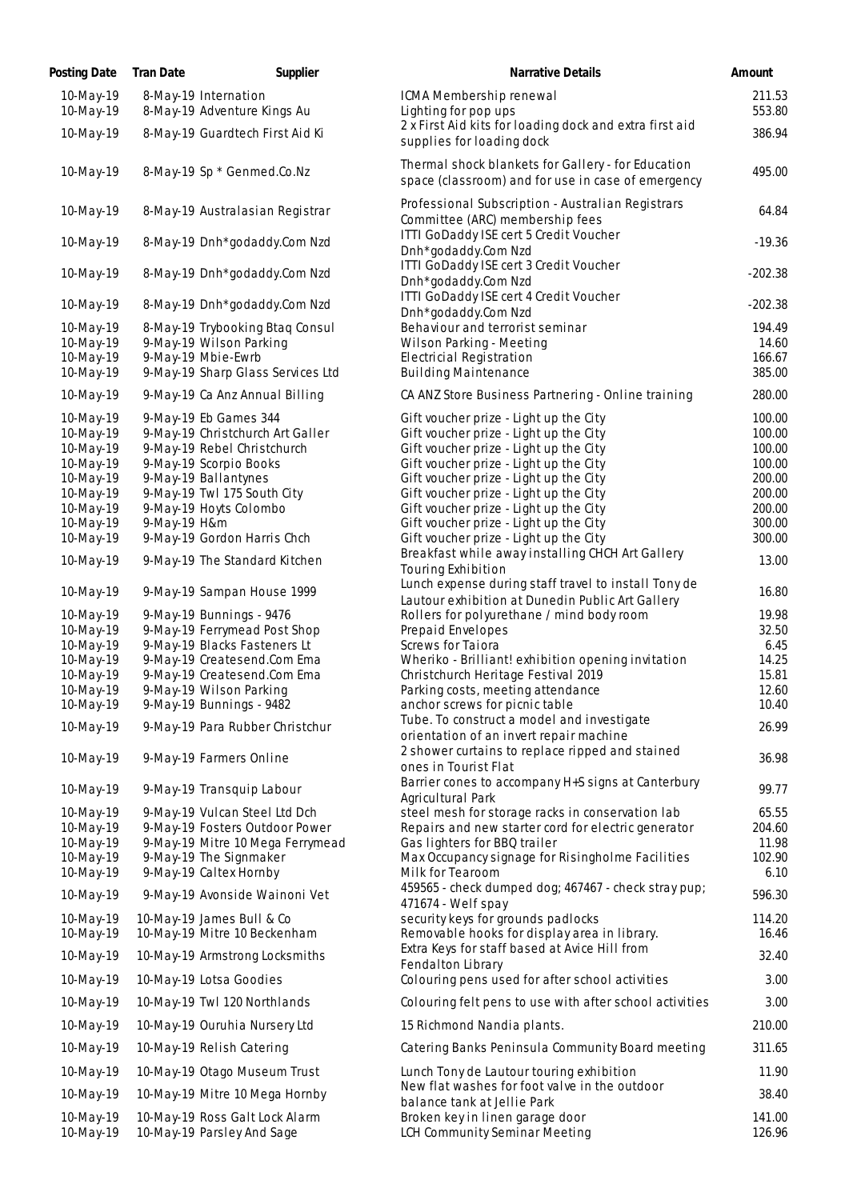| Posting Date              | <b>Tran Date</b> | Supplier                                            | <b>Narrative Details</b>                                                                                 | Amount           |
|---------------------------|------------------|-----------------------------------------------------|----------------------------------------------------------------------------------------------------------|------------------|
| $10$ -May-19<br>10-May-19 |                  | 8-May-19 Internation<br>8-May-19 Adventure Kings Au | ICMA Membership renewal<br>Lighting for pop ups                                                          | 211.53<br>553.80 |
| 10-May-19                 |                  | 8-May-19 Guardtech First Aid Ki                     | 2 x First Aid kits for loading dock and extra first aid                                                  | 386.94           |
|                           |                  |                                                     | supplies for loading dock<br>Thermal shock blankets for Gallery - for Education                          |                  |
| 10-May-19                 |                  | 8-May-19 Sp * Genmed.Co.Nz                          | space (classroom) and for use in case of emergency                                                       | 495.00           |
| 10-May-19                 |                  | 8-May-19 Australasian Registrar                     | Professional Subscription - Australian Registrars<br>Committee (ARC) membership fees                     | 64.84            |
| 10-May-19                 |                  | 8-May-19 Dnh*godaddy.Com Nzd                        | ITTI GoDaddy ISE cert 5 Credit Voucher<br>Dnh*godaddy.Com Nzd                                            | $-19.36$         |
| 10-May-19                 |                  | 8-May-19 Dnh*godaddy.Com Nzd                        | ITTI GoDaddy ISE cert 3 Credit Voucher<br>Dnh*godaddy.Com Nzd                                            | $-202.38$        |
| 10-May-19                 |                  | 8-May-19 Dnh*godaddy.Com Nzd                        | ITTI GoDaddy ISE cert 4 Credit Voucher<br>Dnh*godaddy.Com Nzd                                            | $-202.38$        |
| 10-May-19                 |                  | 8-May-19 Trybooking Btaq Consul                     | Behaviour and terrorist seminar                                                                          | 194.49           |
| 10-May-19                 |                  | 9-May-19 Wilson Parking                             | Wilson Parking - Meeting                                                                                 | 14.60            |
| 10-May-19                 |                  | 9-May-19 Mbie-Ewrb                                  | Electricial Registration                                                                                 | 166.67           |
| 10-May-19                 |                  | 9-May-19 Sharp Glass Services Ltd                   | <b>Building Maintenance</b>                                                                              | 385.00           |
| 10-May-19                 |                  | 9-May-19 Ca Anz Annual Billing                      | CA ANZ Store Business Partnering - Online training                                                       | 280.00           |
| 10-May-19                 |                  | 9-May-19 Eb Games 344                               | Gift voucher prize - Light up the City                                                                   | 100.00           |
| 10-May-19                 |                  | 9-May-19 Christchurch Art Galler                    | Gift voucher prize - Light up the City                                                                   | 100.00           |
| 10-May-19                 |                  | 9-May-19 Rebel Christchurch                         | Gift voucher prize - Light up the City                                                                   | 100.00           |
| 10-May-19                 |                  | 9-May-19 Scorpio Books                              | Gift voucher prize - Light up the City                                                                   | 100.00           |
| 10-May-19                 |                  | 9-May-19 Ballantynes                                | Gift voucher prize - Light up the City                                                                   | 200.00           |
| 10-May-19                 |                  | 9-May-19 Twl 175 South City                         | Gift voucher prize - Light up the City                                                                   | 200.00           |
| 10-May-19                 |                  | 9-May-19 Hoyts Colombo                              | Gift voucher prize - Light up the City                                                                   | 200.00           |
| 10-May-19                 | 9-May-19 H&m     |                                                     | Gift voucher prize - Light up the City                                                                   | 300.00           |
| 10-May-19                 |                  | 9-May-19 Gordon Harris Chch                         | Gift voucher prize - Light up the City                                                                   | 300.00           |
| 10-May-19                 |                  | 9-May-19 The Standard Kitchen                       | Breakfast while away installing CHCH Art Gallery<br>Touring Exhibition                                   | 13.00            |
| 10-May-19                 |                  | 9-May-19 Sampan House 1999                          | Lunch expense during staff travel to install Tony de<br>Lautour exhibition at Dunedin Public Art Gallery | 16.80            |
| 10-May-19                 |                  | 9-May-19 Bunnings - 9476                            | Rollers for polyurethane / mind body room                                                                | 19.98            |
| 10-May-19                 |                  | 9-May-19 Ferrymead Post Shop                        | Prepaid Envelopes                                                                                        | 32.50            |
| 10-May-19                 |                  | 9-May-19 Blacks Fasteners Lt                        | Screws for Taiora                                                                                        | 6.45             |
| 10-May-19                 |                  | 9-May-19 Createsend.Com Ema                         | Wheriko - Brilliant! exhibition opening invitation                                                       | 14.25            |
| 10-May-19                 |                  | 9-May-19 Createsend.Com Ema                         | Christchurch Heritage Festival 2019                                                                      | 15.81            |
| 10-May-19                 |                  | 9-May-19 Wilson Parking                             | Parking costs, meeting attendance                                                                        | 12.60            |
| 10-May-19                 |                  | 9-May-19 Bunnings - 9482                            | anchor screws for picnic table                                                                           | 10.40            |
| 10-May-19                 |                  | 9-May-19 Para Rubber Christchur                     | Tube. To construct a model and investigate<br>orientation of an invert repair machine                    | 26.99            |
| 10-May-19                 |                  | 9-May-19 Farmers Online                             | 2 shower curtains to replace ripped and stained<br>ones in Tourist Flat                                  | 36.98            |
| 10-May-19                 |                  | 9-May-19 Transquip Labour                           | Barrier cones to accompany H+S signs at Canterbury<br>Agricultural Park                                  | 99.77            |
| 10-May-19                 |                  | 9-May-19 Vulcan Steel Ltd Dch                       | steel mesh for storage racks in conservation lab                                                         | 65.55            |
| 10-May-19                 |                  | 9-May-19 Fosters Outdoor Power                      | Repairs and new starter cord for electric generator                                                      | 204.60           |
| 10-May-19                 |                  | 9-May-19 Mitre 10 Mega Ferrymead                    | Gas lighters for BBQ trailer                                                                             | 11.98            |
| 10-May-19                 |                  | 9-May-19 The Signmaker                              | Max Occupancy signage for Risingholme Facilities                                                         | 102.90           |
| 10-May-19                 |                  | 9-May-19 Caltex Hornby                              | Milk for Tearoom                                                                                         | 6.10             |
| 10-May-19                 |                  | 9-May-19 Avonside Wainoni Vet                       | 459565 - check dumped dog; 467467 - check stray pup;<br>471674 - Welf spay                               | 596.30           |
| 10-May-19                 |                  | 10-May-19 James Bull & Co                           | security keys for grounds padlocks                                                                       | 114.20           |
| 10-May-19                 |                  | 10-May-19 Mitre 10 Beckenham                        | Removable hooks for display area in library.                                                             | 16.46            |
| 10-May-19                 |                  | 10-May-19 Armstrong Locksmiths                      | Extra Keys for staff based at Avice Hill from<br>Fendalton Library                                       | 32.40            |
| 10-May-19                 |                  | 10-May-19 Lotsa Goodies                             | Colouring pens used for after school activities                                                          | 3.00             |
| 10-May-19                 |                  | 10-May-19 Twl 120 Northlands                        | Colouring felt pens to use with after school activities                                                  | 3.00             |
| 10-May-19                 |                  | 10-May-19 Ouruhia Nursery Ltd                       | 15 Richmond Nandia plants.                                                                               | 210.00           |
| 10-May-19                 |                  | 10-May-19 Relish Catering                           | Catering Banks Peninsula Community Board meeting                                                         | 311.65           |
| 10-May-19                 |                  | 10-May-19 Otago Museum Trust                        | Lunch Tony de Lautour touring exhibition                                                                 | 11.90            |
| 10-May-19                 |                  | 10-May-19 Mitre 10 Mega Hornby                      | New flat washes for foot valve in the outdoor<br>balance tank at Jellie Park                             | 38.40            |
| 10-May-19                 |                  | 10-May-19 Ross Galt Lock Alarm                      | Broken key in linen garage door                                                                          | 141.00           |
| 10-May-19                 |                  | 10-May-19 Parsley And Sage                          | LCH Community Seminar Meeting                                                                            | 126.96           |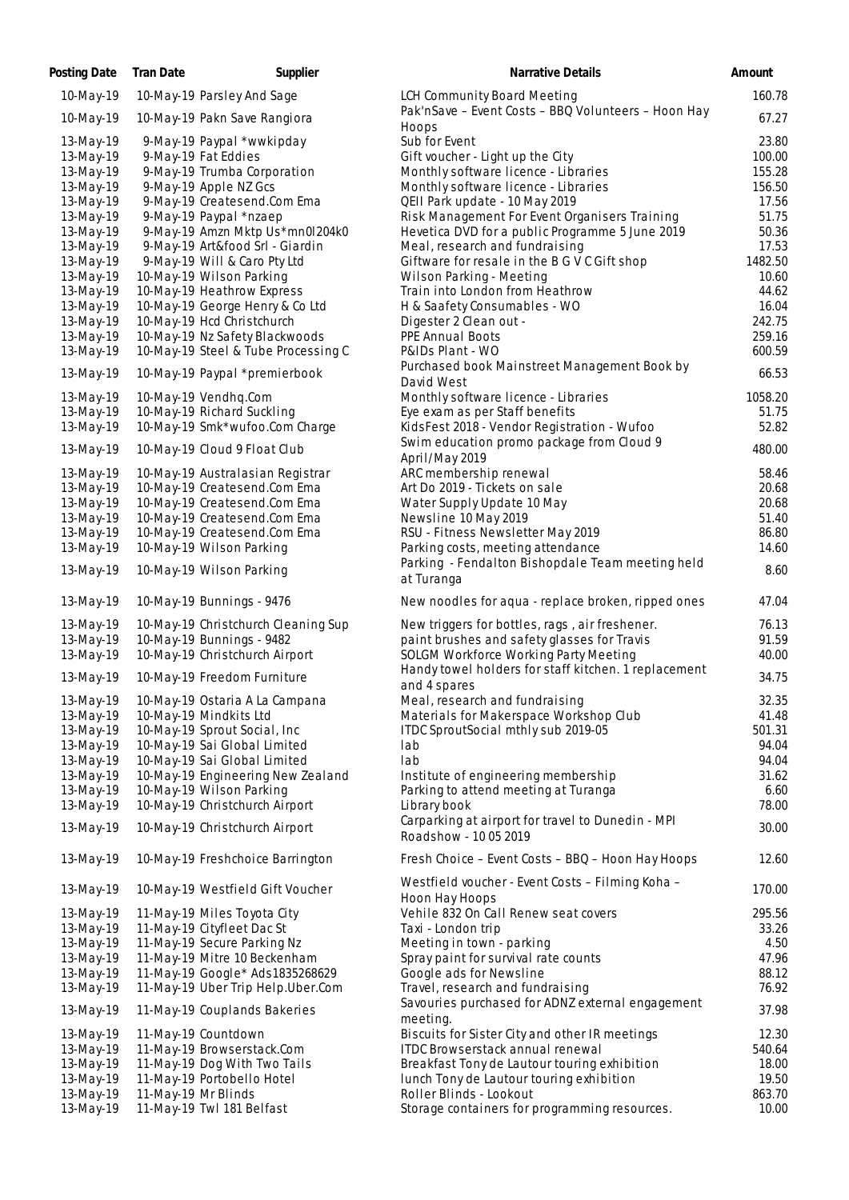| Posting Date           | Tran Date           | Supplier                                             | Narrative Details                                                          | Amount           |
|------------------------|---------------------|------------------------------------------------------|----------------------------------------------------------------------------|------------------|
| 10-May-19              |                     | 10-May-19 Parsley And Sage                           | LCH Community Board Meeting                                                | 160.78           |
| 10-May-19              |                     | 10-May-19 Pakn Save Rangiora                         | Pak'nSave - Event Costs - BBQ Volunteers - Hoon Hay                        | 67.27            |
|                        |                     |                                                      | Hoops                                                                      |                  |
| 13-May-19              |                     | 9-May-19 Paypal *wwkipday                            | Sub for Event                                                              | 23.80            |
| 13-May-19              |                     | 9-May-19 Fat Eddies                                  | Gift voucher - Light up the City<br>Monthly software licence - Libraries   | 100.00<br>155.28 |
| 13-May-19              |                     | 9-May-19 Trumba Corporation                          | Monthly software licence - Libraries                                       | 156.50           |
| 13-May-19<br>13-May-19 |                     | 9-May-19 Apple NZ Gcs<br>9-May-19 Createsend.Com Ema | QEII Park update - 10 May 2019                                             | 17.56            |
| 13-May-19              |                     | 9-May-19 Paypal *nzaep                               | Risk Management For Event Organisers Training                              | 51.75            |
| 13-May-19              |                     | 9-May-19 Amzn Mktp Us*mn0I204k0                      | Hevetica DVD for a public Programme 5 June 2019                            | 50.36            |
| 13-May-19              |                     | 9-May-19 Art&food Srl - Giardin                      | Meal, research and fundraising                                             | 17.53            |
| 13-May-19              |                     | 9-May-19 Will & Caro Pty Ltd                         | Giftware for resale in the B G V C Gift shop                               | 1482.50          |
| 13-May-19              |                     | 10-May-19 Wilson Parking                             | Wilson Parking - Meeting                                                   | 10.60            |
| 13-May-19              |                     | 10-May-19 Heathrow Express                           | Train into London from Heathrow                                            | 44.62            |
| 13-May-19              |                     | 10-May-19 George Henry & Co Ltd                      | H & Saafety Consumables - WO                                               | 16.04            |
| 13-May-19              |                     | 10-May-19 Hcd Christchurch                           | Digester 2 Clean out -                                                     | 242.75           |
| 13-May-19              |                     | 10-May-19 Nz Safety Blackwoods                       | PPE Annual Boots                                                           | 259.16           |
| 13-May-19              |                     | 10-May-19 Steel & Tube Processing C                  | P&IDs Plant - WO                                                           | 600.59           |
| 13-May-19              |                     | 10-May-19 Paypal *premierbook                        | Purchased book Mainstreet Management Book by<br>David West                 | 66.53            |
| 13-May-19              |                     | 10-May-19 Vendhq.Com                                 | Monthly software licence - Libraries                                       | 1058.20          |
| 13-May-19              |                     | 10-May-19 Richard Suckling                           | Eye exam as per Staff benefits                                             | 51.75            |
| 13-May-19              |                     | 10-May-19 Smk*wufoo.Com Charge                       | KidsFest 2018 - Vendor Registration - Wufoo                                | 52.82            |
|                        |                     |                                                      | Swim education promo package from Cloud 9                                  |                  |
| 13-May-19              |                     | 10-May-19 Cloud 9 Float Club                         | April/May 2019                                                             | 480.00           |
| 13-May-19              |                     | 10-May-19 Australasian Registrar                     | ARC membership renewal                                                     | 58.46            |
| 13-May-19              |                     | 10-May-19 Createsend.Com Ema                         | Art Do 2019 - Tickets on sale                                              | 20.68            |
| 13-May-19              |                     | 10-May-19 Createsend.Com Ema                         | Water Supply Update 10 May                                                 | 20.68            |
| 13-May-19              |                     | 10-May-19 Createsend.Com Ema                         | Newsline 10 May 2019                                                       | 51.40            |
| 13-May-19              |                     | 10-May-19 Createsend.Com Ema                         | RSU - Fitness Newsletter May 2019                                          | 86.80            |
| 13-May-19              |                     | 10-May-19 Wilson Parking                             | Parking costs, meeting attendance                                          | 14.60            |
| 13-May-19              |                     | 10-May-19 Wilson Parking                             | Parking - Fendalton Bishopdale Team meeting held<br>at Turanga             | 8.60             |
| 13-May-19              |                     | 10-May-19 Bunnings - 9476                            | New noodles for aqua - replace broken, ripped ones                         | 47.04            |
| 13-May-19              |                     | 10-May-19 Christchurch Cleaning Sup                  | New triggers for bottles, rags, air freshener.                             | 76.13            |
| 13-May-19              |                     | 10-May-19 Bunnings - 9482                            | paint brushes and safety glasses for Travis                                | 91.59            |
| 13-May-19              |                     | 10-May-19 Christchurch Airport                       | SOLGM Workforce Working Party Meeting                                      | 40.00            |
| 13-May-19              |                     | 10-May-19 Freedom Furniture                          | Handy towel holders for staff kitchen. 1 replacement<br>and 4 spares       | 34.75            |
| 13-May-19              |                     | 10-May-19 Ostaria A La Campana                       | Meal, research and fundraising                                             | 32.35            |
| 13-May-19              |                     | 10-May-19 Mindkits Ltd                               | Materials for Makerspace Workshop Club                                     | 41.48            |
| 13-May-19              |                     | 10-May-19 Sprout Social, Inc.                        | ITDC SproutSocial mthly sub 2019-05                                        | 501.31           |
| 13-May-19              |                     | 10-May-19 Sai Global Limited                         | lab                                                                        | 94.04            |
| 13-May-19              |                     | 10-May-19 Sai Global Limited                         | lab                                                                        | 94.04            |
| 13-May-19              |                     | 10-May-19 Engineering New Zealand                    | Institute of engineering membership                                        | 31.62            |
| 13-May-19              |                     | 10-May-19 Wilson Parking                             | Parking to attend meeting at Turanga                                       | 6.60             |
| 13-May-19              |                     | 10-May-19 Christchurch Airport                       | Library book                                                               | 78.00            |
| 13-May-19              |                     | 10-May-19 Christchurch Airport                       | Carparking at airport for travel to Dunedin - MPI<br>Roadshow - 10 05 2019 | 30.00            |
| 13-May-19              |                     | 10-May-19 Freshchoice Barrington                     | Fresh Choice - Event Costs - BBQ - Hoon Hay Hoops                          | 12.60            |
| 13-May-19              |                     | 10-May-19 Westfield Gift Voucher                     | Westfield voucher - Event Costs - Filming Koha -<br>Hoon Hay Hoops         | 170.00           |
| 13-May-19              |                     | 11-May-19 Miles Toyota City                          | Vehile 832 On Call Renew seat covers                                       | 295.56           |
| 13-May-19              |                     | 11-May-19 Cityfleet Dac St                           | Taxi - London trip                                                         | 33.26            |
| 13-May-19              |                     | 11-May-19 Secure Parking Nz                          | Meeting in town - parking                                                  | 4.50             |
| 13-May-19              |                     | 11-May-19 Mitre 10 Beckenham                         | Spray paint for survival rate counts                                       | 47.96            |
| 13-May-19              |                     | 11-May-19 Google* Ads 1835268629                     | Google ads for Newsline                                                    | 88.12            |
| 13-May-19              |                     | 11-May-19 Uber Trip Help.Uber.Com                    | Travel, research and fundraising                                           | 76.92            |
| 13-May-19              |                     | 11-May-19 Couplands Bakeries                         | Savouries purchased for ADNZ external engagement<br>meeting.               | 37.98            |
| 13-May-19              |                     | 11-May-19 Countdown                                  | Biscuits for Sister City and other IR meetings                             | 12.30            |
| 13-May-19              |                     | 11-May-19 Browserstack.Com                           | ITDC Browserstack annual renewal                                           | 540.64           |
| 13-May-19              |                     | 11-May-19 Dog With Two Tails                         | Breakfast Tony de Lautour touring exhibition                               | 18.00            |
| 13-May-19              |                     | 11-May-19 Portobello Hotel                           | lunch Tony de Lautour touring exhibition                                   | 19.50            |
| 13-May-19              | 11-May-19 Mr Blinds |                                                      | Roller Blinds - Lookout                                                    | 863.70           |
| 13-May-19              |                     | 11-May-19 Twl 181 Belfast                            | Storage containers for programming resources.                              | 10.00            |
|                        |                     |                                                      |                                                                            |                  |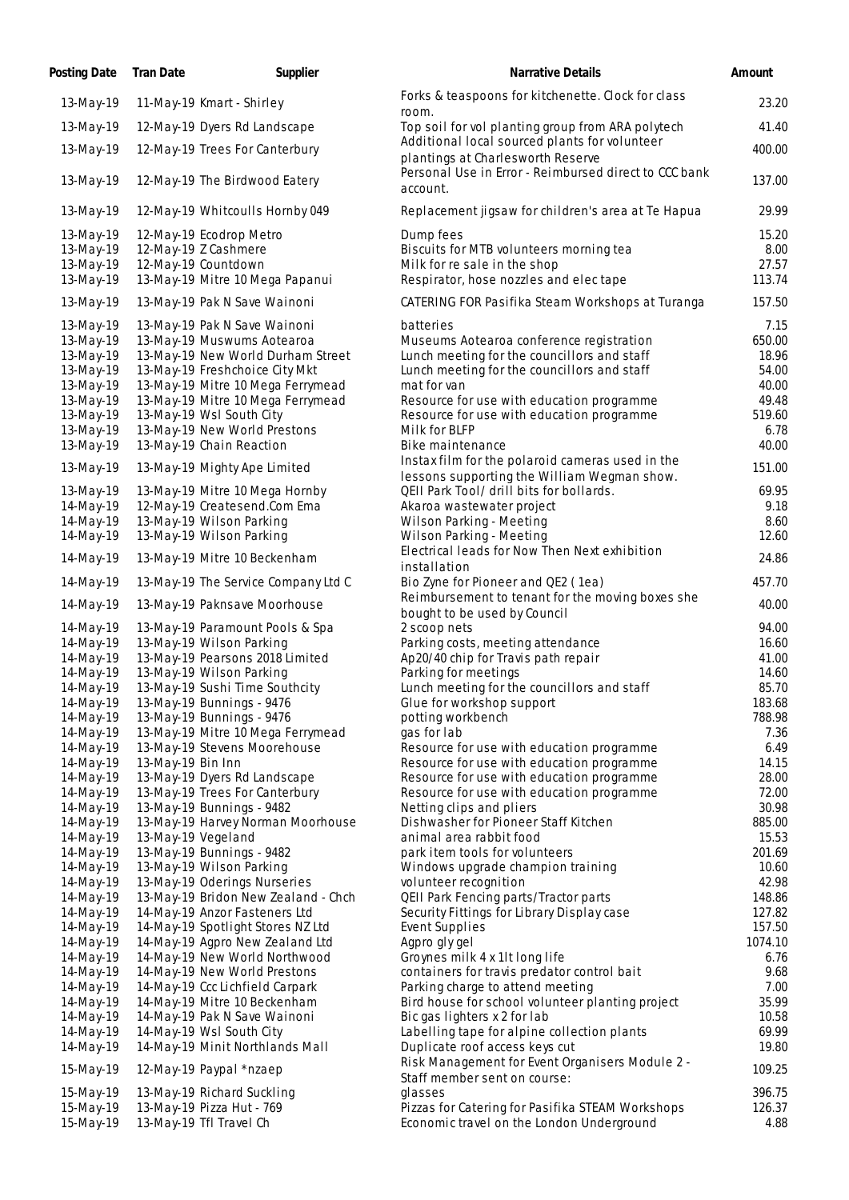| Posting Date           | Tran Date          | Supplier                                                    | Narrative Details                                                                | Amount          |
|------------------------|--------------------|-------------------------------------------------------------|----------------------------------------------------------------------------------|-----------------|
| 13-May-19              |                    | 11-May-19 Kmart - Shirley                                   | Forks & teaspoons for kitchenette. Clock for class                               | 23.20           |
| 13-May-19              |                    | 12-May-19 Dyers Rd Landscape                                | room.<br>Top soil for vol planting group from ARA polytech                       | 41.40           |
| 13-May-19              |                    | 12-May-19 Trees For Canterbury                              | Additional local sourced plants for volunteer                                    | 400.00          |
|                        |                    |                                                             | plantings at Charlesworth Reserve                                                |                 |
| 13-May-19              |                    | 12-May-19 The Birdwood Eatery                               | Personal Use in Error - Reimbursed direct to CCC bank<br>account.                | 137.00          |
| 13-May-19              |                    | 12-May-19 Whitcoulls Hornby 049                             | Replacement jigsaw for children's area at Te Hapua                               | 29.99           |
| 13-May-19              |                    | 12-May-19 Ecodrop Metro                                     | Dump fees                                                                        | 15.20           |
| 13-May-19<br>13-May-19 |                    | 12-May-19 Z Cashmere<br>12-May-19 Countdown                 | Biscuits for MTB volunteers morning tea<br>Milk for re sale in the shop          | 8.00<br>27.57   |
| 13-May-19              |                    | 13-May-19 Mitre 10 Mega Papanui                             | Respirator, hose nozzles and electape                                            | 113.74          |
| 13-May-19              |                    | 13-May-19 Pak N Save Wainoni                                | CATERING FOR Pasifika Steam Workshops at Turanga                                 | 157.50          |
| 13-May-19              |                    | 13-May-19 Pak N Save Wainoni                                | batteries                                                                        | 7.15            |
| 13-May-19              |                    | 13-May-19 Muswums Aotearoa                                  | Museums Aotearoa conference registration                                         | 650.00          |
| 13-May-19              |                    | 13-May-19 New World Durham Street                           | Lunch meeting for the councillors and staff                                      | 18.96           |
| 13-May-19              |                    | 13-May-19 Freshchoice City Mkt                              | Lunch meeting for the councillors and staff                                      | 54.00           |
| 13-May-19              |                    | 13-May-19 Mitre 10 Mega Ferrymead                           | mat for van                                                                      | 40.00           |
| 13-May-19              |                    | 13-May-19 Mitre 10 Mega Ferrymead                           | Resource for use with education programme                                        | 49.48           |
| 13-May-19<br>13-May-19 |                    | 13-May-19 Wsl South City<br>13-May-19 New World Prestons    | Resource for use with education programme<br>Milk for BLFP                       | 519.60<br>6.78  |
| 13-May-19              |                    | 13-May-19 Chain Reaction                                    | Bike maintenance                                                                 | 40.00           |
|                        |                    |                                                             | Instax film for the polaroid cameras used in the                                 |                 |
| 13-May-19              |                    | 13-May-19 Mighty Ape Limited                                | lessons supporting the William Wegman show.                                      | 151.00          |
| 13-May-19              |                    | 13-May-19 Mitre 10 Mega Hornby                              | QEII Park Tool/ drill bits for bollards.                                         | 69.95           |
| 14-May-19              |                    | 12-May-19 Createsend.Com Ema                                | Akaroa wastewater project                                                        | 9.18            |
| 14-May-19              |                    | 13-May-19 Wilson Parking                                    | Wilson Parking - Meeting                                                         | 8.60            |
| 14-May-19              |                    | 13-May-19 Wilson Parking                                    | Wilson Parking - Meeting                                                         | 12.60           |
| 14-May-19              |                    | 13-May-19 Mitre 10 Beckenham                                | Electrical leads for Now Then Next exhibition<br>installation                    | 24.86           |
| 14-May-19              |                    | 13-May-19 The Service Company Ltd C                         | Bio Zyne for Pioneer and QE2 (1ea)                                               | 457.70          |
| 14-May-19              |                    | 13-May-19 Paknsave Moorhouse                                | Reimbursement to tenant for the moving boxes she<br>bought to be used by Council | 40.00           |
| 14-May-19              |                    | 13-May-19 Paramount Pools & Spa                             | 2 scoop nets                                                                     | 94.00           |
| 14-May-19              |                    | 13-May-19 Wilson Parking                                    | Parking costs, meeting attendance                                                | 16.60           |
| 14-May-19              |                    | 13-May-19 Pearsons 2018 Limited                             | Ap20/40 chip for Travis path repair                                              | 41.00           |
| 14-May-19              |                    | 13-May-19 Wilson Parking                                    | Parking for meetings                                                             | 14.60           |
| 14-May-19<br>14-May-19 |                    | 13-May-19 Sushi Time Southcity<br>13-May-19 Bunnings - 9476 | Lunch meeting for the councillors and staff<br>Glue for workshop support         | 85.70<br>183.68 |
| 14-May-19              |                    | 13-May-19 Bunnings - 9476                                   | potting workbench                                                                | 788.98          |
| 14-May-19              |                    | 13-May-19 Mitre 10 Mega Ferrymead                           | gas for lab                                                                      | 7.36            |
| 14-May-19              |                    | 13-May-19 Stevens Moorehouse                                | Resource for use with education programme                                        | 6.49            |
| 14-May-19              | 13-May-19 Bin Inn  |                                                             | Resource for use with education programme                                        | 14.15           |
| 14-May-19              |                    | 13-May-19 Dyers Rd Landscape                                | Resource for use with education programme                                        | 28.00           |
| 14-May-19              |                    | 13-May-19 Trees For Canterbury                              | Resource for use with education programme                                        | 72.00           |
| 14-May-19              |                    | 13-May-19 Bunnings - 9482                                   | Netting clips and pliers                                                         | 30.98           |
| 14-May-19              |                    | 13-May-19 Harvey Norman Moorhouse                           | Dishwasher for Pioneer Staff Kitchen                                             | 885.00          |
| 14-May-19              | 13-May-19 Vegeland |                                                             | animal area rabbit food                                                          | 15.53           |
| 14-May-19<br>14-May-19 |                    | 13-May-19 Bunnings - 9482<br>13-May-19 Wilson Parking       | park item tools for volunteers<br>Windows upgrade champion training              | 201.69<br>10.60 |
| 14-May-19              |                    | 13-May-19 Oderings Nurseries                                | volunteer recognition                                                            | 42.98           |
| 14-May-19              |                    | 13-May-19 Bridon New Zealand - Chch                         | QEII Park Fencing parts/Tractor parts                                            | 148.86          |
| 14-May-19              |                    | 14-May-19 Anzor Fasteners Ltd                               | Security Fittings for Library Display case                                       | 127.82          |
| 14-May-19              |                    | 14-May-19 Spotlight Stores NZ Ltd                           | Event Supplies                                                                   | 157.50          |
| 14-May-19              |                    | 14-May-19 Agpro New Zealand Ltd                             | Agpro gly gel                                                                    | 1074.10         |
| 14-May-19              |                    | 14-May-19 New World Northwood                               | Groynes milk 4 x 1lt long life                                                   | 6.76            |
| 14-May-19              |                    | 14-May-19 New World Prestons                                | containers for travis predator control bait                                      | 9.68            |
| 14-May-19              |                    | 14-May-19 Ccc Lichfield Carpark                             | Parking charge to attend meeting                                                 | 7.00            |
| 14-May-19              |                    | 14-May-19 Mitre 10 Beckenham                                | Bird house for school volunteer planting project                                 | 35.99           |
| 14-May-19              |                    | 14-May-19 Pak N Save Wainoni                                | Bic gas lighters x 2 for lab                                                     | 10.58           |
| 14-May-19<br>14-May-19 |                    | 14-May-19 Wsl South City<br>14-May-19 Minit Northlands Mall | Labelling tape for alpine collection plants<br>Duplicate roof access keys cut    | 69.99<br>19.80  |
|                        |                    |                                                             | Risk Management for Event Organisers Module 2 -                                  |                 |
| 15-May-19              |                    | 12-May-19 Paypal *nzaep                                     | Staff member sent on course:                                                     | 109.25          |
| 15-May-19              |                    | 13-May-19 Richard Suckling                                  | glasses                                                                          | 396.75          |
| 15-May-19              |                    | 13-May-19 Pizza Hut - 769                                   | Pizzas for Catering for Pasifika STEAM Workshops                                 | 126.37          |
| 15-May-19              |                    | 13-May-19 Tfl Travel Ch                                     | Economic travel on the London Underground                                        | 4.88            |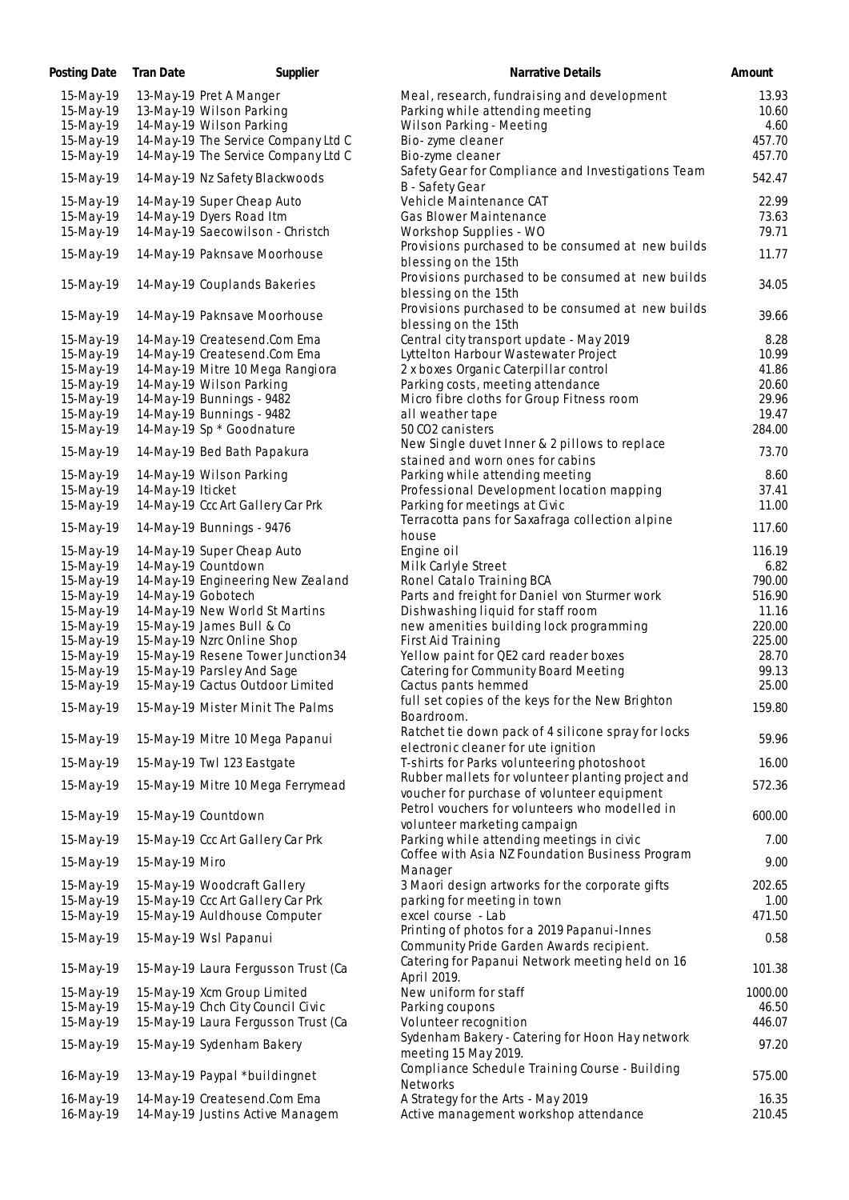| Posting Date | <b>Tran Date</b>   | Supplier                            | <b>Narrative Details</b>                            | Amount  |
|--------------|--------------------|-------------------------------------|-----------------------------------------------------|---------|
| 15-May-19    |                    | 13-May-19 Pret A Manger             | Meal, research, fundraising and development         | 13.93   |
| 15-May-19    |                    | 13-May-19 Wilson Parking            | Parking while attending meeting                     | 10.60   |
| 15-May-19    |                    | 14-May-19 Wilson Parking            | Wilson Parking - Meeting                            | 4.60    |
| 15-May-19    |                    | 14-May-19 The Service Company Ltd C | Bio-zyme cleaner                                    | 457.70  |
| 15-May-19    |                    | 14-May-19 The Service Company Ltd C | Bio-zyme cleaner                                    | 457.70  |
|              |                    |                                     | Safety Gear for Compliance and Investigations Team  |         |
| 15-May-19    |                    | 14-May-19 Nz Safety Blackwoods      | B - Safety Gear                                     | 542.47  |
| 15-May-19    |                    | 14-May-19 Super Cheap Auto          | Vehicle Maintenance CAT                             | 22.99   |
| 15-May-19    |                    | 14-May-19 Dyers Road Itm            | Gas Blower Maintenance                              | 73.63   |
| 15-May-19    |                    | 14-May-19 Saecowilson - Christch    | Workshop Supplies - WO                              | 79.71   |
|              |                    |                                     | Provisions purchased to be consumed at new builds   |         |
| 15-May-19    |                    | 14-May-19 Paknsave Moorhouse        | blessing on the 15th                                | 11.77   |
|              |                    |                                     | Provisions purchased to be consumed at new builds   |         |
| 15-May-19    |                    | 14-May-19 Couplands Bakeries        | blessing on the 15th                                | 34.05   |
|              |                    |                                     | Provisions purchased to be consumed at new builds   |         |
| 15-May-19    |                    | 14-May-19 Paknsave Moorhouse        | blessing on the 15th                                | 39.66   |
| 15-May-19    |                    | 14-May-19 Createsend.Com Ema        | Central city transport update - May 2019            | 8.28    |
|              |                    |                                     |                                                     |         |
| 15-May-19    |                    | 14-May-19 Createsend.Com Ema        | Lyttelton Harbour Wastewater Project                | 10.99   |
| 15-May-19    |                    | 14-May-19 Mitre 10 Mega Rangiora    | 2 x boxes Organic Caterpillar control               | 41.86   |
| 15-May-19    |                    | 14-May-19 Wilson Parking            | Parking costs, meeting attendance                   | 20.60   |
| 15-May-19    |                    | 14-May-19 Bunnings - 9482           | Micro fibre cloths for Group Fitness room           | 29.96   |
| 15-May-19    |                    | 14-May-19 Bunnings - 9482           | all weather tape                                    | 19.47   |
| 15-May-19    |                    | 14-May-19 Sp * Goodnature           | 50 CO2 canisters                                    | 284.00  |
| 15-May-19    |                    | 14-May-19 Bed Bath Papakura         | New Single duvet Inner & 2 pillows to replace       | 73.70   |
|              |                    |                                     | stained and worn ones for cabins                    |         |
| 15-May-19    |                    | 14-May-19 Wilson Parking            | Parking while attending meeting                     | 8.60    |
| 15-May-19    | 14-May-19 Iticket  |                                     | Professional Development location mapping           | 37.41   |
| 15-May-19    |                    | 14-May-19 Ccc Art Gallery Car Prk   | Parking for meetings at Civic                       | 11.00   |
| 15-May-19    |                    | 14-May-19 Bunnings - 9476           | Terracotta pans for Saxafraga collection alpine     | 117.60  |
|              |                    |                                     | house                                               |         |
| 15-May-19    |                    | 14-May-19 Super Cheap Auto          | Engine oil                                          | 116.19  |
| 15-May-19    |                    | 14-May-19 Countdown                 | Milk Carlyle Street                                 | 6.82    |
| 15-May-19    |                    | 14-May-19 Engineering New Zealand   | Ronel Catalo Training BCA                           | 790.00  |
| 15-May-19    | 14-May-19 Gobotech |                                     | Parts and freight for Daniel von Sturmer work       | 516.90  |
| 15-May-19    |                    | 14-May-19 New World St Martins      | Dishwashing liquid for staff room                   | 11.16   |
| 15-May-19    |                    | 15-May-19 James Bull & Co           | new amenities building lock programming             | 220.00  |
| 15-May-19    |                    | 15-May-19 Nzrc Online Shop          | First Aid Training                                  | 225.00  |
| 15-May-19    |                    | 15-May-19 Resene Tower Junction34   | Yellow paint for QE2 card reader boxes              | 28.70   |
| 15-May-19    |                    | 15-May-19 Parsley And Sage          | Catering for Community Board Meeting                | 99.13   |
| 15-May-19    |                    | 15-May-19 Cactus Outdoor Limited    | Cactus pants hemmed                                 | 25.00   |
|              |                    |                                     | full set copies of the keys for the New Brighton    |         |
| 15-May-19    |                    | 15-May-19 Mister Minit The Palms    | Boardroom.                                          | 159.80  |
|              |                    |                                     | Ratchet tie down pack of 4 silicone spray for locks |         |
| 15-May-19    |                    | 15-May-19 Mitre 10 Mega Papanui     | electronic cleaner for ute ignition                 | 59.96   |
|              |                    | 15-May-19 Twl 123 Eastgate          | T-shirts for Parks volunteering photoshoot          | 16.00   |
| 15-May-19    |                    |                                     |                                                     |         |
| 15-May-19    |                    | 15-May-19 Mitre 10 Mega Ferrymead   | Rubber mallets for volunteer planting project and   | 572.36  |
|              |                    |                                     | voucher for purchase of volunteer equipment         |         |
| 15-May-19    |                    | 15-May-19 Countdown                 | Petrol vouchers for volunteers who modelled in      | 600.00  |
|              |                    |                                     | volunteer marketing campaign                        |         |
| 15-May-19    |                    | 15-May-19 Ccc Art Gallery Car Prk   | Parking while attending meetings in civic           | 7.00    |
| 15-May-19    | 15-May-19 Miro     |                                     | Coffee with Asia NZ Foundation Business Program     | 9.00    |
|              |                    |                                     | Manager                                             |         |
| 15-May-19    |                    | 15-May-19 Woodcraft Gallery         | 3 Maori design artworks for the corporate gifts     | 202.65  |
| 15-May-19    |                    | 15-May-19 Ccc Art Gallery Car Prk   | parking for meeting in town                         | 1.00    |
| 15-May-19    |                    | 15-May-19 Auldhouse Computer        | excel course - Lab                                  | 471.50  |
| 15-May-19    |                    | 15-May-19 Wsl Papanui               | Printing of photos for a 2019 Papanui-Innes         | 0.58    |
|              |                    |                                     | Community Pride Garden Awards recipient.            |         |
|              |                    |                                     | Catering for Papanui Network meeting held on 16     |         |
| 15-May-19    |                    | 15-May-19 Laura Fergusson Trust (Ca | April 2019.                                         | 101.38  |
| 15-May-19    |                    | 15-May-19 Xcm Group Limited         | New uniform for staff                               | 1000.00 |
| 15-May-19    |                    | 15-May-19 Chch City Council Civic   | Parking coupons                                     | 46.50   |
| 15-May-19    |                    | 15-May-19 Laura Fergusson Trust (Ca | Volunteer recognition                               | 446.07  |
|              |                    |                                     | Sydenham Bakery - Catering for Hoon Hay network     |         |
| 15-May-19    |                    | 15-May-19 Sydenham Bakery           | meeting 15 May 2019.                                | 97.20   |
|              |                    |                                     | Compliance Schedule Training Course - Building      |         |
| 16-May-19    |                    | 13-May-19 Paypal *buildingnet       | Networks                                            | 575.00  |
| 16-May-19    |                    | 14-May-19 Createsend.Com Ema        | A Strategy for the Arts - May 2019                  | 16.35   |
| 16-May-19    |                    | 14-May-19 Justins Active Managem    | Active management workshop attendance               | 210.45  |
|              |                    |                                     |                                                     |         |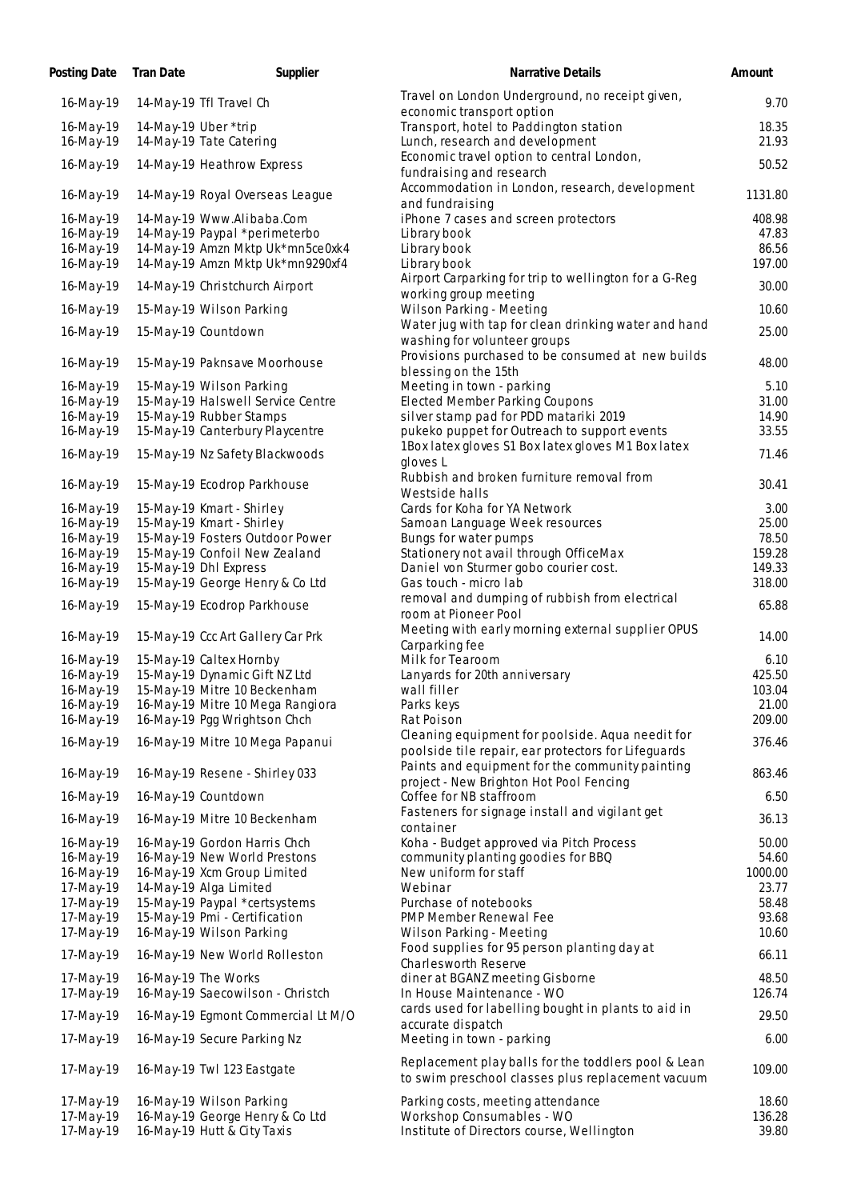| Posting Date           | <b>Tran Date</b> | Supplier                                                          | Narrative Details                                                                                        | Amount           |
|------------------------|------------------|-------------------------------------------------------------------|----------------------------------------------------------------------------------------------------------|------------------|
| 16-May-19              |                  | 14-May-19 Tfl Travel Ch                                           | Travel on London Underground, no receipt given,<br>economic transport option                             | 9.70             |
| 16-May-19<br>16-May-19 |                  | 14-May-19 Uber *trip<br>14-May-19 Tate Catering                   | Transport, hotel to Paddington station<br>Lunch, research and development                                | 18.35<br>21.93   |
| 16-May-19              |                  | 14-May-19 Heathrow Express                                        | Economic travel option to central London,<br>fundraising and research                                    | 50.52            |
| 16-May-19              |                  | 14-May-19 Royal Overseas League                                   | Accommodation in London, research, development<br>and fundraising                                        | 1131.80          |
| 16-May-19              |                  | 14-May-19 Www.Alibaba.Com                                         | iPhone 7 cases and screen protectors                                                                     | 408.98           |
| 16-May-19              |                  | 14-May-19 Paypal *perimeterbo                                     | Library book                                                                                             | 47.83            |
| 16-May-19              |                  | 14-May-19 Amzn Mktp Uk*mn5ce0xk4                                  | Library book                                                                                             | 86.56            |
| 16-May-19              |                  | 14-May-19 Amzn Mktp Uk*mn9290xf4                                  | Library book                                                                                             | 197.00           |
| 16-May-19              |                  | 14-May-19 Christchurch Airport                                    | Airport Carparking for trip to wellington for a G-Reg<br>working group meeting                           | 30.00            |
| 16-May-19              |                  | 15-May-19 Wilson Parking                                          | Wilson Parking - Meeting                                                                                 | 10.60            |
| 16-May-19              |                  | 15-May-19 Countdown                                               | Water jug with tap for clean drinking water and hand<br>washing for volunteer groups                     | 25.00            |
| 16-May-19              |                  | 15-May-19 Paknsave Moorhouse                                      | Provisions purchased to be consumed at new builds<br>blessing on the 15th                                | 48.00            |
| 16-May-19              |                  | 15-May-19 Wilson Parking                                          | Meeting in town - parking                                                                                | 5.10             |
| 16-May-19              |                  | 15-May-19 Halswell Service Centre                                 | <b>Elected Member Parking Coupons</b>                                                                    | 31.00            |
| 16-May-19              |                  | 15-May-19 Rubber Stamps                                           | silver stamp pad for PDD matariki 2019                                                                   | 14.90            |
| 16-May-19<br>16-May-19 |                  | 15-May-19 Canterbury Playcentre<br>15-May-19 Nz Safety Blackwoods | pukeko puppet for Outreach to support events<br>1Box latex gloves S1 Box latex gloves M1 Box latex       | 33.55<br>71.46   |
|                        |                  |                                                                   | gloves L<br>Rubbish and broken furniture removal from                                                    |                  |
| 16-May-19              |                  | 15-May-19 Ecodrop Parkhouse                                       | Westside halls                                                                                           | 30.41            |
| 16-May-19              |                  | 15-May-19 Kmart - Shirley                                         | Cards for Koha for YA Network                                                                            | 3.00             |
| 16-May-19              |                  | 15-May-19 Kmart - Shirley                                         | Samoan Language Week resources                                                                           | 25.00            |
| 16-May-19              |                  | 15-May-19 Fosters Outdoor Power                                   | Bungs for water pumps                                                                                    | 78.50            |
| 16-May-19              |                  | 15-May-19 Confoil New Zealand                                     | Stationery not avail through OfficeMax                                                                   | 159.28           |
| 16-May-19<br>16-May-19 |                  | 15-May-19 Dhl Express<br>15-May-19 George Henry & Co Ltd          | Daniel von Sturmer gobo courier cost.<br>Gas touch - micro lab                                           | 149.33<br>318.00 |
|                        |                  |                                                                   | removal and dumping of rubbish from electrical                                                           |                  |
| 16-May-19              |                  | 15-May-19 Ecodrop Parkhouse                                       | room at Pioneer Pool<br>Meeting with early morning external supplier OPUS                                | 65.88            |
| 16-May-19              |                  | 15-May-19 Ccc Art Gallery Car Prk                                 | Carparking fee                                                                                           | 14.00            |
| 16-May-19              |                  | 15-May-19 Caltex Hornby                                           | Milk for Tearoom                                                                                         | 6.10             |
| 16-May-19              |                  | 15-May-19 Dynamic Gift NZ Ltd                                     | Lanyards for 20th anniversary                                                                            | 425.50           |
| 16-May-19              |                  | 15-May-19 Mitre 10 Beckenham                                      | wall filler                                                                                              | 103.04           |
| 16-May-19<br>16-May-19 |                  | 16-May-19 Mitre 10 Mega Rangiora<br>16-May-19 Pgg Wrightson Chch  | Parks keys<br>Rat Poison                                                                                 | 21.00<br>209.00  |
|                        |                  |                                                                   | Cleaning equipment for poolside. Aqua needit for                                                         |                  |
| 16-May-19              |                  | 16-May-19 Mitre 10 Mega Papanui                                   | poolside tile repair, ear protectors for Lifeguards<br>Paints and equipment for the community painting   | 376.46           |
| 16-May-19              |                  | 16-May-19 Resene - Shirley 033                                    | project - New Brighton Hot Pool Fencing                                                                  | 863.46           |
| 16-May-19              |                  | 16-May-19 Countdown                                               | Coffee for NB staffroom                                                                                  | 6.50             |
| 16-May-19              |                  | 16-May-19 Mitre 10 Beckenham                                      | Fasteners for signage install and vigilant get<br>container                                              | 36.13            |
| 16-May-19              |                  | 16-May-19 Gordon Harris Chch                                      | Koha - Budget approved via Pitch Process                                                                 | 50.00            |
| 16-May-19              |                  | 16-May-19 New World Prestons                                      | community planting goodies for BBQ                                                                       | 54.60            |
| 16-May-19              |                  | 16-May-19 Xcm Group Limited                                       | New uniform for staff                                                                                    | 1000.00          |
| 17-May-19<br>17-May-19 |                  | 14-May-19 Alga Limited<br>15-May-19 Paypal *certsystems           | Webinar<br>Purchase of notebooks                                                                         | 23.77<br>58.48   |
| 17-May-19              |                  | 15-May-19 Pmi - Certification                                     | PMP Member Renewal Fee                                                                                   | 93.68            |
| 17-May-19              |                  | 16-May-19 Wilson Parking                                          | Wilson Parking - Meeting                                                                                 | 10.60            |
| 17-May-19              |                  | 16-May-19 New World Rolleston                                     | Food supplies for 95 person planting day at                                                              | 66.11            |
| 17-May-19              |                  | 16-May-19 The Works                                               | Charlesworth Reserve<br>diner at BGANZ meeting Gisborne                                                  | 48.50            |
| 17-May-19              |                  | 16-May-19 Saecowilson - Christch                                  | In House Maintenance - WO                                                                                | 126.74           |
| 17-May-19              |                  | 16-May-19 Egmont Commercial Lt M/O                                | cards used for labelling bought in plants to aid in<br>accurate dispatch                                 | 29.50            |
| 17-May-19              |                  | 16-May-19 Secure Parking Nz                                       | Meeting in town - parking                                                                                | 6.00             |
| 17-May-19              |                  | 16-May-19 Twl 123 Eastgate                                        | Replacement play balls for the toddlers pool & Lean<br>to swim preschool classes plus replacement vacuum | 109.00           |
| 17-May-19              |                  | 16-May-19 Wilson Parking                                          | Parking costs, meeting attendance                                                                        | 18.60            |
| 17-May-19              |                  | 16-May-19 George Henry & Co Ltd                                   | Workshop Consumables - WO                                                                                | 136.28           |
| 17-May-19              |                  | 16-May-19 Hutt & City Taxis                                       | Institute of Directors course, Wellington                                                                | 39.80            |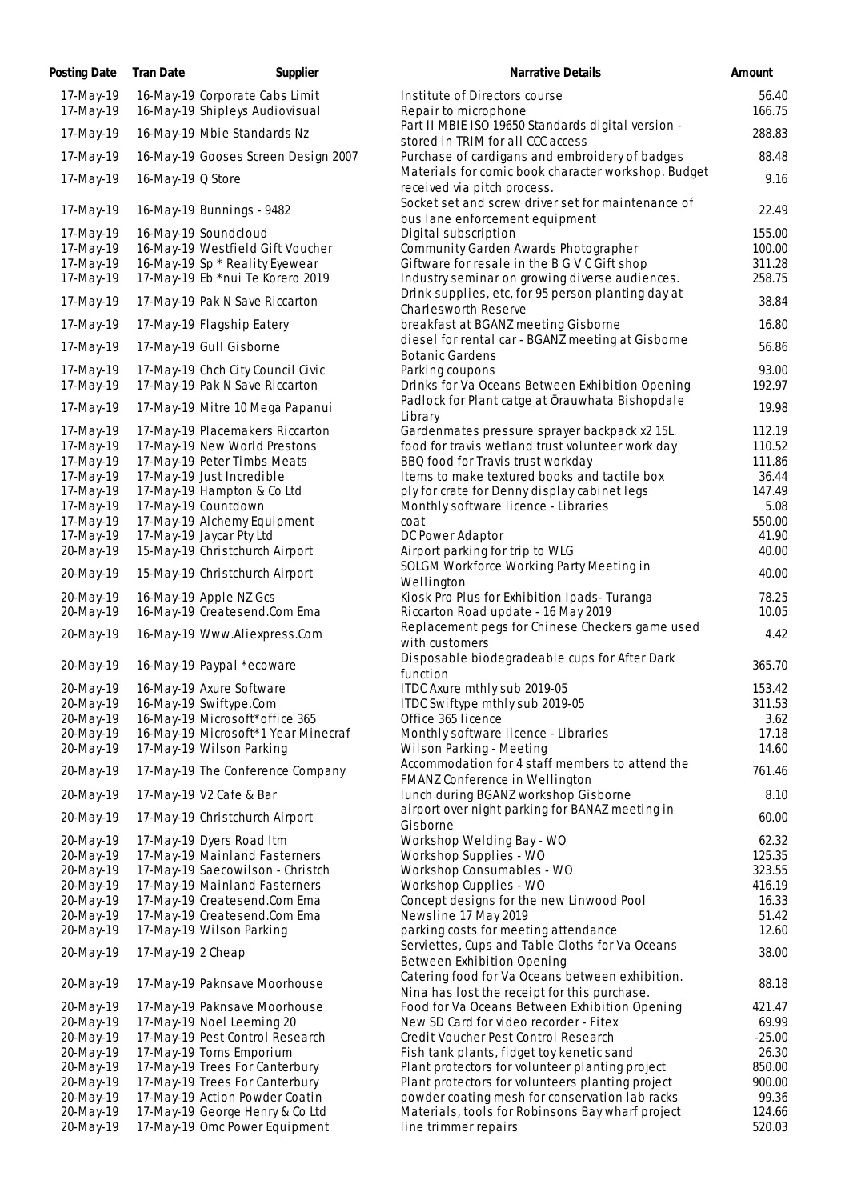| Posting Date           | <b>Tran Date</b><br>Supplier                            | Narrative Details                                                                               | Amount          |
|------------------------|---------------------------------------------------------|-------------------------------------------------------------------------------------------------|-----------------|
| 17-May-19              | 16-May-19 Corporate Cabs Limit                          | Institute of Directors course                                                                   | 56.40           |
| 17-May-19              | 16-May-19 Shipleys Audiovisual                          | Repair to microphone                                                                            | 166.75          |
| 17-May-19              | 16-May-19 Mbie Standards Nz                             | Part II MBIE ISO 19650 Standards digital version -                                              | 288.83          |
| 17-May-19              | 16-May-19 Gooses Screen Design 2007                     | stored in TRIM for all CCC access<br>Purchase of cardigans and embroidery of badges             | 88.48           |
| 17-May-19              | 16-May-19 Q Store                                       | Materials for comic book character workshop. Budget<br>received via pitch process.              | 9.16            |
| 17-May-19              | 16-May-19 Bunnings - 9482                               | Socket set and screw driver set for maintenance of                                              | 22.49           |
| 17-May-19              | 16-May-19 Soundcloud                                    | bus lane enforcement equipment<br>Digital subscription                                          | 155.00          |
| 17-May-19              | 16-May-19 Westfield Gift Voucher                        | Community Garden Awards Photographer                                                            | 100.00          |
| 17-May-19              | 16-May-19 Sp * Reality Eyewear                          | Giftware for resale in the B G V C Gift shop                                                    | 311.28          |
| 17-May-19              | 17-May-19 Eb *nui Te Korero 2019                        | Industry seminar on growing diverse audiences.                                                  | 258.75          |
| 17-May-19              | 17-May-19 Pak N Save Riccarton                          | Drink supplies, etc, for 95 person planting day at<br>Charlesworth Reserve                      | 38.84           |
| 17-May-19              | 17-May-19 Flagship Eatery                               | breakfast at BGANZ meeting Gisborne                                                             | 16.80           |
| 17-May-19              | 17-May-19 Gull Gisborne                                 | diesel for rental car - BGANZ meeting at Gisborne<br><b>Botanic Gardens</b>                     | 56.86           |
| 17-May-19              | 17-May-19 Chch City Council Civic                       | Parking coupons                                                                                 | 93.00           |
| 17-May-19              | 17-May-19 Pak N Save Riccarton                          | Drinks for Va Oceans Between Exhibition Opening                                                 | 192.97          |
| 17-May-19              | 17-May-19 Mitre 10 Mega Papanui                         | Padlock for Plant catge at Orauwhata Bishopdale<br>Library                                      | 19.98           |
| 17-May-19              | 17-May-19 Placemakers Riccarton                         | Gardenmates pressure sprayer backpack x2 15L.                                                   | 112.19          |
| 17-May-19              | 17-May-19 New World Prestons                            | food for travis wetland trust volunteer work day                                                | 110.52          |
| 17-May-19              | 17-May-19 Peter Timbs Meats                             | BBQ food for Travis trust workday                                                               | 111.86          |
| 17-May-19              | 17-May-19 Just Incredible                               | Items to make textured books and tactile box                                                    | 36.44           |
| 17-May-19              | 17-May-19 Hampton & Co Ltd                              | ply for crate for Denny display cabinet legs                                                    | 147.49          |
| 17-May-19              | 17-May-19 Countdown                                     | Monthly software licence - Libraries<br>coat                                                    | 5.08            |
| 17-May-19<br>17-May-19 | 17-May-19 Alchemy Equipment<br>17-May-19 Jaycar Pty Ltd | DC Power Adaptor                                                                                | 550.00<br>41.90 |
| 20-May-19              | 15-May-19 Christchurch Airport                          | Airport parking for trip to WLG                                                                 | 40.00           |
| 20-May-19              | 15-May-19 Christchurch Airport                          | SOLGM Workforce Working Party Meeting in                                                        | 40.00           |
| 20-May-19              | 16-May-19 Apple NZ Gcs                                  | Wellington<br>Kiosk Pro Plus for Exhibition Ipads- Turanga                                      | 78.25           |
| 20-May-19              | 16-May-19 Createsend.Com Ema                            | Riccarton Road update - 16 May 2019                                                             | 10.05           |
|                        |                                                         | Replacement pegs for Chinese Checkers game used                                                 |                 |
| 20-May-19              | 16-May-19 Www.Aliexpress.Com                            | with customers<br>Disposable biodegradeable cups for After Dark                                 | 4.42            |
| 20-May-19              | 16-May-19 Paypal *ecoware                               | function                                                                                        | 365.70          |
| 20-May-19              | 16-May-19 Axure Software                                | ITDC Axure mthly sub 2019-05                                                                    | 153.42          |
| 20-May-19              | 16-May-19 Swiftype.Com                                  | ITDC Swiftype mthly sub 2019-05                                                                 | 311.53          |
| 20-May-19              | 16-May-19 Microsoft*office 365                          | Office 365 licence                                                                              | 3.62            |
| 20-May-19              | 16-May-19 Microsoft*1 Year Minecraf                     | Monthly software licence - Libraries                                                            | 17.18           |
| 20-May-19              | 17-May-19 Wilson Parking                                | Wilson Parking - Meeting<br>Accommodation for 4 staff members to attend the                     | 14.60           |
| 20-May-19              | 17-May-19 The Conference Company                        | FMANZ Conference in Wellington                                                                  | 761.46          |
| 20-May-19              | 17-May-19 V2 Cafe & Bar                                 | lunch during BGANZ workshop Gisborne<br>airport over night parking for BANAZ meeting in         | 8.10            |
| 20-May-19              | 17-May-19 Christchurch Airport                          | Gisborne                                                                                        | 60.00           |
| 20-May-19              | 17-May-19 Dyers Road Itm                                | Workshop Welding Bay - WO                                                                       | 62.32           |
| 20-May-19              | 17-May-19 Mainland Fasterners                           | Workshop Supplies - WO                                                                          | 125.35          |
| 20-May-19              | 17-May-19 Saecowilson - Christch                        | Workshop Consumables - WO                                                                       | 323.55          |
| 20-May-19              | 17-May-19 Mainland Fasterners                           | Workshop Cupplies - WO                                                                          | 416.19          |
| 20-May-19              | 17-May-19 Createsend.Com Ema                            | Concept designs for the new Linwood Pool                                                        | 16.33           |
| 20-May-19              | 17-May-19 Createsend.Com Ema                            | Newsline 17 May 2019                                                                            | 51.42           |
| 20-May-19              | 17-May-19 Wilson Parking                                | parking costs for meeting attendance<br>Serviettes, Cups and Table Cloths for Va Oceans         | 12.60           |
| 20-May-19              | 17-May-19 2 Cheap                                       | Between Exhibition Opening                                                                      | 38.00           |
| 20-May-19              | 17-May-19 Paknsave Moorhouse                            | Catering food for Va Oceans between exhibition.<br>Nina has lost the receipt for this purchase. | 88.18           |
| 20-May-19              | 17-May-19 Paknsave Moorhouse                            | Food for Va Oceans Between Exhibition Opening                                                   | 421.47          |
| 20-May-19              | 17-May-19 Noel Leeming 20                               | New SD Card for video recorder - Fitex                                                          | 69.99           |
| 20-May-19              | 17-May-19 Pest Control Research                         | Credit Voucher Pest Control Research                                                            | $-25.00$        |
| 20-May-19              | 17-May-19 Toms Emporium                                 | Fish tank plants, fidget toy kenetic sand                                                       | 26.30           |
| 20-May-19              | 17-May-19 Trees For Canterbury                          | Plant protectors for volunteer planting project                                                 | 850.00          |
| 20-May-19              | 17-May-19 Trees For Canterbury                          | Plant protectors for volunteers planting project                                                | 900.00          |
| 20-May-19              | 17-May-19 Action Powder Coatin                          | powder coating mesh for conservation lab racks                                                  | 99.36           |
| 20-May-19              | 17-May-19 George Henry & Co Ltd                         | Materials, tools for Robinsons Bay wharf project                                                | 124.66          |
| 20-May-19              | 17-May-19 Omc Power Equipment                           | line trimmer repairs                                                                            | 520.03          |

| 17-May-19 | 16-May-19 Corporate Cabs Limit      | Institute of Directors course                                                            | 56.40    |
|-----------|-------------------------------------|------------------------------------------------------------------------------------------|----------|
| 17-May-19 | 16-May-19 Shipleys Audiovisual      | Repair to microphone                                                                     | 166.75   |
| 17-May-19 | 16-May-19 Mbie Standards Nz         | Part II MBIE ISO 19650 Standards digital version -<br>stored in TRIM for all CCC access  | 288.83   |
| 17-May-19 | 16-May-19 Gooses Screen Design 2007 | Purchase of cardigans and embroidery of badges                                           | 88.48    |
| 17-May-19 | 16-May-19 Q Store                   | Materials for comic book character workshop. Budget<br>received via pitch process.       | 9.16     |
| 17-May-19 | 16-May-19 Bunnings - 9482           | Socket set and screw driver set for maintenance of                                       | 22.49    |
| 17-May-19 | 16-May-19 Soundcloud                | bus lane enforcement equipment<br>Digital subscription                                   | 155.00   |
| 17-May-19 | 16-May-19 Westfield Gift Voucher    | Community Garden Awards Photographer                                                     | 100.00   |
| 17-May-19 | 16-May-19 Sp * Reality Eyewear      | Giftware for resale in the B G V C Gift shop                                             | 311.28   |
| 17-May-19 | 17-May-19 Eb *nui Te Korero 2019    | Industry seminar on growing diverse audiences.                                           | 258.75   |
|           |                                     | Drink supplies, etc, for 95 person planting day at                                       |          |
| 17-May-19 | 17-May-19 Pak N Save Riccarton      | Charlesworth Reserve                                                                     | 38.84    |
| 17-May-19 | 17-May-19 Flagship Eatery           | breakfast at BGANZ meeting Gisborne<br>diesel for rental car - BGANZ meeting at Gisborne | 16.80    |
| 17-May-19 | 17-May-19 Gull Gisborne             | <b>Botanic Gardens</b>                                                                   | 56.86    |
| 17-May-19 | 17-May-19 Chch City Council Civic   | Parking coupons                                                                          | 93.00    |
| 17-May-19 | 17-May-19 Pak N Save Riccarton      | Drinks for Va Oceans Between Exhibition Opening                                          | 192.97   |
| 17-May-19 | 17-May-19 Mitre 10 Mega Papanui     | Padlock for Plant catge at Orauwhata Bishopdale<br>Library                               | 19.98    |
| 17-May-19 | 17-May-19 Placemakers Riccarton     | Gardenmates pressure sprayer backpack x2 15L.                                            | 112.19   |
| 17-May-19 | 17-May-19 New World Prestons        | food for travis wetland trust volunteer work day                                         | 110.52   |
| 17-May-19 | 17-May-19 Peter Timbs Meats         | BBQ food for Travis trust workday                                                        | 111.86   |
| 17-May-19 | 17-May-19 Just Incredible           | Items to make textured books and tactile box                                             | 36.44    |
| 17-May-19 | 17-May-19 Hampton & Co Ltd          | ply for crate for Denny display cabinet legs                                             | 147.49   |
| 17-May-19 | 17-May-19 Countdown                 | Monthly software licence - Libraries                                                     | 5.08     |
| 17-May-19 | 17-May-19 Alchemy Equipment         | coat                                                                                     | 550.00   |
| 17-May-19 | 17-May-19 Jaycar Pty Ltd            | DC Power Adaptor                                                                         | 41.90    |
| 20-May-19 | 15-May-19 Christchurch Airport      | Airport parking for trip to WLG                                                          | 40.00    |
| 20-May-19 | 15-May-19 Christchurch Airport      | SOLGM Workforce Working Party Meeting in                                                 | 40.00    |
| 20-May-19 | 16-May-19 Apple NZ Gcs              | Wellington<br>Kiosk Pro Plus for Exhibition Ipads - Turanga                              | 78.25    |
| 20-May-19 | 16-May-19 Createsend.Com Ema        | Riccarton Road update - 16 May 2019                                                      | 10.05    |
| 20-May-19 | 16-May-19 Www.Aliexpress.Com        | Replacement pegs for Chinese Checkers game used                                          | 4.42     |
|           |                                     | with customers                                                                           |          |
| 20-May-19 | 16-May-19 Paypal *ecoware           | Disposable biodegradeable cups for After Dark<br>function                                | 365.70   |
| 20-May-19 | 16-May-19 Axure Software            | ITDC Axure mthly sub 2019-05                                                             | 153.42   |
| 20-May-19 | 16-May-19 Swiftype.Com              | ITDC Swiftype mthly sub 2019-05                                                          | 311.53   |
| 20-May-19 | 16-May-19 Microsoft*office 365      | Office 365 licence                                                                       | 3.62     |
| 20-May-19 | 16-May-19 Microsoft*1 Year Minecraf | Monthly software licence - Libraries                                                     | 17.18    |
| 20-May-19 | 17-May-19 Wilson Parking            | Wilson Parking - Meeting                                                                 | 14.60    |
|           |                                     | Accommodation for 4 staff members to attend the                                          |          |
| 20-May-19 | 17-May-19 The Conference Company    | FMANZ Conference in Wellington                                                           | 761.46   |
| 20-May-19 | 17-May-19 V2 Cafe & Bar             | lunch during BGANZ workshop Gisborne                                                     | 8.10     |
| 20-May-19 | 17-May-19 Christchurch Airport      | airport over night parking for BANAZ meeting in<br>Gisborne                              | 60.00    |
| 20-May-19 | 17-May-19 Dyers Road Itm            | Workshop Welding Bay - WO                                                                | 62.32    |
| 20-May-19 | 17-May-19 Mainland Fasterners       | Workshop Supplies - WO                                                                   | 125.35   |
| 20-May-19 | 17-May-19 Saecowilson - Christch    | Workshop Consumables - WO                                                                | 323.55   |
| 20-May-19 | 17-May-19 Mainland Fasterners       | Workshop Cupplies - WO                                                                   | 416.19   |
| 20-May-19 | 17-May-19 Createsend.Com Ema        | Concept designs for the new Linwood Pool                                                 | 16.33    |
| 20-May-19 | 17-May-19 Createsend.Com Ema        | Newsline 17 May 2019                                                                     | 51.42    |
| 20-May-19 | 17-May-19 Wilson Parking            | parking costs for meeting attendance                                                     | 12.60    |
| 20-May-19 | 17-May-19 2 Cheap                   | Serviettes, Cups and Table Cloths for Va Oceans                                          | 38.00    |
|           |                                     | Between Exhibition Opening<br>Catering food for Va Oceans between exhibition.            |          |
| 20-May-19 | 17-May-19 Paknsave Moorhouse        | Nina has lost the receipt for this purchase.                                             | 88.18    |
| 20-May-19 | 17-May-19 Paknsave Moorhouse        | Food for Va Oceans Between Exhibition Opening                                            | 421.47   |
| 20-May-19 | 17-May-19 Noel Leeming 20           | New SD Card for video recorder - Fitex                                                   | 69.99    |
| 20-May-19 | 17-May-19 Pest Control Research     | Credit Voucher Pest Control Research                                                     | $-25.00$ |
| 20-May-19 | 17-May-19 Toms Emporium             | Fish tank plants, fidget toy kenetic sand                                                | 26.30    |
| 20-May-19 | 17-May-19 Trees For Canterbury      | Plant protectors for volunteer planting project                                          | 850.00   |
| 20-May-19 | 17-May-19 Trees For Canterbury      | Plant protectors for volunteers planting project                                         | 900.00   |
| 20-May-19 | 17-May-19 Action Powder Coatin      | powder coating mesh for conservation lab racks                                           | 99.36    |
| 20-May-19 | 17-May-19 George Henry & Co Ltd     | Materials, tools for Robinsons Bay wharf project                                         | 124.66   |
| 20-May-19 | 17-May-19 Omc Power Equipment       | line trimmer repairs                                                                     | 520.03   |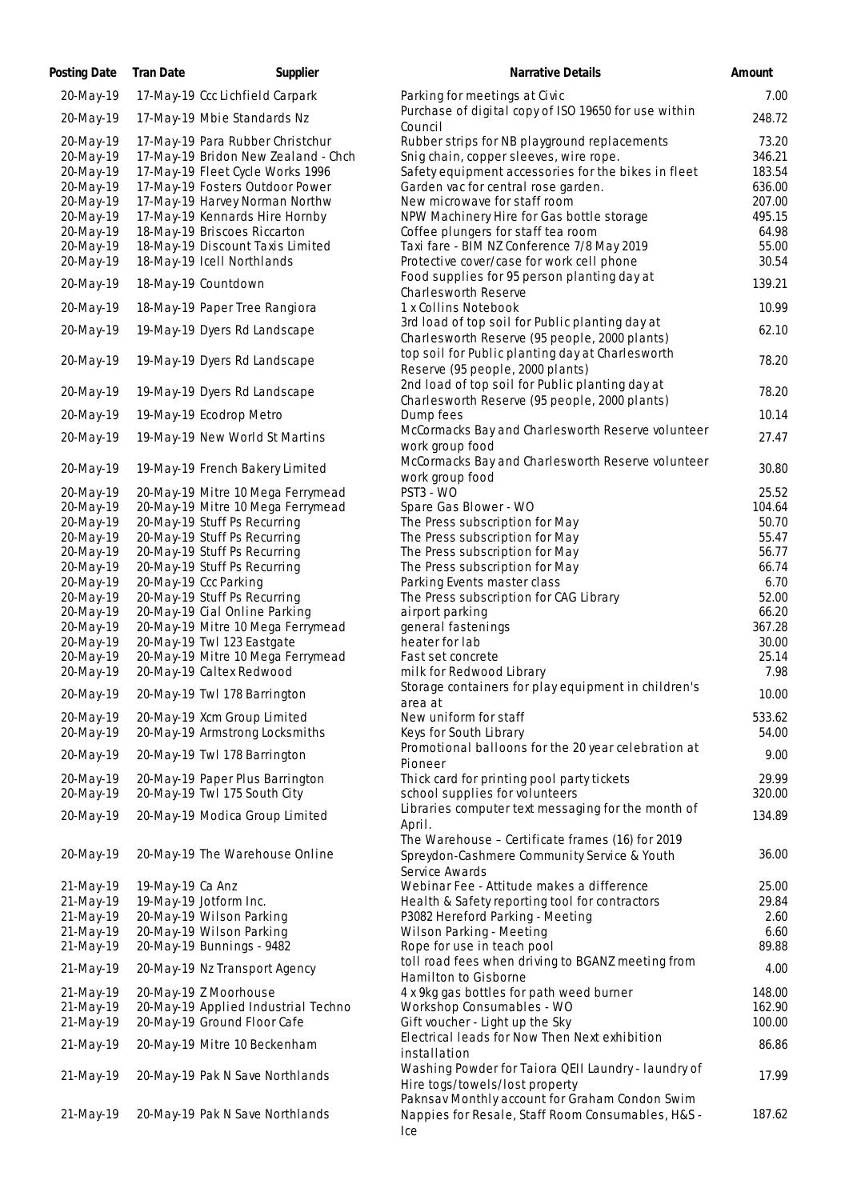| Posting Date | Tran Date        | Supplier                            | Narrative Details                                                                                          | Amount |
|--------------|------------------|-------------------------------------|------------------------------------------------------------------------------------------------------------|--------|
| 20-May-19    |                  | 17-May-19 Ccc Lichfield Carpark     | Parking for meetings at Civic                                                                              | 7.00   |
| 20-May-19    |                  | 17-May-19 Mbie Standards Nz         | Purchase of digital copy of ISO 19650 for use within<br>Council                                            | 248.72 |
| 20-May-19    |                  | 17-May-19 Para Rubber Christchur    | Rubber strips for NB playground replacements                                                               | 73.20  |
|              |                  | 17-May-19 Bridon New Zealand - Chch | Snig chain, copper sleeves, wire rope.                                                                     |        |
| 20-May-19    |                  |                                     |                                                                                                            | 346.21 |
| 20-May-19    |                  | 17-May-19 Fleet Cycle Works 1996    | Safety equipment accessories for the bikes in fleet                                                        | 183.54 |
| 20-May-19    |                  | 17-May-19 Fosters Outdoor Power     | Garden vac for central rose garden.                                                                        | 636.00 |
| 20-May-19    |                  | 17-May-19 Harvey Norman Northw      | New microwave for staff room                                                                               | 207.00 |
| 20-May-19    |                  | 17-May-19 Kennards Hire Hornby      | NPW Machinery Hire for Gas bottle storage                                                                  | 495.15 |
| 20-May-19    |                  | 18-May-19 Briscoes Riccarton        | Coffee plungers for staff tea room                                                                         | 64.98  |
| 20-May-19    |                  | 18-May-19 Discount Taxis Limited    | Taxi fare - BIM NZ Conference 7/8 May 2019                                                                 | 55.00  |
| 20-May-19    |                  | 18-May-19 Icell Northlands          | Protective cover/case for work cell phone                                                                  | 30.54  |
| 20-May-19    |                  | 18-May-19 Countdown                 | Food supplies for 95 person planting day at<br>Charlesworth Reserve                                        | 139.21 |
| 20-May-19    |                  | 18-May-19 Paper Tree Rangiora       | 1 x Collins Notebook                                                                                       | 10.99  |
| 20-May-19    |                  | 19-May-19 Dyers Rd Landscape        | 3rd load of top soil for Public planting day at<br>Charlesworth Reserve (95 people, 2000 plants)           | 62.10  |
| 20-May-19    |                  | 19-May-19 Dyers Rd Landscape        | top soil for Public planting day at Charlesworth<br>Reserve (95 people, 2000 plants)                       | 78.20  |
| 20-May-19    |                  | 19-May-19 Dyers Rd Landscape        | 2nd load of top soil for Public planting day at                                                            | 78.20  |
| 20-May-19    |                  | 19-May-19 Ecodrop Metro             | Charlesworth Reserve (95 people, 2000 plants)<br>Dump fees                                                 | 10.14  |
| 20-May-19    |                  | 19-May-19 New World St Martins      | McCormacks Bay and Charlesworth Reserve volunteer                                                          | 27.47  |
| 20-May-19    |                  | 19-May-19 French Bakery Limited     | work group food<br>McCormacks Bay and Charlesworth Reserve volunteer                                       | 30.80  |
|              |                  |                                     | work group food                                                                                            |        |
| 20-May-19    |                  | 20-May-19 Mitre 10 Mega Ferrymead   | PST3 - WO                                                                                                  | 25.52  |
| 20-May-19    |                  | 20-May-19 Mitre 10 Mega Ferrymead   | Spare Gas Blower - WO                                                                                      | 104.64 |
| 20-May-19    |                  | 20-May-19 Stuff Ps Recurring        | The Press subscription for May                                                                             | 50.70  |
| 20-May-19    |                  | 20-May-19 Stuff Ps Recurring        | The Press subscription for May                                                                             | 55.47  |
| 20-May-19    |                  | 20-May-19 Stuff Ps Recurring        | The Press subscription for May                                                                             | 56.77  |
| 20-May-19    |                  | 20-May-19 Stuff Ps Recurring        | The Press subscription for May                                                                             | 66.74  |
| 20-May-19    |                  | 20-May-19 Ccc Parking               | Parking Events master class                                                                                | 6.70   |
| 20-May-19    |                  | 20-May-19 Stuff Ps Recurring        | The Press subscription for CAG Library                                                                     | 52.00  |
| 20-May-19    |                  | 20-May-19 Cial Online Parking       | airport parking                                                                                            | 66.20  |
| 20-May-19    |                  | 20-May-19 Mitre 10 Mega Ferrymead   | general fastenings                                                                                         | 367.28 |
| 20-May-19    |                  | 20-May-19 Twl 123 Eastgate          | heater for lab                                                                                             | 30.00  |
| 20-May-19    |                  | 20-May-19 Mitre 10 Mega Ferrymead   | Fast set concrete                                                                                          | 25.14  |
| 20-May-19    |                  | 20-May-19 Caltex Redwood            | milk for Redwood Library                                                                                   | 7.98   |
|              |                  |                                     | Storage containers for play equipment in children's                                                        |        |
| 20-May-19    |                  | 20-May-19 Twl 178 Barrington        | area at                                                                                                    | 10.00  |
| 20-May-19    |                  | 20-May-19 Xcm Group Limited         | New uniform for staff                                                                                      | 533.62 |
| 20-May-19    |                  | 20-May-19 Armstrong Locksmiths      | Keys for South Library                                                                                     | 54.00  |
| 20-May-19    |                  | 20-May-19 Twl 178 Barrington        | Promotional balloons for the 20 year celebration at<br>Pioneer                                             | 9.00   |
| 20-May-19    |                  | 20-May-19 Paper Plus Barrington     | Thick card for printing pool party tickets                                                                 | 29.99  |
| 20-May-19    |                  | 20-May-19 Twl 175 South City        | school supplies for volunteers                                                                             | 320.00 |
| 20-May-19    |                  | 20-May-19 Modica Group Limited      | Libraries computer text messaging for the month of<br>April.                                               | 134.89 |
| 20-May-19    |                  | 20-May-19 The Warehouse Online      | The Warehouse - Certificate frames (16) for 2019<br>Spreydon-Cashmere Community Service & Youth            | 36.00  |
|              |                  |                                     | Service Awards                                                                                             |        |
| 21-May-19    | 19-May-19 Ca Anz |                                     | Webinar Fee - Attitude makes a difference                                                                  | 25.00  |
| 21-May-19    |                  | 19-May-19 Jotform Inc.              | Health & Safety reporting tool for contractors                                                             | 29.84  |
| 21-May-19    |                  | 20-May-19 Wilson Parking            | P3082 Hereford Parking - Meeting                                                                           | 2.60   |
| 21-May-19    |                  | 20-May-19 Wilson Parking            | Wilson Parking - Meeting                                                                                   | 6.60   |
| 21-May-19    |                  | 20-May-19 Bunnings - 9482           | Rope for use in teach pool                                                                                 | 89.88  |
| 21-May-19    |                  | 20-May-19 Nz Transport Agency       | toll road fees when driving to BGANZ meeting from<br>Hamilton to Gisborne                                  | 4.00   |
| 21-May-19    |                  | 20-May-19 Z Moorhouse               | 4 x 9kg gas bottles for path weed burner                                                                   | 148.00 |
| 21-May-19    |                  | 20-May-19 Applied Industrial Techno | Workshop Consumables - WO                                                                                  | 162.90 |
| 21-May-19    |                  | 20-May-19 Ground Floor Cafe         | Gift voucher - Light up the Sky                                                                            | 100.00 |
|              |                  |                                     | Electrical leads for Now Then Next exhibition                                                              |        |
| 21-May-19    |                  | 20-May-19 Mitre 10 Beckenham        | installation                                                                                               | 86.86  |
| 21-May-19    |                  | 20-May-19 Pak N Save Northlands     | Washing Powder for Taiora QEII Laundry - laundry of<br>Hire togs/towels/lost property                      | 17.99  |
| 21-May-19    |                  | 20-May-19 Pak N Save Northlands     | Paknsav Monthly account for Graham Condon Swim<br>Nappies for Resale, Staff Room Consumables, H&S -<br>Ice | 187.62 |
|              |                  |                                     |                                                                                                            |        |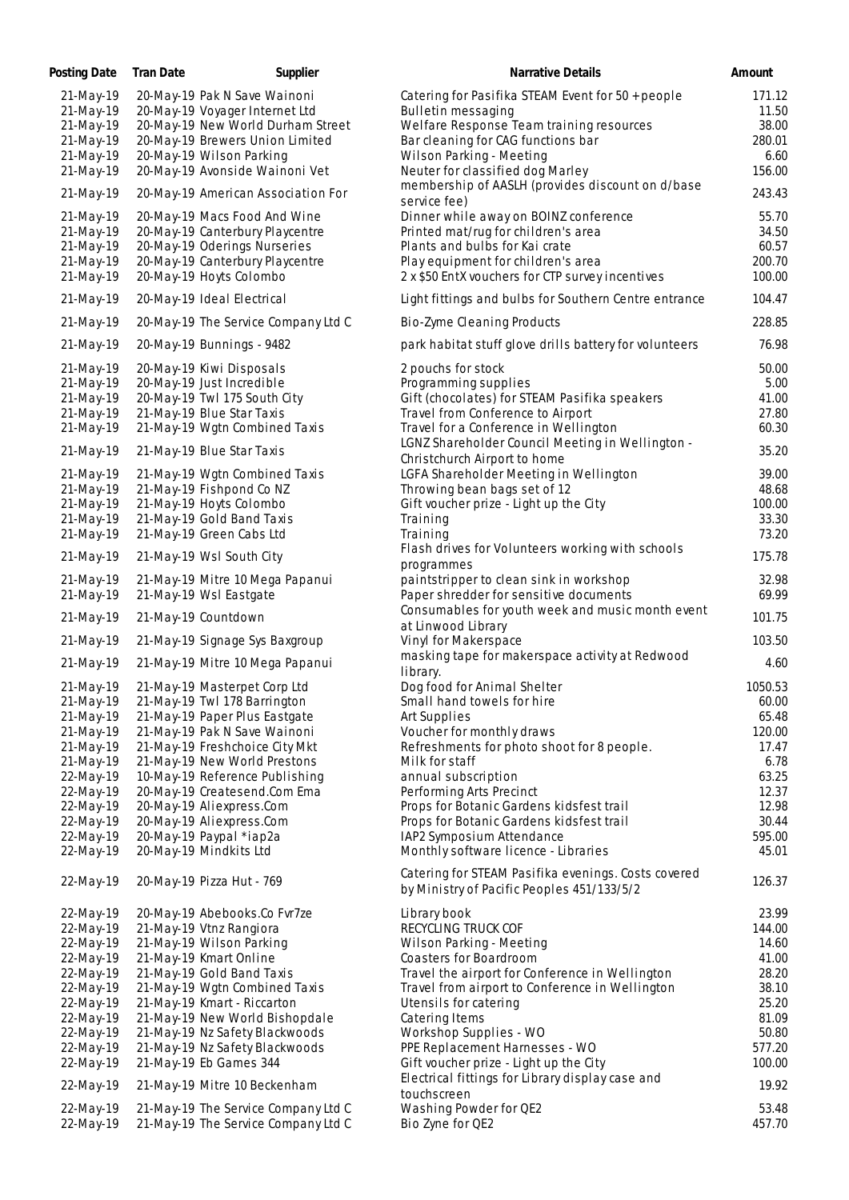| Posting Date | <b>Tran Date</b> | Supplier                            | Narrative Details                                                | Amount  |
|--------------|------------------|-------------------------------------|------------------------------------------------------------------|---------|
| 21-May-19    |                  | 20-May-19 Pak N Save Wainoni        | Catering for Pasifika STEAM Event for 50 + people                | 171.12  |
| 21-May-19    |                  | 20-May-19 Voyager Internet Ltd      | Bulletin messaging                                               | 11.50   |
| 21-May-19    |                  | 20-May-19 New World Durham Street   | Welfare Response Team training resources                         | 38.00   |
|              |                  |                                     |                                                                  | 280.01  |
| 21-May-19    |                  | 20-May-19 Brewers Union Limited     | Bar cleaning for CAG functions bar                               |         |
| 21-May-19    |                  | 20-May-19 Wilson Parking            | Wilson Parking - Meeting                                         | 6.60    |
| 21-May-19    |                  | 20-May-19 Avonside Wainoni Vet      | Neuter for classified dog Marley                                 | 156.00  |
| 21-May-19    |                  | 20-May-19 American Association For  | membership of AASLH (provides discount on d/base<br>service fee) | 243.43  |
| 21-May-19    |                  | 20-May-19 Macs Food And Wine        | Dinner while away on BOINZ conference                            | 55.70   |
| 21-May-19    |                  | 20-May-19 Canterbury Playcentre     | Printed mat/rug for children's area                              | 34.50   |
|              |                  |                                     |                                                                  |         |
| 21-May-19    |                  | 20-May-19 Oderings Nurseries        | Plants and bulbs for Kai crate                                   | 60.57   |
| 21-May-19    |                  | 20-May-19 Canterbury Playcentre     | Play equipment for children's area                               | 200.70  |
| 21-May-19    |                  | 20-May-19 Hoyts Colombo             | 2 x \$50 EntX vouchers for CTP survey incentives                 | 100.00  |
| 21-May-19    |                  | 20-May-19 Ideal Electrical          | Light fittings and bulbs for Southern Centre entrance            | 104.47  |
| 21-May-19    |                  | 20-May-19 The Service Company Ltd C | Bio-Zyme Cleaning Products                                       | 228.85  |
| 21-May-19    |                  | 20-May-19 Bunnings - 9482           | park habitat stuff glove drills battery for volunteers           | 76.98   |
| 21-May-19    |                  | 20-May-19 Kiwi Disposals            | 2 pouchs for stock                                               | 50.00   |
| 21-May-19    |                  | 20-May-19 Just Incredible           | Programming supplies                                             | 5.00    |
| 21-May-19    |                  | 20-May-19 Twl 175 South City        | Gift (chocolates) for STEAM Pasifika speakers                    | 41.00   |
| 21-May-19    |                  | 21-May-19 Blue Star Taxis           | Travel from Conference to Airport                                | 27.80   |
|              |                  |                                     |                                                                  | 60.30   |
| 21-May-19    |                  | 21-May-19 Wgtn Combined Taxis       | Travel for a Conference in Wellington                            |         |
| 21-May-19    |                  | 21-May-19 Blue Star Taxis           | LGNZ Shareholder Council Meeting in Wellington -                 | 35.20   |
|              |                  |                                     | Christchurch Airport to home                                     |         |
| 21-May-19    |                  | 21-May-19 Wgtn Combined Taxis       | LGFA Shareholder Meeting in Wellington                           | 39.00   |
| 21-May-19    |                  | 21-May-19 Fishpond Co NZ            | Throwing bean bags set of 12                                     | 48.68   |
| 21-May-19    |                  | 21-May-19 Hoyts Colombo             | Gift voucher prize - Light up the City                           | 100.00  |
| 21-May-19    |                  | 21-May-19 Gold Band Taxis           | Training                                                         | 33.30   |
| 21-May-19    |                  | 21-May-19 Green Cabs Ltd            | Training                                                         | 73.20   |
|              |                  |                                     | Flash drives for Volunteers working with schools                 |         |
| 21-May-19    |                  | 21-May-19 Wsl South City            | programmes                                                       | 175.78  |
| 21-May-19    |                  | 21-May-19 Mitre 10 Mega Papanui     | paintstripper to clean sink in workshop                          | 32.98   |
| 21-May-19    |                  | 21-May-19 Wsl Eastgate              | Paper shredder for sensitive documents                           | 69.99   |
|              |                  |                                     | Consumables for youth week and music month event                 |         |
| 21-May-19    |                  | 21-May-19 Countdown                 | at Linwood Library                                               | 101.75  |
|              |                  |                                     |                                                                  |         |
| 21-May-19    |                  | 21-May-19 Signage Sys Baxgroup      | Vinyl for Makerspace                                             | 103.50  |
| 21-May-19    |                  | 21-May-19 Mitre 10 Mega Papanui     | masking tape for makerspace activity at Redwood<br>library.      | 4.60    |
| 21-May-19    |                  | 21-May-19 Masterpet Corp Ltd        | Dog food for Animal Shelter                                      | 1050.53 |
|              |                  | 21-May-19 Twl 178 Barrington        |                                                                  | 60.00   |
| 21-May-19    |                  |                                     | Small hand towels for hire                                       |         |
| 21-May-19    |                  | 21-May-19 Paper Plus Eastgate       | Art Supplies                                                     | 65.48   |
| 21-May-19    |                  | 21-May-19 Pak N Save Wainoni        | Voucher for monthly draws                                        | 120.00  |
| 21-May-19    |                  | 21-May-19 Freshchoice City Mkt      | Refreshments for photo shoot for 8 people.                       | 17.47   |
| 21-May-19    |                  | 21-May-19 New World Prestons        | Milk for staff                                                   | 6.78    |
| 22-May-19    |                  | 10-May-19 Reference Publishing      | annual subscription                                              | 63.25   |
| 22-May-19    |                  | 20-May-19 Createsend.Com Ema        | Performing Arts Precinct                                         | 12.37   |
|              |                  |                                     |                                                                  | 12.98   |
| 22-May-19    |                  | 20-May-19 Aliexpress.Com            | Props for Botanic Gardens kidsfest trail                         |         |
| 22-May-19    |                  | 20-May-19 Aliexpress.Com            | Props for Botanic Gardens kidsfest trail                         | 30.44   |
| 22-May-19    |                  | 20-May-19 Paypal *iap2a             | IAP2 Symposium Attendance                                        | 595.00  |
| 22-May-19    |                  | 20-May-19 Mindkits Ltd              | Monthly software licence - Libraries                             | 45.01   |
| 22-May-19    |                  | 20-May-19 Pizza Hut - 769           | Catering for STEAM Pasifika evenings. Costs covered              | 126.37  |
|              |                  |                                     | by Ministry of Pacific Peoples 451/133/5/2                       |         |
| 22-May-19    |                  | 20-May-19 Abebooks.Co Fvr7ze        | Library book                                                     | 23.99   |
| 22-May-19    |                  | 21-May-19 Vtnz Rangiora             | RECYCLING TRUCK COF                                              | 144.00  |
|              |                  |                                     |                                                                  |         |
| 22-May-19    |                  | 21-May-19 Wilson Parking            | Wilson Parking - Meeting                                         | 14.60   |
| 22-May-19    |                  | 21-May-19 Kmart Online              | Coasters for Boardroom                                           | 41.00   |
| 22-May-19    |                  | 21-May-19 Gold Band Taxis           | Travel the airport for Conference in Wellington                  | 28.20   |
| 22-May-19    |                  | 21-May-19 Wgtn Combined Taxis       | Travel from airport to Conference in Wellington                  | 38.10   |
| 22-May-19    |                  | 21-May-19 Kmart - Riccarton         | Utensils for catering                                            | 25.20   |
| 22-May-19    |                  | 21-May-19 New World Bishopdale      | Catering Items                                                   | 81.09   |
| 22-May-19    |                  | 21-May-19 Nz Safety Blackwoods      | Workshop Supplies - WO                                           | 50.80   |
| 22-May-19    |                  | 21-May-19 Nz Safety Blackwoods      | PPE Replacement Harnesses - WO                                   | 577.20  |
| 22-May-19    |                  | 21-May-19 Eb Games 344              | Gift voucher prize - Light up the City                           | 100.00  |
|              |                  |                                     | Electrical fittings for Library display case and                 |         |
| 22-May-19    |                  | 21-May-19 Mitre 10 Beckenham        | touchscreen                                                      | 19.92   |
| 22-May-19    |                  | 21-May-19 The Service Company Ltd C | Washing Powder for QE2                                           | 53.48   |
| 22-May-19    |                  | 21-May-19 The Service Company Ltd C | Bio Zyne for QE2                                                 | 457.70  |
|              |                  |                                     |                                                                  |         |

| <b>INGLIQUIVE DETAILS</b>                                                                  | Amoun           |
|--------------------------------------------------------------------------------------------|-----------------|
| Catering for Pasifika STEAM Event for 50 + people                                          | 171.12          |
| Bulletin messaging                                                                         | 11.50           |
| Welfare Response Team training resources<br>Bar cleaning for CAG functions bar             | 38.00<br>280.01 |
| Wilson Parking - Meeting                                                                   | 6.60            |
| Neuter for classified dog Marley                                                           | 156.00          |
| membership of AASLH (provides discount on d/base                                           |                 |
| service fee)                                                                               | 243.43          |
| Dinner while away on BOINZ conference                                                      | 55.70           |
| Printed mat/rug for children's area                                                        | 34.50           |
| Plants and bulbs for Kai crate                                                             | 60.57           |
| Play equipment for children's area                                                         | 200.70          |
| 2 x \$50 EntX vouchers for CTP survey incentives                                           | 100.00          |
| Light fittings and bulbs for Southern Centre entrance                                      | 104.47          |
| Bio-Zyme Cleaning Products                                                                 | 228.85          |
| park habitat stuff glove drills battery for volunteers                                     | 76.98           |
| 2 pouchs for stock                                                                         | 50.00           |
| Programming supplies                                                                       | 5.00            |
| Gift (chocolates) for STEAM Pasifika speakers                                              | 41.00           |
| Travel from Conference to Airport                                                          | 27.80           |
| Travel for a Conference in Wellington                                                      | 60.30           |
| LGNZ Shareholder Council Meeting in Wellington -<br>Christchurch Airport to home           | 35.20           |
| LGFA Shareholder Meeting in Wellington                                                     | 39.00           |
| Throwing bean bags set of 12                                                               | 48.68           |
| Gift voucher prize - Light up the City                                                     | 100.00          |
| Training                                                                                   | 33.30           |
| Training                                                                                   | 73.20           |
| Flash drives for Volunteers working with schools                                           | 175.78          |
| programmes                                                                                 |                 |
| paintstripper to clean sink in workshop                                                    | 32.98           |
| Paper shredder for sensitive documents<br>Consumables for youth week and music month event | 69.99           |
| at Linwood Library                                                                         | 101.75          |
| Vinyl for Makerspace                                                                       | 103.50          |
| masking tape for makerspace activity at Redwood                                            |                 |
| library.                                                                                   | 4.60            |
| Dog food for Animal Shelter                                                                | 1050.53         |
| Small hand towels for hire                                                                 | 60.00           |
| Art Supplies                                                                               | 65.48           |
| Voucher for monthly draws                                                                  | 120.00          |
| Refreshments for photo shoot for 8 people.                                                 | 17.47           |
| Milk for staff                                                                             | 6.78            |
| annual subscription<br>Performing Arts Precinct                                            | 63.25<br>12.37  |
| Props for Botanic Gardens kidsfest trail                                                   | 12.98           |
| Props for Botanic Gardens kidsfest trail                                                   | 30.44           |
| IAP2 Symposium Attendance                                                                  | 595.00          |
| Monthly software licence - Libraries                                                       | 45.01           |
| Catering for STEAM Pasifika evenings. Costs covered                                        | 126.37          |
| by Ministry of Pacific Peoples 451/133/5/2                                                 |                 |
| Library book                                                                               | 23.99           |
| RECYCLING TRUCK COF                                                                        | 144.00          |
| Wilson Parking - Meeting                                                                   | 14.60           |
| Coasters for Boardroom                                                                     | 41.00           |
| Travel the airport for Conference in Wellington                                            | 28.20           |
| Travel from airport to Conference in Wellington                                            | 38.10<br>25.20  |
| Utensils for catering<br>Catering Items                                                    | 81.09           |
| Workshop Supplies - WO                                                                     | 50.80           |
| PPE Replacement Harnesses - WO                                                             | 577.20          |
| Gift voucher prize - Light up the City                                                     | 100.00          |
| Electrical fittings for Library display case and                                           | 19.92           |
| touchscreen                                                                                |                 |
| Washing Powder for QE2                                                                     | 53.48           |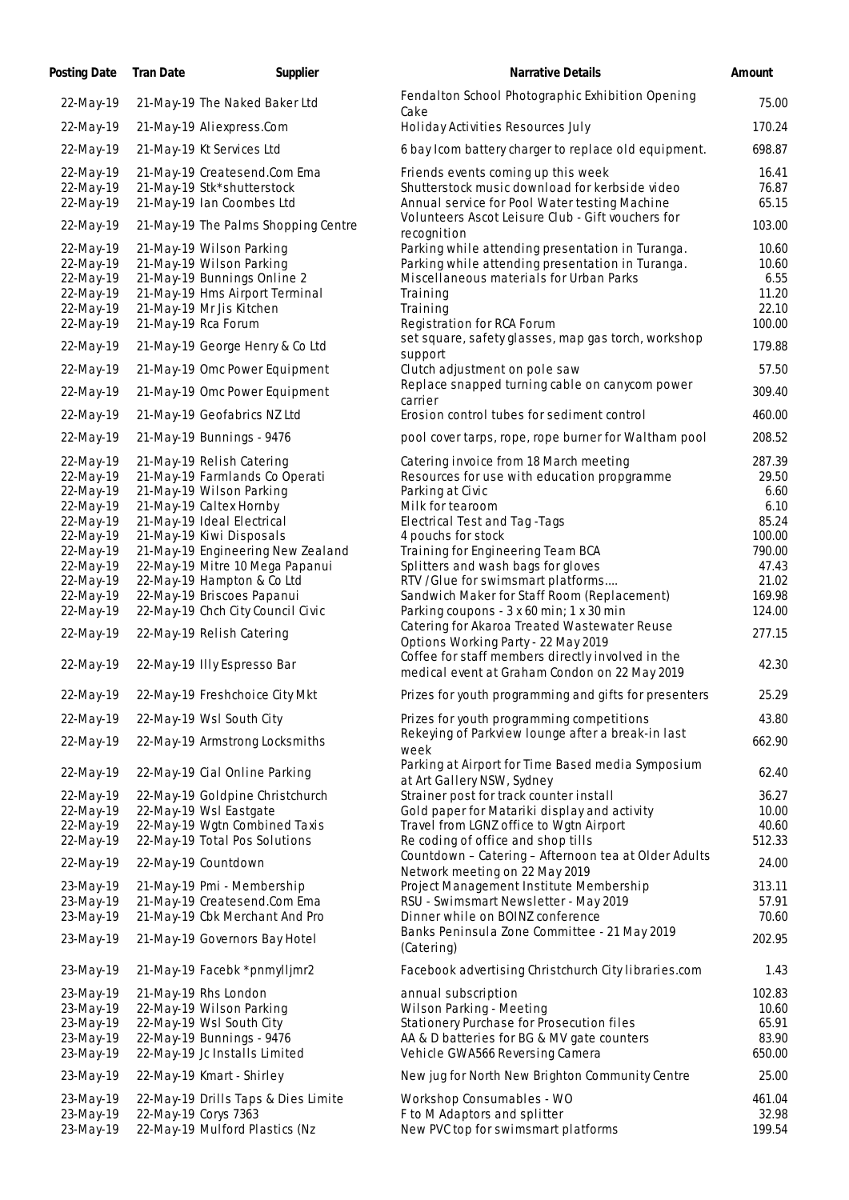| Posting Date Tran Date | Supplier                                                       | Narrative Details                                                                                  | Amount          |
|------------------------|----------------------------------------------------------------|----------------------------------------------------------------------------------------------------|-----------------|
| 22-May-19              | 21-May-19 The Naked Baker Ltd                                  | Fendalton School Photographic Exhibition Opening<br>Cake                                           | 75.00           |
| 22-May-19              | 21-May-19 Aliexpress.Com                                       | Holiday Activities Resources July                                                                  | 170.24          |
| 22-May-19              | 21-May-19 Kt Services Ltd                                      | 6 bay Icom battery charger to replace old equipment.                                               | 698.87          |
| 22-May-19              | 21-May-19 Createsend.Com Ema                                   | Friends events coming up this week                                                                 | 16.41           |
| 22-May-19              | 21-May-19 Stk*shutterstock                                     | Shutterstock music download for kerbside video                                                     | 76.87           |
| 22-May-19              | 21-May-19 Ian Coombes Ltd                                      | Annual service for Pool Water testing Machine<br>Volunteers Ascot Leisure Club - Gift vouchers for | 65.15           |
| 22-May-19              | 21-May-19 The Palms Shopping Centre                            | recognition                                                                                        | 103.00          |
| 22-May-19              | 21-May-19 Wilson Parking                                       | Parking while attending presentation in Turanga.                                                   | 10.60           |
| 22-May-19<br>22-May-19 | 21-May-19 Wilson Parking<br>21-May-19 Bunnings Online 2        | Parking while attending presentation in Turanga.<br>Miscellaneous materials for Urban Parks        | 10.60<br>6.55   |
| 22-May-19              | 21-May-19 Hms Airport Terminal                                 | Training                                                                                           | 11.20           |
| 22-May-19              | 21-May-19 Mr Jis Kitchen                                       | Training                                                                                           | 22.10           |
| 22-May-19              | 21-May-19 Rca Forum                                            | Registration for RCA Forum<br>set square, safety glasses, map gas torch, workshop                  | 100.00          |
| 22-May-19              | 21-May-19 George Henry & Co Ltd                                | support                                                                                            | 179.88          |
| 22-May-19              | 21-May-19 Omc Power Equipment                                  | Clutch adjustment on pole saw                                                                      | 57.50           |
| 22-May-19              | 21-May-19 Omc Power Equipment                                  | Replace snapped turning cable on canycom power<br>carrier                                          | 309.40          |
| 22-May-19              | 21-May-19 Geofabrics NZ Ltd                                    | Erosion control tubes for sediment control                                                         | 460.00          |
| 22-May-19              | 21-May-19 Bunnings - 9476                                      | pool cover tarps, rope, rope burner for Waltham pool                                               | 208.52          |
| 22-May-19              | 21-May-19 Relish Catering                                      | Catering invoice from 18 March meeting                                                             | 287.39          |
| 22-May-19              | 21-May-19 Farmlands Co Operati                                 | Resources for use with education propgramme                                                        | 29.50           |
| 22-May-19<br>22-May-19 | 21-May-19 Wilson Parking<br>21-May-19 Caltex Hornby            | Parking at Civic<br>Milk for tearoom                                                               | 6.60<br>6.10    |
| 22-May-19              | 21-May-19 Ideal Electrical                                     | Electrical Test and Tag - Tags                                                                     | 85.24           |
| 22-May-19              | 21-May-19 Kiwi Disposals                                       | 4 pouchs for stock                                                                                 | 100.00          |
| 22-May-19              | 21-May-19 Engineering New Zealand                              | Training for Engineering Team BCA                                                                  | 790.00          |
| 22-May-19<br>22-May-19 | 22-May-19 Mitre 10 Mega Papanui<br>22-May-19 Hampton & Co Ltd  | Splitters and wash bags for gloves<br>RTV / Glue for swimsmart platforms                           | 47.43<br>21.02  |
| 22-May-19              | 22-May-19 Briscoes Papanui                                     | Sandwich Maker for Staff Room (Replacement)                                                        | 169.98          |
| 22-May-19              | 22-May-19 Chch City Council Civic                              | Parking coupons - 3 x 60 min; 1 x 30 min                                                           | 124.00          |
| 22-May-19              | 22-May-19 Relish Catering                                      | Catering for Akaroa Treated Wastewater Reuse<br>Options Working Party - 22 May 2019                | 277.15          |
| 22-May-19              | 22-May-19 Illy Espresso Bar                                    | Coffee for staff members directly involved in the<br>medical event at Graham Condon on 22 May 2019 | 42.30           |
| 22-May-19              | 22-May-19 Freshchoice City Mkt                                 | Prizes for youth programming and gifts for presenters                                              | 25.29           |
| 22-May-19              | 22-May-19 Wsl South City                                       | Prizes for youth programming competitions                                                          | 43.80           |
| 22-May-19              | 22-May-19 Armstrong Locksmiths                                 | Rekeying of Parkview lounge after a break-in last<br>week                                          | 662.90          |
| 22-May-19              | 22-May-19 Cial Online Parking                                  | Parking at Airport for Time Based media Symposium<br>at Art Gallery NSW, Sydney                    | 62.40           |
| 22-May-19              | 22-May-19 Goldpine Christchurch                                | Strainer post for track counter install                                                            | 36.27           |
| 22-May-19              | 22-May-19 Wsl Eastgate                                         | Gold paper for Matariki display and activity                                                       | 10.00           |
| 22-May-19              | 22-May-19 Wgtn Combined Taxis                                  | Travel from LGNZ office to Wgtn Airport                                                            | 40.60           |
| 22-May-19              | 22-May-19 Total Pos Solutions                                  | Re coding of office and shop tills<br>Countdown - Catering - Afternoon tea at Older Adults         | 512.33          |
| 22-May-19              | 22-May-19 Countdown                                            | Network meeting on 22 May 2019                                                                     | 24.00           |
| 23-May-19              | 21-May-19 Pmi - Membership                                     | Project Management Institute Membership                                                            | 313.11          |
| 23-May-19<br>23-May-19 | 21-May-19 Createsend.Com Ema<br>21-May-19 Cbk Merchant And Pro | RSU - Swimsmart Newsletter - May 2019<br>Dinner while on BOINZ conference                          | 57.91<br>70.60  |
| 23-May-19              | 21-May-19 Governors Bay Hotel                                  | Banks Peninsula Zone Committee - 21 May 2019<br>(Catering)                                         | 202.95          |
| 23-May-19              | 21-May-19 Facebk *pnmylljmr2                                   | Facebook advertising Christchurch City libraries.com                                               | 1.43            |
| 23-May-19              | 21-May-19 Rhs London                                           | annual subscription                                                                                | 102.83          |
| 23-May-19              | 22-May-19 Wilson Parking                                       | Wilson Parking - Meeting                                                                           | 10.60           |
| 23-May-19              | 22-May-19 Wsl South City                                       | Stationery Purchase for Prosecution files                                                          | 65.91           |
| 23-May-19              | 22-May-19 Bunnings - 9476                                      | AA & D batteries for BG & MV gate counters                                                         | 83.90           |
| 23-May-19<br>23-May-19 | 22-May-19 Jc Installs Limited<br>22-May-19 Kmart - Shirley     | Vehicle GWA566 Reversing Camera<br>New jug for North New Brighton Community Centre                 | 650.00<br>25.00 |
|                        |                                                                |                                                                                                    |                 |
| 23-May-19<br>23-May-19 | 22-May-19 Drills Taps & Dies Limite<br>22-May-19 Corys 7363    | Workshop Consumables - WO<br>F to M Adaptors and splitter                                          | 461.04<br>32.98 |
| 23-May-19              | 22-May-19 Mulford Plastics (Nz                                 | New PVC top for swimsmart platforms                                                                | 199.54          |
|                        |                                                                |                                                                                                    |                 |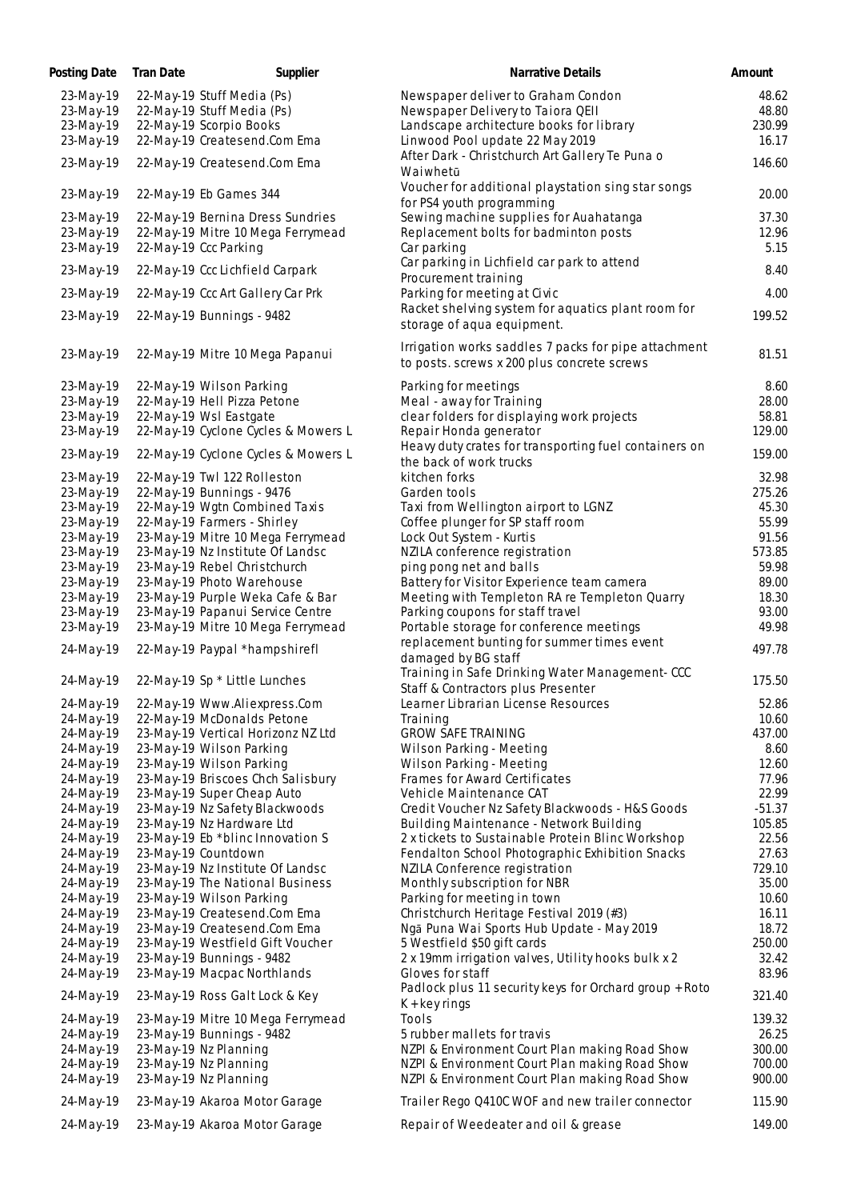| Posting Date | Tran Date | Supplier                            | Narrative Details                                      | Amount   |
|--------------|-----------|-------------------------------------|--------------------------------------------------------|----------|
| 23-May-19    |           | 22-May-19 Stuff Media (Ps)          | Newspaper deliver to Graham Condon                     | 48.62    |
| 23-May-19    |           | 22-May-19 Stuff Media (Ps)          | Newspaper Delivery to Taiora QEII                      | 48.80    |
| 23-May-19    |           | 22-May-19 Scorpio Books             | Landscape architecture books for library               | 230.99   |
| 23-May-19    |           | 22-May-19 Createsend.Com Ema        | Linwood Pool update 22 May 2019                        | 16.17    |
| 23-May-19    |           | 22-May-19 Createsend.Com Ema        | After Dark - Christchurch Art Gallery Te Puna o        | 146.60   |
|              |           |                                     | Waiwhetū                                               |          |
| 23-May-19    |           | 22-May-19 Eb Games 344              | Voucher for additional playstation sing star songs     | 20.00    |
|              |           |                                     | for PS4 youth programming                              |          |
| 23-May-19    |           | 22-May-19 Bernina Dress Sundries    | Sewing machine supplies for Auahatanga                 | 37.30    |
| 23-May-19    |           | 22-May-19 Mitre 10 Mega Ferrymead   | Replacement bolts for badminton posts                  | 12.96    |
| 23-May-19    |           | 22-May-19 Ccc Parking               | Car parking                                            | 5.15     |
| 23-May-19    |           | 22-May-19 Ccc Lichfield Carpark     | Car parking in Lichfield car park to attend            | 8.40     |
|              |           |                                     | Procurement training                                   |          |
| 23-May-19    |           | 22-May-19 Ccc Art Gallery Car Prk   | Parking for meeting at Civic                           | 4.00     |
| 23-May-19    |           | 22-May-19 Bunnings - 9482           | Racket shelving system for aquatics plant room for     | 199.52   |
|              |           |                                     | storage of aqua equipment.                             |          |
| 23-May-19    |           | 22-May-19 Mitre 10 Mega Papanui     | Irrigation works saddles 7 packs for pipe attachment   | 81.51    |
|              |           |                                     | to posts. screws x 200 plus concrete screws            |          |
| 23-May-19    |           | 22-May-19 Wilson Parking            | Parking for meetings                                   | 8.60     |
| 23-May-19    |           | 22-May-19 Hell Pizza Petone         | Meal - away for Training                               | 28.00    |
| 23-May-19    |           | 22-May-19 Wsl Eastgate              | clear folders for displaying work projects             | 58.81    |
|              |           |                                     |                                                        |          |
| 23-May-19    |           | 22-May-19 Cyclone Cycles & Mowers L | Repair Honda generator                                 | 129.00   |
| 23-May-19    |           | 22-May-19 Cyclone Cycles & Mowers L | Heavy duty crates for transporting fuel containers on  | 159.00   |
|              |           |                                     | the back of work trucks                                |          |
| 23-May-19    |           | 22-May-19 Twl 122 Rolleston         | kitchen forks                                          | 32.98    |
| 23-May-19    |           | 22-May-19 Bunnings - 9476           | Garden tools                                           | 275.26   |
| 23-May-19    |           | 22-May-19 Wgtn Combined Taxis       | Taxi from Wellington airport to LGNZ                   | 45.30    |
| 23-May-19    |           | 22-May-19 Farmers - Shirley         | Coffee plunger for SP staff room                       | 55.99    |
| 23-May-19    |           | 23-May-19 Mitre 10 Mega Ferrymead   | Lock Out System - Kurtis                               | 91.56    |
| 23-May-19    |           | 23-May-19 Nz Institute Of Landsc    | NZILA conference registration                          | 573.85   |
| 23-May-19    |           | 23-May-19 Rebel Christchurch        | ping pong net and balls                                | 59.98    |
| 23-May-19    |           | 23-May-19 Photo Warehouse           | Battery for Visitor Experience team camera             | 89.00    |
| 23-May-19    |           | 23-May-19 Purple Weka Cafe & Bar    | Meeting with Templeton RA re Templeton Quarry          | 18.30    |
| 23-May-19    |           | 23-May-19 Papanui Service Centre    | Parking coupons for staff travel                       | 93.00    |
| 23-May-19    |           | 23-May-19 Mitre 10 Mega Ferrymead   | Portable storage for conference meetings               | 49.98    |
|              |           |                                     | replacement bunting for summer times event             |          |
| 24-May-19    |           | 22-May-19 Paypal *hampshirefl       | damaged by BG staff                                    | 497.78   |
|              |           |                                     | Training in Safe Drinking Water Management-CCC         |          |
| 24-May-19    |           | 22-May-19 Sp * Little Lunches       | Staff & Contractors plus Presenter                     | 175.50   |
| 24-May-19    |           | 22-May-19 Www.Aliexpress.Com        | Learner Librarian License Resources                    | 52.86    |
| 24-May-19    |           | 22-May-19 McDonalds Petone          | Training                                               | 10.60    |
| 24-May-19    |           | 23-May-19 Vertical Horizonz NZ Ltd  | <b>GROW SAFE TRAINING</b>                              | 437.00   |
| 24-May-19    |           | 23-May-19 Wilson Parking            | Wilson Parking - Meeting                               | 8.60     |
| 24-May-19    |           | 23-May-19 Wilson Parking            | Wilson Parking - Meeting                               | 12.60    |
| 24-May-19    |           | 23-May-19 Briscoes Chch Salisbury   | Frames for Award Certificates                          | 77.96    |
|              |           | 23-May-19 Super Cheap Auto          | Vehicle Maintenance CAT                                | 22.99    |
| 24-May-19    |           |                                     |                                                        | $-51.37$ |
| 24-May-19    |           | 23-May-19 Nz Safety Blackwoods      | Credit Voucher Nz Safety Blackwoods - H&S Goods        |          |
| 24-May-19    |           | 23-May-19 Nz Hardware Ltd           | Building Maintenance - Network Building                | 105.85   |
| 24-May-19    |           | 23-May-19 Eb *blinc Innovation S    | 2 x tickets to Sustainable Protein Blinc Workshop      | 22.56    |
| 24-May-19    |           | 23-May-19 Countdown                 | Fendalton School Photographic Exhibition Snacks        | 27.63    |
| 24-May-19    |           | 23-May-19 Nz Institute Of Landsc    | NZILA Conference registration                          | 729.10   |
| 24-May-19    |           | 23-May-19 The National Business     | Monthly subscription for NBR                           | 35.00    |
| 24-May-19    |           | 23-May-19 Wilson Parking            | Parking for meeting in town                            | 10.60    |
| 24-May-19    |           | 23-May-19 Createsend.Com Ema        | Christchurch Heritage Festival 2019 (#3)               | 16.11    |
| 24-May-19    |           | 23-May-19 Createsend.Com Ema        | Ngā Puna Wai Sports Hub Update - May 2019              | 18.72    |
| 24-May-19    |           | 23-May-19 Westfield Gift Voucher    | 5 Westfield \$50 gift cards                            | 250.00   |
| 24-May-19    |           | 23-May-19 Bunnings - 9482           | 2 x 19mm irrigation valves, Utility hooks bulk x 2     | 32.42    |
| 24-May-19    |           | 23-May-19 Macpac Northlands         | Gloves for staff                                       | 83.96    |
| 24-May-19    |           | 23-May-19 Ross Galt Lock & Key      | Padlock plus 11 security keys for Orchard group + Roto | 321.40   |
|              |           |                                     | $K + \text{key rings}$                                 |          |
| 24-May-19    |           | 23-May-19 Mitre 10 Mega Ferrymead   | Tools                                                  | 139.32   |
| 24-May-19    |           | 23-May-19 Bunnings - 9482           | 5 rubber mallets for travis                            | 26.25    |
| 24-May-19    |           | 23-May-19 Nz Planning               | NZPI & Environment Court Plan making Road Show         | 300.00   |
| 24-May-19    |           | 23-May-19 Nz Planning               | NZPI & Environment Court Plan making Road Show         | 700.00   |
| 24-May-19    |           | 23-May-19 Nz Planning               | NZPI & Environment Court Plan making Road Show         | 900.00   |
|              |           |                                     |                                                        |          |
| 24-May-19    |           | 23-May-19 Akaroa Motor Garage       | Trailer Rego Q410C WOF and new trailer connector       | 115.90   |
| 24-May-19    |           | 23-May-19 Akaroa Motor Garage       | Repair of Weedeater and oil & grease                   | 149.00   |
|              |           |                                     |                                                        |          |

146.60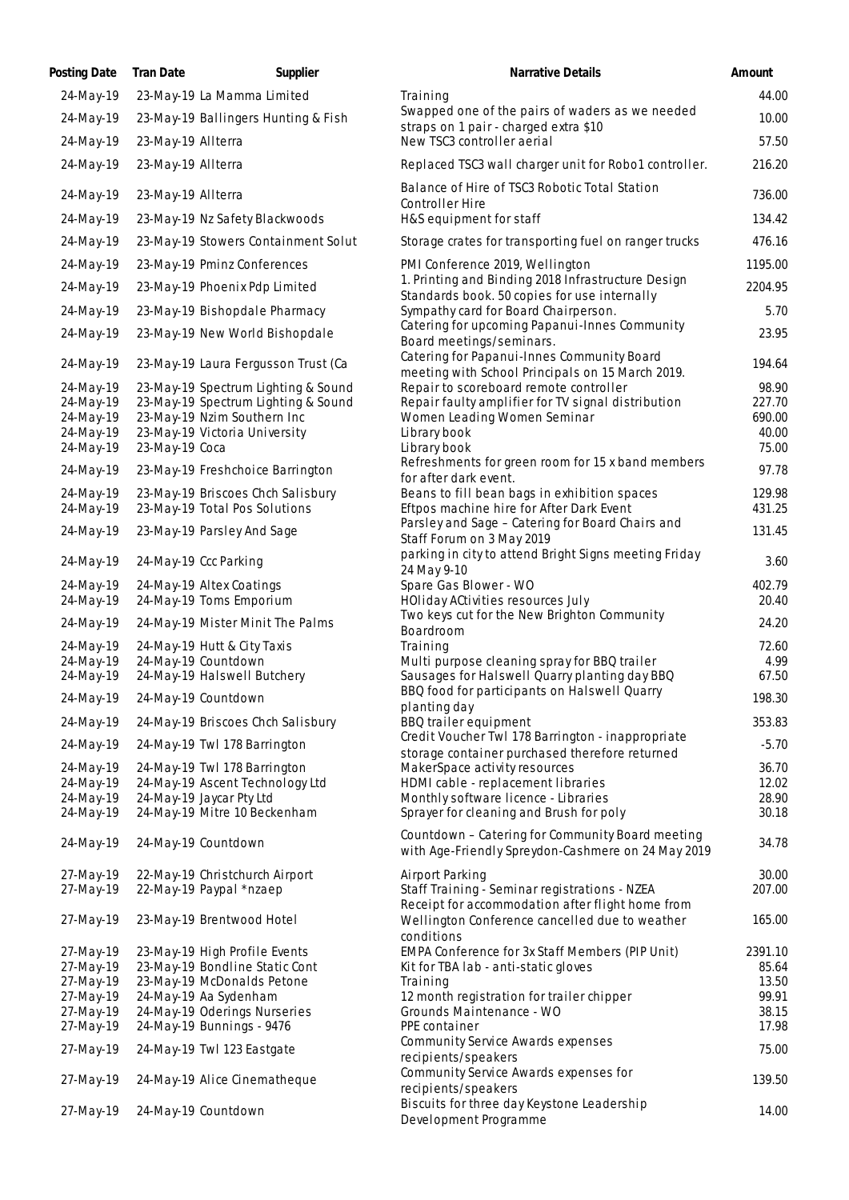| Posting Date           | Tran Date          | Supplier                                                           | Narrative Details                                                                                      | Amount          |
|------------------------|--------------------|--------------------------------------------------------------------|--------------------------------------------------------------------------------------------------------|-----------------|
| 24-May-19              |                    | 23-May-19 La Mamma Limited                                         | Training                                                                                               | 44.00           |
| 24-May-19              |                    | 23-May-19 Ballingers Hunting & Fish                                | Swapped one of the pairs of waders as we needed                                                        | 10.00           |
| 24-May-19              | 23-May-19 Allterra |                                                                    | straps on 1 pair - charged extra \$10<br>New TSC3 controller aerial                                    | 57.50           |
| 24-May-19              | 23-May-19 Allterra |                                                                    | Replaced TSC3 wall charger unit for Robo1 controller.                                                  | 216.20          |
|                        |                    |                                                                    |                                                                                                        |                 |
| 24-May-19              | 23-May-19 Allterra |                                                                    | Balance of Hire of TSC3 Robotic Total Station                                                          | 736.00          |
| 24-May-19              |                    | 23-May-19 Nz Safety Blackwoods                                     | Controller Hire<br>H&S equipment for staff                                                             | 134.42          |
| 24-May-19              |                    | 23-May-19 Stowers Containment Solut                                | Storage crates for transporting fuel on ranger trucks                                                  | 476.16          |
|                        |                    |                                                                    |                                                                                                        |                 |
| 24-May-19              |                    | 23-May-19 Pminz Conferences                                        | PMI Conference 2019, Wellington<br>1. Printing and Binding 2018 Infrastructure Design                  | 1195.00         |
| 24-May-19              |                    | 23-May-19 Phoenix Pdp Limited                                      | Standards book. 50 copies for use internally                                                           | 2204.95         |
| 24-May-19              |                    | 23-May-19 Bishopdale Pharmacy                                      | Sympathy card for Board Chairperson.                                                                   | 5.70            |
| 24-May-19              |                    | 23-May-19 New World Bishopdale                                     | Catering for upcoming Papanui-Innes Community                                                          | 23.95           |
|                        |                    |                                                                    | Board meetings/seminars.<br>Catering for Papanui-Innes Community Board                                 |                 |
| 24-May-19              |                    | 23-May-19 Laura Fergusson Trust (Ca                                | meeting with School Principals on 15 March 2019.                                                       | 194.64          |
| 24-May-19              |                    | 23-May-19 Spectrum Lighting & Sound                                | Repair to scoreboard remote controller                                                                 | 98.90           |
| 24-May-19              |                    | 23-May-19 Spectrum Lighting & Sound                                | Repair faulty amplifier for TV signal distribution                                                     | 227.70          |
| 24-May-19              |                    | 23-May-19 Nzim Southern Inc                                        | Women Leading Women Seminar                                                                            | 690.00<br>40.00 |
| 24-May-19<br>24-May-19 | 23-May-19 Coca     | 23-May-19 Victoria University                                      | Library book<br>Library book                                                                           | 75.00           |
|                        |                    |                                                                    | Refreshments for green room for 15 x band members                                                      | 97.78           |
| 24-May-19              |                    | 23-May-19 Freshchoice Barrington                                   | for after dark event.                                                                                  |                 |
| 24-May-19<br>24-May-19 |                    | 23-May-19 Briscoes Chch Salisbury<br>23-May-19 Total Pos Solutions | Beans to fill bean bags in exhibition spaces<br>Eftpos machine hire for After Dark Event               | 129.98          |
|                        |                    |                                                                    | Parsley and Sage - Catering for Board Chairs and                                                       | 431.25          |
| 24-May-19              |                    | 23-May-19 Parsley And Sage                                         | Staff Forum on 3 May 2019                                                                              | 131.45          |
| 24-May-19              |                    | 24-May-19 Ccc Parking                                              | parking in city to attend Bright Signs meeting Friday                                                  | 3.60            |
| 24-May-19              |                    | 24-May-19 Altex Coatings                                           | 24 May 9-10<br>Spare Gas Blower - WO                                                                   | 402.79          |
| 24-May-19              |                    | 24-May-19 Toms Emporium                                            | HOliday ACtivities resources July                                                                      | 20.40           |
| 24-May-19              |                    | 24-May-19 Mister Minit The Palms                                   | Two keys cut for the New Brighton Community                                                            | 24.20           |
|                        |                    |                                                                    | Boardroom                                                                                              |                 |
| 24-May-19              |                    | 24-May-19 Hutt & City Taxis<br>24-May-19 Countdown                 | Training                                                                                               | 72.60           |
| 24-May-19<br>24-May-19 |                    | 24-May-19 Halswell Butchery                                        | Multi purpose cleaning spray for BBQ trailer<br>Sausages for Halswell Quarry planting day BBQ          | 4.99<br>67.50   |
|                        |                    |                                                                    | BBQ food for participants on Halswell Quarry                                                           | 198.30          |
| 24-May-19              |                    | 24-May-19 Countdown                                                | planting day                                                                                           |                 |
| 24-May-19              |                    | 24-May-19 Briscoes Chch Salisbury                                  | BBQ trailer equipment                                                                                  | 353.83          |
| 24-May-19              |                    | 24-May-19 Twl 178 Barrington                                       | Credit Voucher Twl 178 Barrington - inappropriate<br>storage container purchased therefore returned    | $-5.70$         |
| 24-May-19              |                    | 24-May-19 Twl 178 Barrington                                       | MakerSpace activity resources                                                                          | 36.70           |
| 24-May-19              |                    | 24-May-19 Ascent Technology Ltd                                    | HDMI cable - replacement libraries                                                                     | 12.02           |
| 24-May-19              |                    | 24-May-19 Jaycar Pty Ltd                                           | Monthly software licence - Libraries                                                                   | 28.90           |
| 24-May-19              |                    | 24-May-19 Mitre 10 Beckenham                                       | Sprayer for cleaning and Brush for poly                                                                | 30.18           |
| 24-May-19              |                    | 24-May-19 Countdown                                                | Countdown - Catering for Community Board meeting<br>with Age-Friendly Spreydon-Cashmere on 24 May 2019 | 34.78           |
| 27-May-19              |                    | 22-May-19 Christchurch Airport                                     | Airport Parking                                                                                        | 30.00           |
| 27-May-19              |                    | 22-May-19 Paypal *nzaep                                            | Staff Training - Seminar registrations - NZEA                                                          | 207.00          |
|                        |                    |                                                                    | Receipt for accommodation after flight home from                                                       |                 |
| 27-May-19              |                    | 23-May-19 Brentwood Hotel                                          | Wellington Conference cancelled due to weather<br>conditions                                           | 165.00          |
| 27-May-19              |                    | 23-May-19 High Profile Events                                      | EMPA Conference for 3x Staff Members (PIP Unit)                                                        | 2391.10         |
| 27-May-19              |                    | 23-May-19 Bondline Static Cont                                     | Kit for TBA lab - anti-static gloves                                                                   | 85.64           |
| 27-May-19              |                    | 23-May-19 McDonalds Petone                                         | Training                                                                                               | 13.50           |
| 27-May-19              |                    | 24-May-19 Aa Sydenham                                              | 12 month registration for trailer chipper                                                              | 99.91           |
| 27-May-19              |                    | 24-May-19 Oderings Nurseries                                       | Grounds Maintenance - WO                                                                               | 38.15           |
| 27-May-19              |                    | 24-May-19 Bunnings - 9476                                          | PPE container                                                                                          | 17.98           |
| 27-May-19              |                    | 24-May-19 Twl 123 Eastgate                                         | Community Service Awards expenses<br>recipients/speakers                                               | 75.00           |
| 27-May-19              |                    | 24-May-19 Alice Cinematheque                                       | Community Service Awards expenses for                                                                  | 139.50          |
|                        |                    |                                                                    | recipients/speakers                                                                                    |                 |
| 27-May-19              |                    | 24-May-19 Countdown                                                | Biscuits for three day Keystone Leadership<br>Development Programme                                    | 14.00           |
|                        |                    |                                                                    |                                                                                                        |                 |